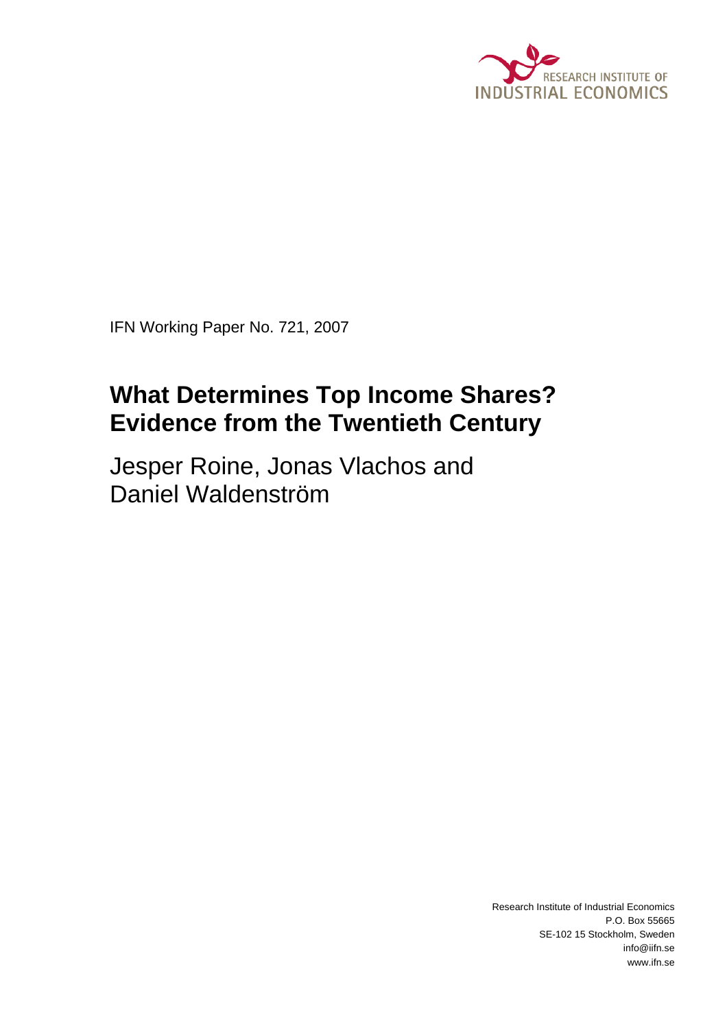

IFN Working Paper No. 721, 2007

# **What Determines Top Income Shares? Evidence from the Twentieth Century**

Jesper Roine, Jonas Vlachos and Daniel Waldenström

> Research Institute of Industrial Economics P.O. Box 55665 SE-102 15 Stockholm, Sweden info@iifn.se www.ifn.se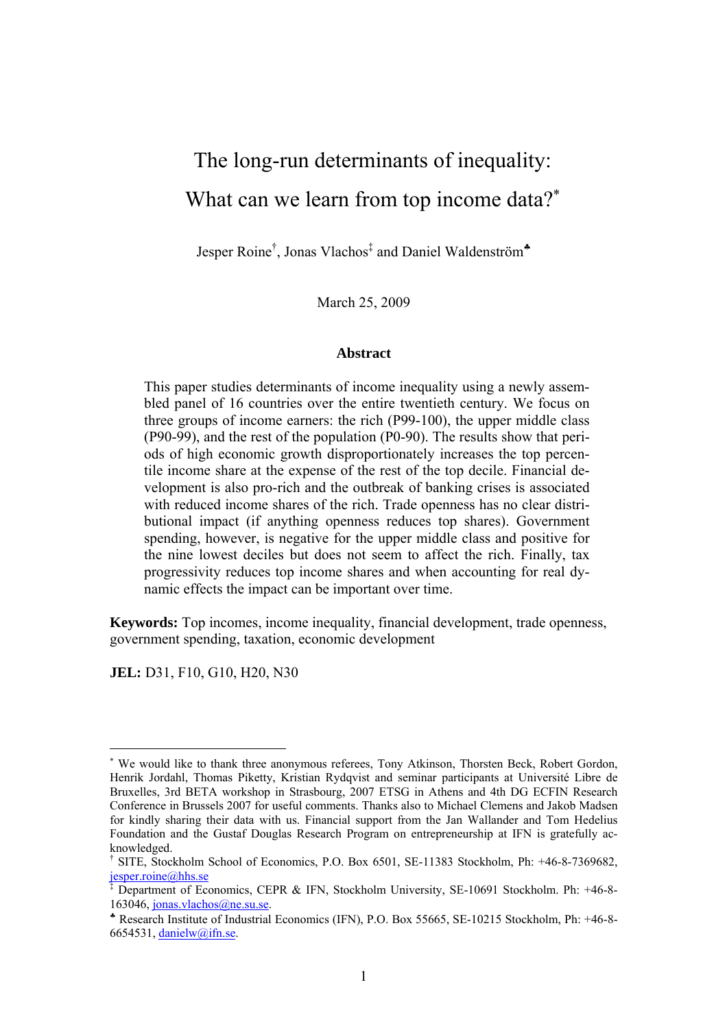# The long-run determinants of inequality: What can we learn from top income data?<sup>\*</sup>

Jesper Roine<sup>†</sup>, Jonas Vlachos<sup>‡</sup> and Daniel Waldenström<sup>\*</sup>

March 25, 2009

#### **Abstract**

This paper studies determinants of income inequality using a newly assembled panel of 16 countries over the entire twentieth century. We focus on three groups of income earners: the rich (P99-100), the upper middle class (P90-99), and the rest of the population (P0-90). The results show that periods of high economic growth disproportionately increases the top percentile income share at the expense of the rest of the top decile. Financial development is also pro-rich and the outbreak of banking crises is associated with reduced income shares of the rich. Trade openness has no clear distributional impact (if anything openness reduces top shares). Government spending, however, is negative for the upper middle class and positive for the nine lowest deciles but does not seem to affect the rich. Finally, tax progressivity reduces top income shares and when accounting for real dynamic effects the impact can be important over time.

**Keywords:** Top incomes, income inequality, financial development, trade openness, government spending, taxation, economic development

**JEL:** D31, F10, G10, H20, N30

<sup>∗</sup> We would like to thank three anonymous referees, Tony Atkinson, Thorsten Beck, Robert Gordon, Henrik Jordahl, Thomas Piketty, Kristian Rydqvist and seminar participants at Université Libre de Bruxelles, 3rd BETA workshop in Strasbourg, 2007 ETSG in Athens and 4th DG ECFIN Research Conference in Brussels 2007 for useful comments. Thanks also to Michael Clemens and Jakob Madsen for kindly sharing their data with us. Financial support from the Jan Wallander and Tom Hedelius Foundation and the Gustaf Douglas Research Program on entrepreneurship at IFN is gratefully acknowledged.

<sup>†</sup> SITE, Stockholm School of Economics, P.O. Box 6501, SE-11383 Stockholm, Ph: +46-8-7369682, jesper.roine@hhs.se<br><sup>‡</sup> Department of Economics, CEPR & IFN, Stockholm University, SE-10691 Stockholm. Ph: +46-8-

<sup>163046,</sup> jonas.vlachos@ne.su.se.

<sup>♣</sup> Research Institute of Industrial Economics (IFN), P.O. Box 55665, SE-10215 Stockholm, Ph: +46-8- 6654531, danielw@ifn.se.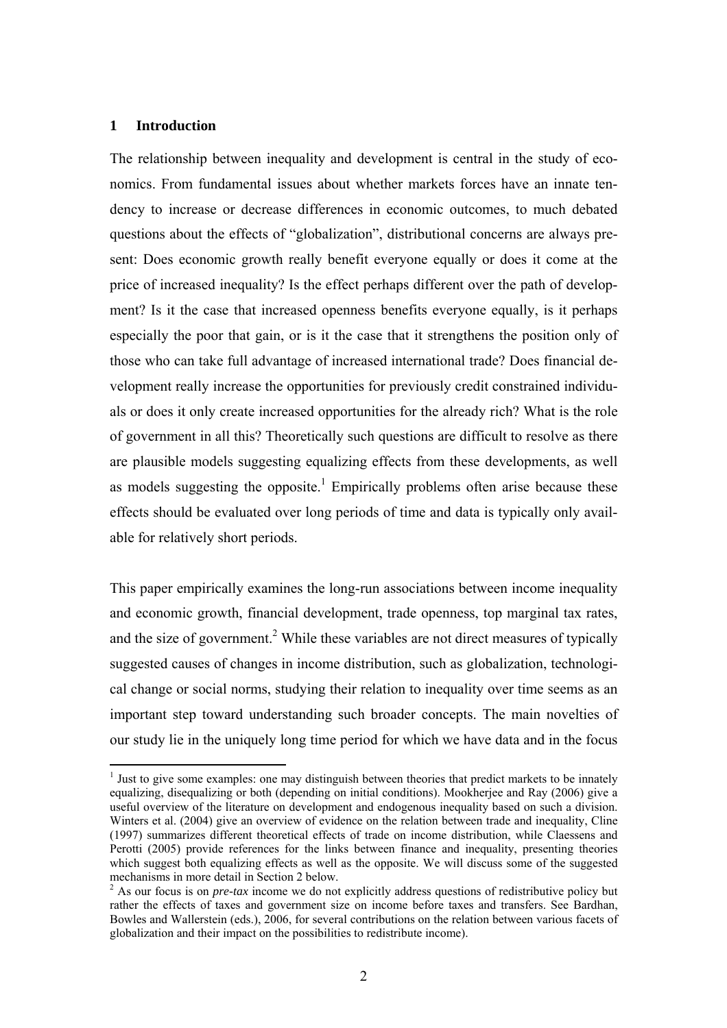#### **1 Introduction**

 $\overline{a}$ 

The relationship between inequality and development is central in the study of economics. From fundamental issues about whether markets forces have an innate tendency to increase or decrease differences in economic outcomes, to much debated questions about the effects of "globalization", distributional concerns are always present: Does economic growth really benefit everyone equally or does it come at the price of increased inequality? Is the effect perhaps different over the path of development? Is it the case that increased openness benefits everyone equally, is it perhaps especially the poor that gain, or is it the case that it strengthens the position only of those who can take full advantage of increased international trade? Does financial development really increase the opportunities for previously credit constrained individuals or does it only create increased opportunities for the already rich? What is the role of government in all this? Theoretically such questions are difficult to resolve as there are plausible models suggesting equalizing effects from these developments, as well as models suggesting the opposite.<sup>1</sup> Empirically problems often arise because these effects should be evaluated over long periods of time and data is typically only available for relatively short periods.

This paper empirically examines the long-run associations between income inequality and economic growth, financial development, trade openness, top marginal tax rates, and the size of government.<sup>2</sup> While these variables are not direct measures of typically suggested causes of changes in income distribution, such as globalization, technological change or social norms, studying their relation to inequality over time seems as an important step toward understanding such broader concepts. The main novelties of our study lie in the uniquely long time period for which we have data and in the focus

 $<sup>1</sup>$  Just to give some examples: one may distinguish between theories that predict markets to be innately</sup> equalizing, disequalizing or both (depending on initial conditions). Mookherjee and Ray (2006) give a useful overview of the literature on development and endogenous inequality based on such a division. Winters et al. (2004) give an overview of evidence on the relation between trade and inequality, Cline (1997) summarizes different theoretical effects of trade on income distribution, while Claessens and Perotti (2005) provide references for the links between finance and inequality, presenting theories which suggest both equalizing effects as well as the opposite. We will discuss some of the suggested mechanisms in more detail in Section 2 below.

<sup>&</sup>lt;sup>2</sup> As our focus is on *pre-tax* income we do not explicitly address questions of redistributive policy but rather the effects of taxes and government size on income before taxes and transfers. See Bardhan, Bowles and Wallerstein (eds.), 2006, for several contributions on the relation between various facets of globalization and their impact on the possibilities to redistribute income).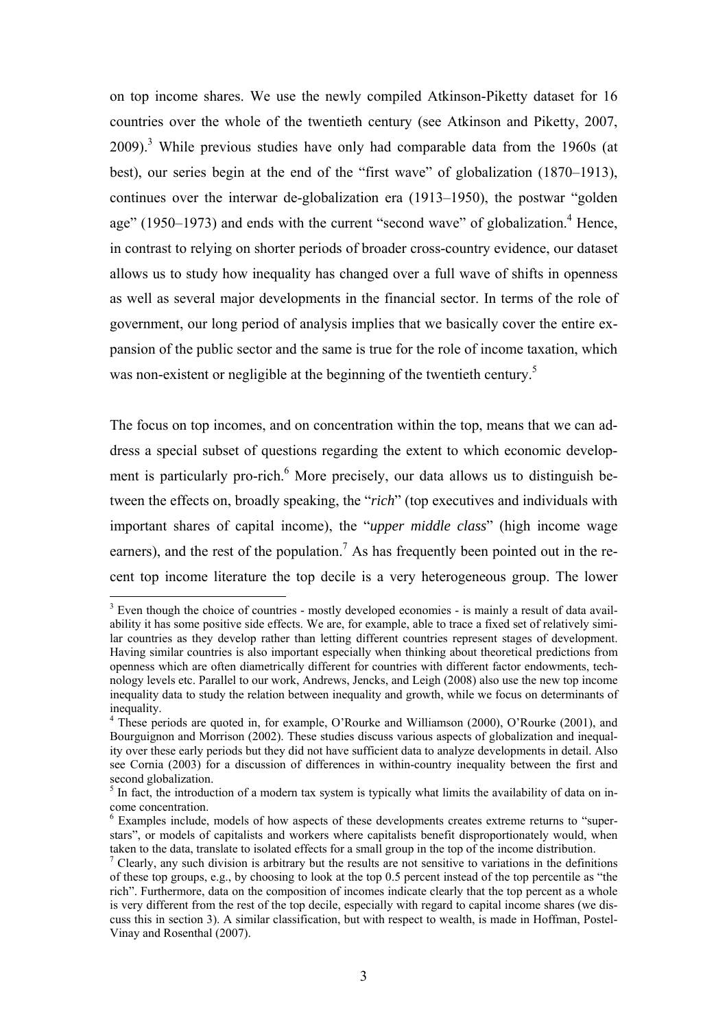on top income shares. We use the newly compiled Atkinson-Piketty dataset for 16 countries over the whole of the twentieth century (see Atkinson and Piketty, 2007,  $2009$ ).<sup>3</sup> While previous studies have only had comparable data from the 1960s (at best), our series begin at the end of the "first wave" of globalization (1870–1913), continues over the interwar de-globalization era (1913–1950), the postwar "golden age" (1950–1973) and ends with the current "second wave" of globalization.<sup>4</sup> Hence, in contrast to relying on shorter periods of broader cross-country evidence, our dataset allows us to study how inequality has changed over a full wave of shifts in openness as well as several major developments in the financial sector. In terms of the role of government, our long period of analysis implies that we basically cover the entire expansion of the public sector and the same is true for the role of income taxation, which was non-existent or negligible at the beginning of the twentieth century.<sup>5</sup>

The focus on top incomes, and on concentration within the top, means that we can address a special subset of questions regarding the extent to which economic development is particularly pro-rich.<sup>6</sup> More precisely, our data allows us to distinguish between the effects on, broadly speaking, the "*rich*" (top executives and individuals with important shares of capital income), the "*upper middle class*" (high income wage earners), and the rest of the population.<sup>7</sup> As has frequently been pointed out in the recent top income literature the top decile is a very heterogeneous group. The lower

<sup>&</sup>lt;sup>3</sup> Even though the choice of countries - mostly developed economies - is mainly a result of data availability it has some positive side effects. We are, for example, able to trace a fixed set of relatively similar countries as they develop rather than letting different countries represent stages of development. Having similar countries is also important especially when thinking about theoretical predictions from openness which are often diametrically different for countries with different factor endowments, technology levels etc. Parallel to our work, Andrews, Jencks, and Leigh (2008) also use the new top income inequality data to study the relation between inequality and growth, while we focus on determinants of inequality.

<sup>&</sup>lt;sup>4</sup> These periods are quoted in, for example, O'Rourke and Williamson (2000), O'Rourke (2001), and Bourguignon and Morrison (2002). These studies discuss various aspects of globalization and inequality over these early periods but they did not have sufficient data to analyze developments in detail. Also see Cornia (2003) for a discussion of differences in within-country inequality between the first and second globalization.

 $<sup>5</sup>$  In fact, the introduction of a modern tax system is typically what limits the availability of data on in-</sup> come concentration.

<sup>&</sup>lt;sup>6</sup> Examples include, models of how aspects of these developments creates extreme returns to "superstars", or models of capitalists and workers where capitalists benefit disproportionately would, when taken to the data, translate to isolated effects for a small group in the top of the income distribution.

<sup>&</sup>lt;sup>7</sup> Clearly, any such division is arbitrary but the results are not sensitive to variations in the definitions of these top groups, e.g., by choosing to look at the top 0.5 percent instead of the top percentile as "the rich". Furthermore, data on the composition of incomes indicate clearly that the top percent as a whole is very different from the rest of the top decile, especially with regard to capital income shares (we discuss this in section 3). A similar classification, but with respect to wealth, is made in Hoffman, Postel-Vinay and Rosenthal (2007).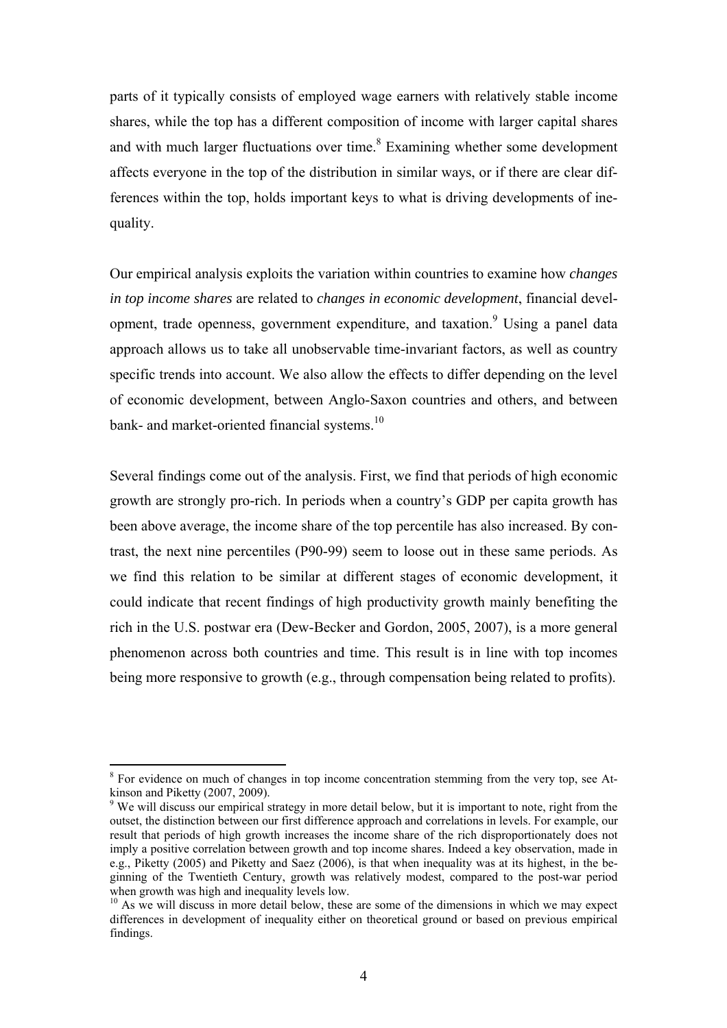parts of it typically consists of employed wage earners with relatively stable income shares, while the top has a different composition of income with larger capital shares and with much larger fluctuations over time.<sup>8</sup> Examining whether some development affects everyone in the top of the distribution in similar ways, or if there are clear differences within the top, holds important keys to what is driving developments of inequality.

Our empirical analysis exploits the variation within countries to examine how *changes in top income shares* are related to *changes in economic development*, financial development, trade openness, government expenditure, and taxation.<sup>9</sup> Using a panel data approach allows us to take all unobservable time-invariant factors, as well as country specific trends into account. We also allow the effects to differ depending on the level of economic development, between Anglo-Saxon countries and others, and between bank- and market-oriented financial systems.<sup>10</sup>

Several findings come out of the analysis. First, we find that periods of high economic growth are strongly pro-rich. In periods when a country's GDP per capita growth has been above average, the income share of the top percentile has also increased. By contrast, the next nine percentiles (P90-99) seem to loose out in these same periods. As we find this relation to be similar at different stages of economic development, it could indicate that recent findings of high productivity growth mainly benefiting the rich in the U.S. postwar era (Dew-Becker and Gordon, 2005, 2007), is a more general phenomenon across both countries and time. This result is in line with top incomes being more responsive to growth (e.g., through compensation being related to profits).

<sup>&</sup>lt;sup>8</sup> For evidence on much of changes in top income concentration stemming from the very top, see Atkinson and Piketty (2007, 2009).

<sup>&</sup>lt;sup>9</sup> We will discuss our empirical strategy in more detail below, but it is important to note, right from the outset, the distinction between our first difference approach and correlations in levels. For example, our result that periods of high growth increases the income share of the rich disproportionately does not imply a positive correlation between growth and top income shares. Indeed a key observation, made in e.g., Piketty (2005) and Piketty and Saez (2006), is that when inequality was at its highest, in the beginning of the Twentieth Century, growth was relatively modest, compared to the post-war period when growth was high and inequality levels low.

<sup>&</sup>lt;sup>10</sup> As we will discuss in more detail below, these are some of the dimensions in which we may expect differences in development of inequality either on theoretical ground or based on previous empirical findings.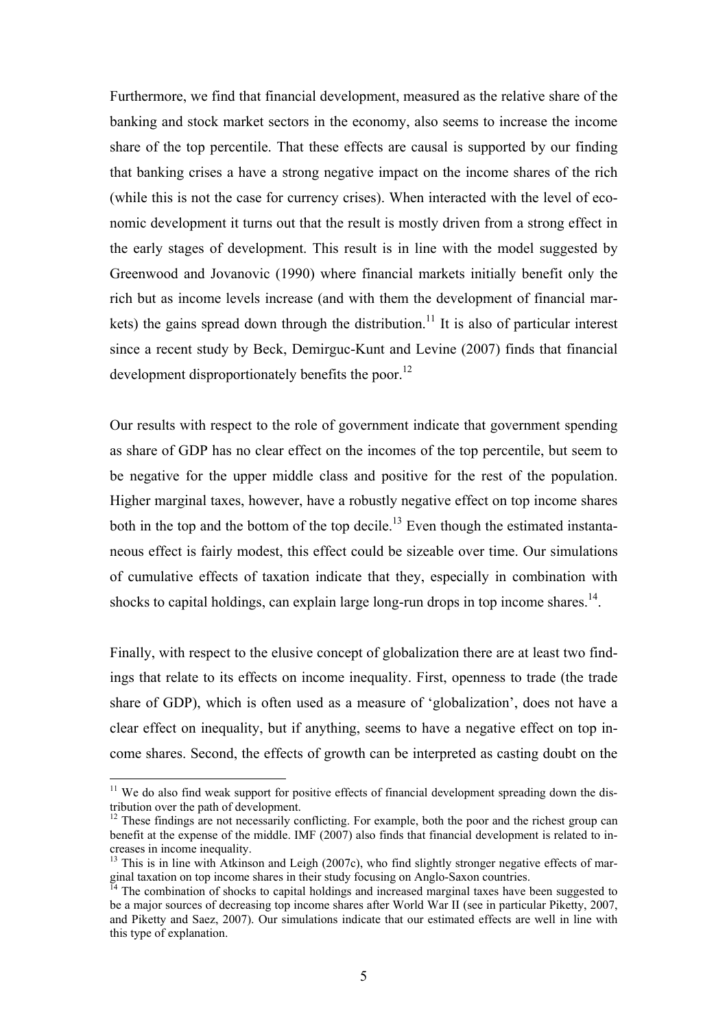Furthermore, we find that financial development, measured as the relative share of the banking and stock market sectors in the economy, also seems to increase the income share of the top percentile. That these effects are causal is supported by our finding that banking crises a have a strong negative impact on the income shares of the rich (while this is not the case for currency crises). When interacted with the level of economic development it turns out that the result is mostly driven from a strong effect in the early stages of development. This result is in line with the model suggested by Greenwood and Jovanovic (1990) where financial markets initially benefit only the rich but as income levels increase (and with them the development of financial markets) the gains spread down through the distribution.<sup>11</sup> It is also of particular interest since a recent study by Beck, Demirguc-Kunt and Levine (2007) finds that financial development disproportionately benefits the poor.<sup>12</sup>

Our results with respect to the role of government indicate that government spending as share of GDP has no clear effect on the incomes of the top percentile, but seem to be negative for the upper middle class and positive for the rest of the population. Higher marginal taxes, however, have a robustly negative effect on top income shares both in the top and the bottom of the top decile.<sup>13</sup> Even though the estimated instantaneous effect is fairly modest, this effect could be sizeable over time. Our simulations of cumulative effects of taxation indicate that they, especially in combination with shocks to capital holdings, can explain large long-run drops in top income shares.<sup>14</sup>.

Finally, with respect to the elusive concept of globalization there are at least two findings that relate to its effects on income inequality. First, openness to trade (the trade share of GDP), which is often used as a measure of 'globalization', does not have a clear effect on inequality, but if anything, seems to have a negative effect on top income shares. Second, the effects of growth can be interpreted as casting doubt on the

 $11$  We do also find weak support for positive effects of financial development spreading down the distribution over the path of development.

<sup>&</sup>lt;sup>12</sup> These findings are not necessarily conflicting. For example, both the poor and the richest group can benefit at the expense of the middle. IMF (2007) also finds that financial development is related to increases in income inequality.

<sup>&</sup>lt;sup>13</sup> This is in line with Atkinson and Leigh (2007c), who find slightly stronger negative effects of marginal taxation on top income shares in their study focusing on Anglo-Saxon countries.

<sup>14</sup> The combination of shocks to capital holdings and increased marginal taxes have been suggested to be a major sources of decreasing top income shares after World War II (see in particular Piketty, 2007, and Piketty and Saez, 2007). Our simulations indicate that our estimated effects are well in line with this type of explanation.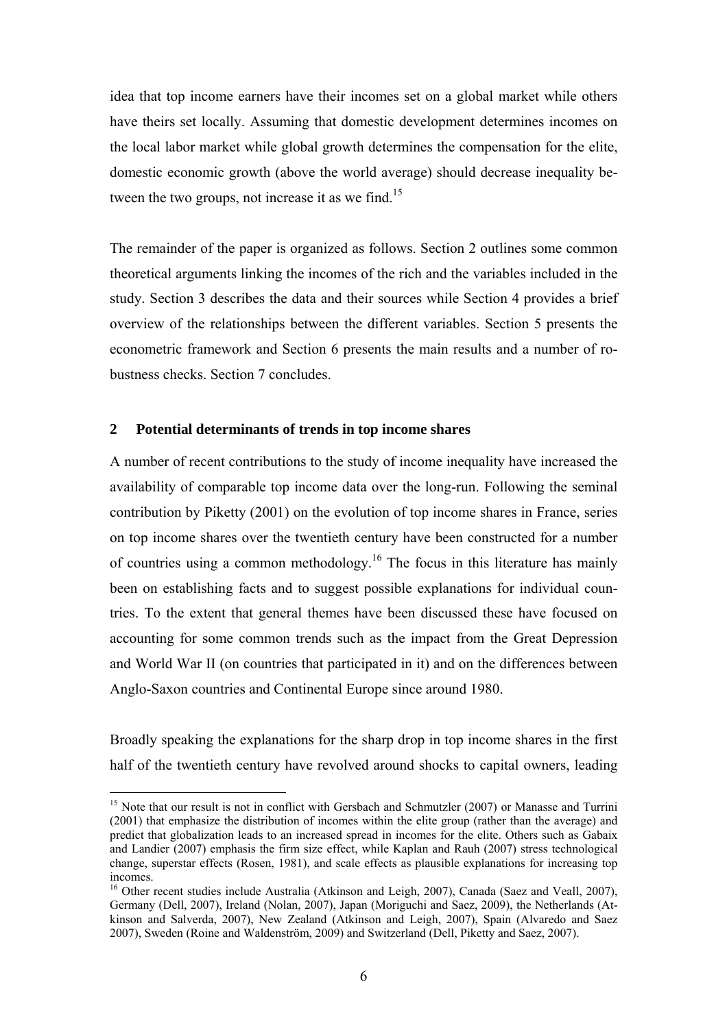idea that top income earners have their incomes set on a global market while others have theirs set locally. Assuming that domestic development determines incomes on the local labor market while global growth determines the compensation for the elite, domestic economic growth (above the world average) should decrease inequality between the two groups, not increase it as we find.<sup>15</sup>

The remainder of the paper is organized as follows. Section 2 outlines some common theoretical arguments linking the incomes of the rich and the variables included in the study. Section 3 describes the data and their sources while Section 4 provides a brief overview of the relationships between the different variables. Section 5 presents the econometric framework and Section 6 presents the main results and a number of robustness checks. Section 7 concludes.

#### **2 Potential determinants of trends in top income shares**

 $\overline{a}$ 

A number of recent contributions to the study of income inequality have increased the availability of comparable top income data over the long-run. Following the seminal contribution by Piketty (2001) on the evolution of top income shares in France, series on top income shares over the twentieth century have been constructed for a number of countries using a common methodology.<sup>16</sup> The focus in this literature has mainly been on establishing facts and to suggest possible explanations for individual countries. To the extent that general themes have been discussed these have focused on accounting for some common trends such as the impact from the Great Depression and World War II (on countries that participated in it) and on the differences between Anglo-Saxon countries and Continental Europe since around 1980.

Broadly speaking the explanations for the sharp drop in top income shares in the first half of the twentieth century have revolved around shocks to capital owners, leading

<sup>&</sup>lt;sup>15</sup> Note that our result is not in conflict with Gersbach and Schmutzler (2007) or Manasse and Turrini (2001) that emphasize the distribution of incomes within the elite group (rather than the average) and predict that globalization leads to an increased spread in incomes for the elite. Others such as Gabaix and Landier (2007) emphasis the firm size effect, while Kaplan and Rauh (2007) stress technological change, superstar effects (Rosen, 1981), and scale effects as plausible explanations for increasing top incomes.

<sup>&</sup>lt;sup>16</sup> Other recent studies include Australia (Atkinson and Leigh, 2007), Canada (Saez and Veall, 2007), Germany (Dell, 2007), Ireland (Nolan, 2007), Japan (Moriguchi and Saez, 2009), the Netherlands (Atkinson and Salverda, 2007), New Zealand (Atkinson and Leigh, 2007), Spain (Alvaredo and Saez 2007), Sweden (Roine and Waldenström, 2009) and Switzerland (Dell, Piketty and Saez, 2007).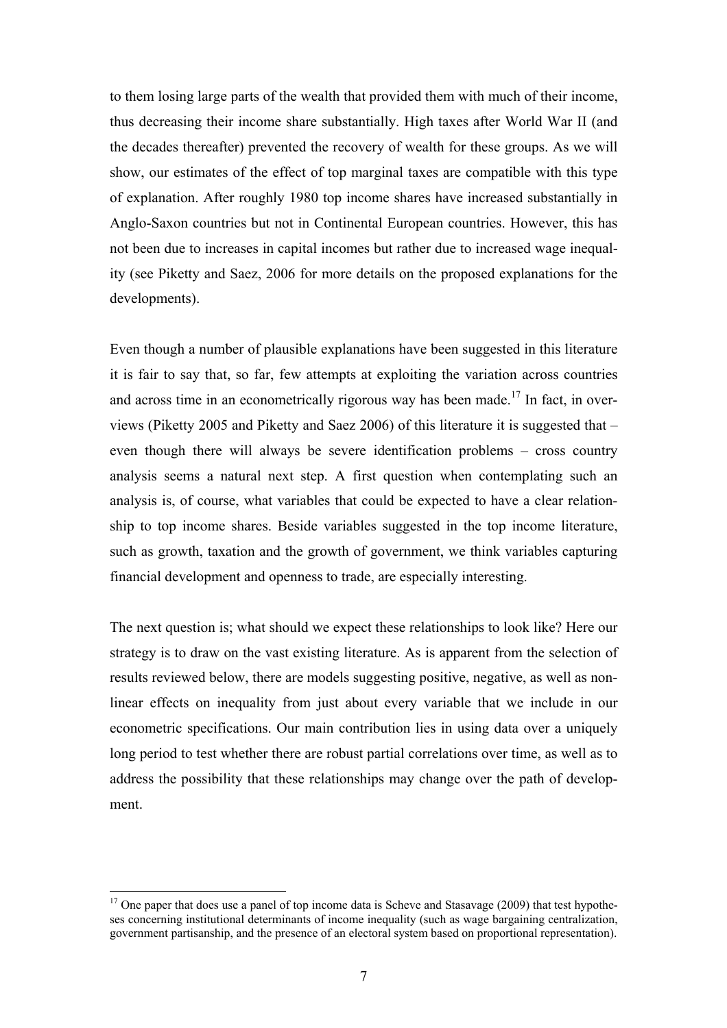to them losing large parts of the wealth that provided them with much of their income, thus decreasing their income share substantially. High taxes after World War II (and the decades thereafter) prevented the recovery of wealth for these groups. As we will show, our estimates of the effect of top marginal taxes are compatible with this type of explanation. After roughly 1980 top income shares have increased substantially in Anglo-Saxon countries but not in Continental European countries. However, this has not been due to increases in capital incomes but rather due to increased wage inequality (see Piketty and Saez, 2006 for more details on the proposed explanations for the developments).

Even though a number of plausible explanations have been suggested in this literature it is fair to say that, so far, few attempts at exploiting the variation across countries and across time in an econometrically rigorous way has been made.<sup>17</sup> In fact, in overviews (Piketty 2005 and Piketty and Saez 2006) of this literature it is suggested that – even though there will always be severe identification problems – cross country analysis seems a natural next step. A first question when contemplating such an analysis is, of course, what variables that could be expected to have a clear relationship to top income shares. Beside variables suggested in the top income literature, such as growth, taxation and the growth of government, we think variables capturing financial development and openness to trade, are especially interesting.

The next question is; what should we expect these relationships to look like? Here our strategy is to draw on the vast existing literature. As is apparent from the selection of results reviewed below, there are models suggesting positive, negative, as well as nonlinear effects on inequality from just about every variable that we include in our econometric specifications. Our main contribution lies in using data over a uniquely long period to test whether there are robust partial correlations over time, as well as to address the possibility that these relationships may change over the path of development.

<sup>&</sup>lt;sup>17</sup> One paper that does use a panel of top income data is Scheve and Stasavage (2009) that test hypotheses concerning institutional determinants of income inequality (such as wage bargaining centralization, government partisanship, and the presence of an electoral system based on proportional representation).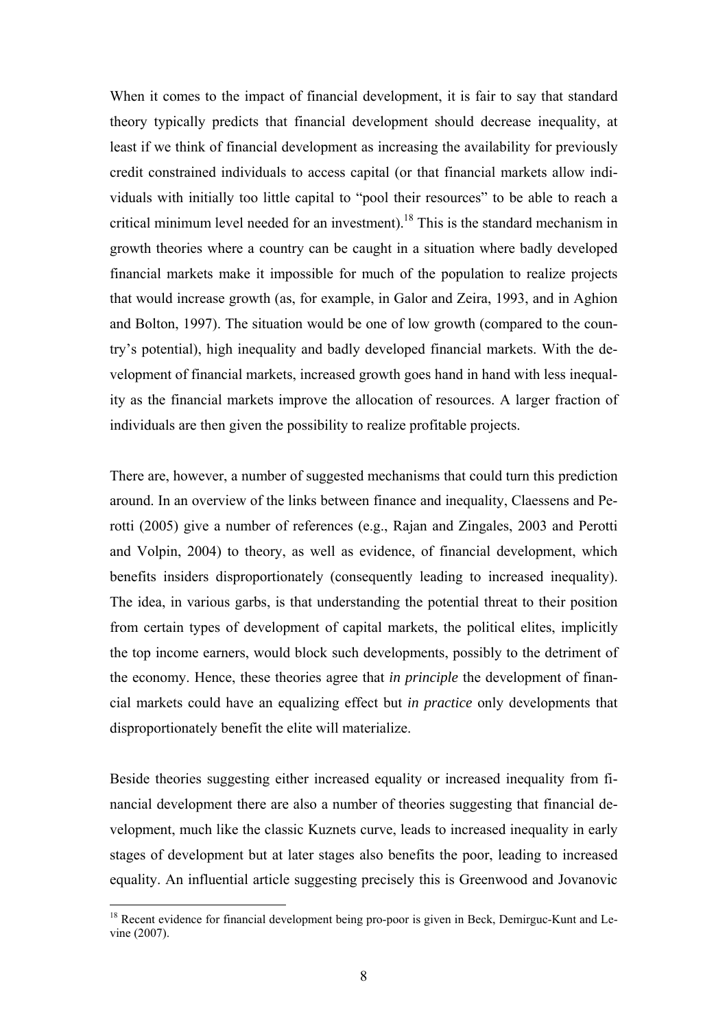When it comes to the impact of financial development, it is fair to say that standard theory typically predicts that financial development should decrease inequality, at least if we think of financial development as increasing the availability for previously credit constrained individuals to access capital (or that financial markets allow individuals with initially too little capital to "pool their resources" to be able to reach a critical minimum level needed for an investment).<sup>18</sup> This is the standard mechanism in growth theories where a country can be caught in a situation where badly developed financial markets make it impossible for much of the population to realize projects that would increase growth (as, for example, in Galor and Zeira, 1993, and in Aghion and Bolton, 1997). The situation would be one of low growth (compared to the country's potential), high inequality and badly developed financial markets. With the development of financial markets, increased growth goes hand in hand with less inequality as the financial markets improve the allocation of resources. A larger fraction of individuals are then given the possibility to realize profitable projects.

There are, however, a number of suggested mechanisms that could turn this prediction around. In an overview of the links between finance and inequality, Claessens and Perotti (2005) give a number of references (e.g., Rajan and Zingales, 2003 and Perotti and Volpin, 2004) to theory, as well as evidence, of financial development, which benefits insiders disproportionately (consequently leading to increased inequality). The idea, in various garbs, is that understanding the potential threat to their position from certain types of development of capital markets, the political elites, implicitly the top income earners, would block such developments, possibly to the detriment of the economy. Hence, these theories agree that *in principle* the development of financial markets could have an equalizing effect but *in practice* only developments that disproportionately benefit the elite will materialize.

Beside theories suggesting either increased equality or increased inequality from financial development there are also a number of theories suggesting that financial development, much like the classic Kuznets curve, leads to increased inequality in early stages of development but at later stages also benefits the poor, leading to increased equality. An influential article suggesting precisely this is Greenwood and Jovanovic

<sup>&</sup>lt;sup>18</sup> Recent evidence for financial development being pro-poor is given in Beck, Demirguc-Kunt and Levine (2007).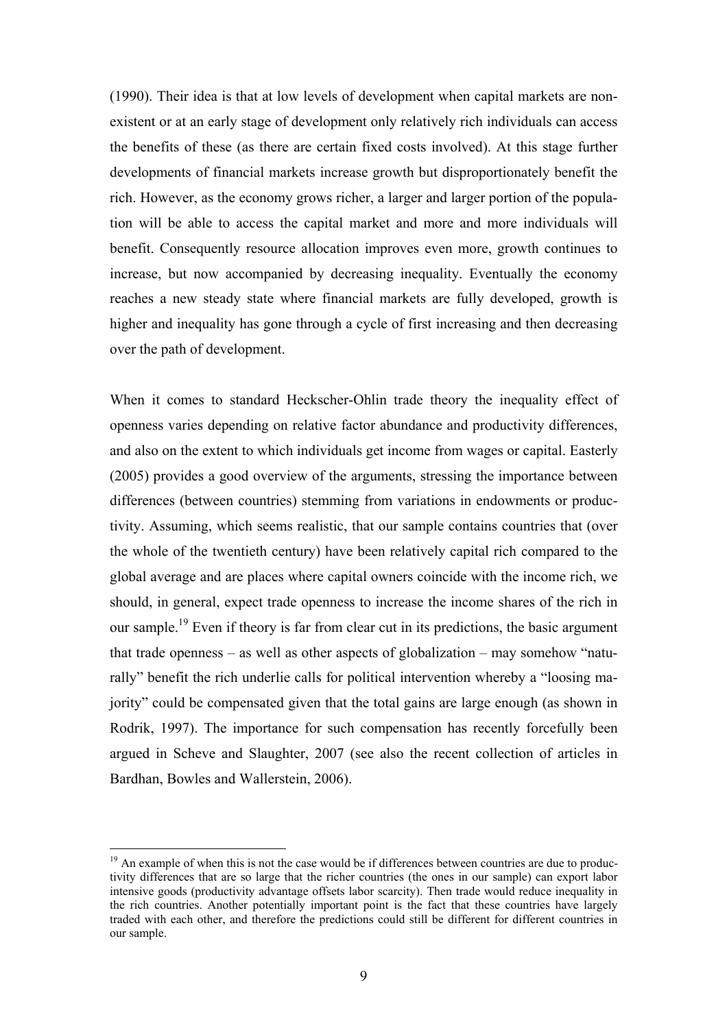(1990). Their idea is that at low levels of development when capital markets are nonexistent or at an early stage of development only relatively rich individuals can access the benefits of these (as there are certain fixed costs involved). At this stage further developments of financial markets increase growth but disproportionately benefit the rich. However, as the economy grows richer, a larger and larger portion of the population will be able to access the capital market and more and more individuals will benefit. Consequently resource allocation improves even more, growth continues to increase, but now accompanied by decreasing inequality. Eventually the economy reaches a new steady state where financial markets are fully developed, growth is higher and inequality has gone through a cycle of first increasing and then decreasing over the path of development.

When it comes to standard Heckscher-Ohlin trade theory the inequality effect of openness varies depending on relative factor abundance and productivity differences, and also on the extent to which individuals get income from wages or capital. Easterly (2005) provides a good overview of the arguments, stressing the importance between differences (between countries) stemming from variations in endowments or productivity. Assuming, which seems realistic, that our sample contains countries that (over the whole of the twentieth century) have been relatively capital rich compared to the global average and are places where capital owners coincide with the income rich, we should, in general, expect trade openness to increase the income shares of the rich in our sample.<sup>19</sup> Even if theory is far from clear cut in its predictions, the basic argument that trade openness – as well as other aspects of globalization – may somehow "naturally" benefit the rich underlie calls for political intervention whereby a "loosing majority" could be compensated given that the total gains are large enough (as shown in Rodrik, 1997). The importance for such compensation has recently forcefully been argued in Scheve and Slaughter, 2007 (see also the recent collection of articles in Bardhan, Bowles and Wallerstein, 2006).

<sup>&</sup>lt;sup>19</sup> An example of when this is not the case would be if differences between countries are due to productivity differences that are so large that the richer countries (the ones in our sample) can export labor intensive goods (productivity advantage offsets labor scarcity). Then trade would reduce inequality in the rich countries. Another potentially important point is the fact that these countries have largely traded with each other, and therefore the predictions could still be different for different countries in our sample.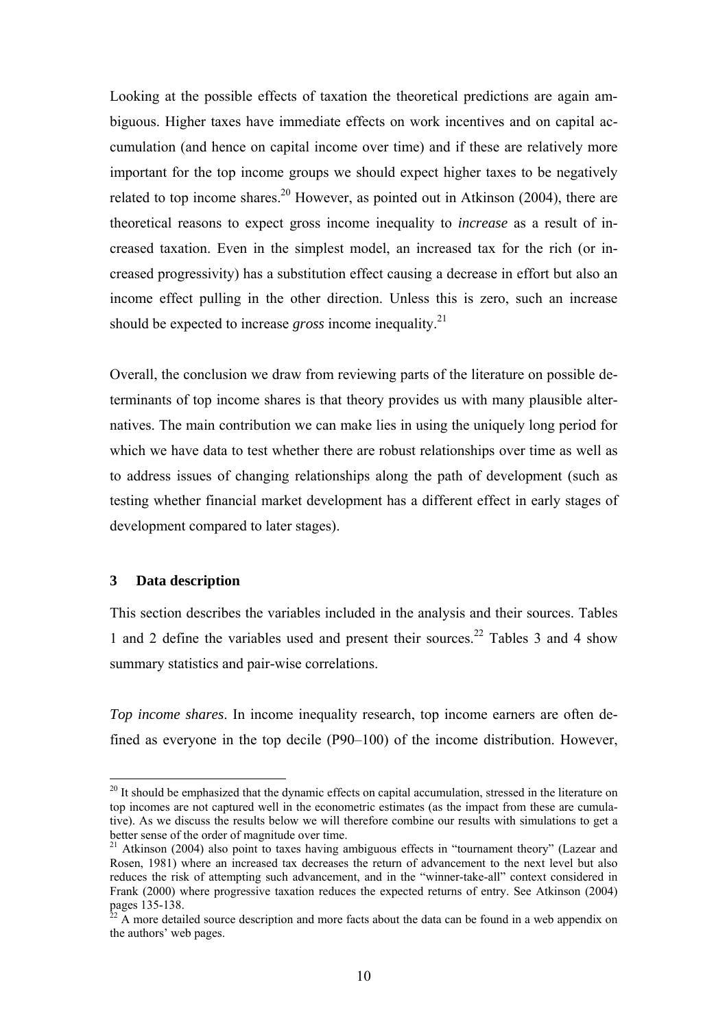Looking at the possible effects of taxation the theoretical predictions are again ambiguous. Higher taxes have immediate effects on work incentives and on capital accumulation (and hence on capital income over time) and if these are relatively more important for the top income groups we should expect higher taxes to be negatively related to top income shares.<sup>20</sup> However, as pointed out in Atkinson (2004), there are theoretical reasons to expect gross income inequality to *increase* as a result of increased taxation. Even in the simplest model, an increased tax for the rich (or increased progressivity) has a substitution effect causing a decrease in effort but also an income effect pulling in the other direction. Unless this is zero, such an increase should be expected to increase *gross* income inequality.<sup>21</sup>

Overall, the conclusion we draw from reviewing parts of the literature on possible determinants of top income shares is that theory provides us with many plausible alternatives. The main contribution we can make lies in using the uniquely long period for which we have data to test whether there are robust relationships over time as well as to address issues of changing relationships along the path of development (such as testing whether financial market development has a different effect in early stages of development compared to later stages).

#### **3 Data description**

 $\overline{a}$ 

This section describes the variables included in the analysis and their sources. Tables 1 and 2 define the variables used and present their sources.<sup>22</sup> Tables 3 and 4 show summary statistics and pair-wise correlations.

*Top income shares*. In income inequality research, top income earners are often defined as everyone in the top decile (P90–100) of the income distribution. However,

<sup>&</sup>lt;sup>20</sup> It should be emphasized that the dynamic effects on capital accumulation, stressed in the literature on top incomes are not captured well in the econometric estimates (as the impact from these are cumulative). As we discuss the results below we will therefore combine our results with simulations to get a better sense of the order of magnitude over time.

<sup>&</sup>lt;sup>21</sup> Atkinson (2004) also point to taxes having ambiguous effects in "tournament theory" (Lazear and Rosen, 1981) where an increased tax decreases the return of advancement to the next level but also reduces the risk of attempting such advancement, and in the "winner-take-all" context considered in Frank (2000) where progressive taxation reduces the expected returns of entry. See Atkinson (2004) pages 135-138.

 $^{22}$  A more detailed source description and more facts about the data can be found in a web appendix on the authors' web pages.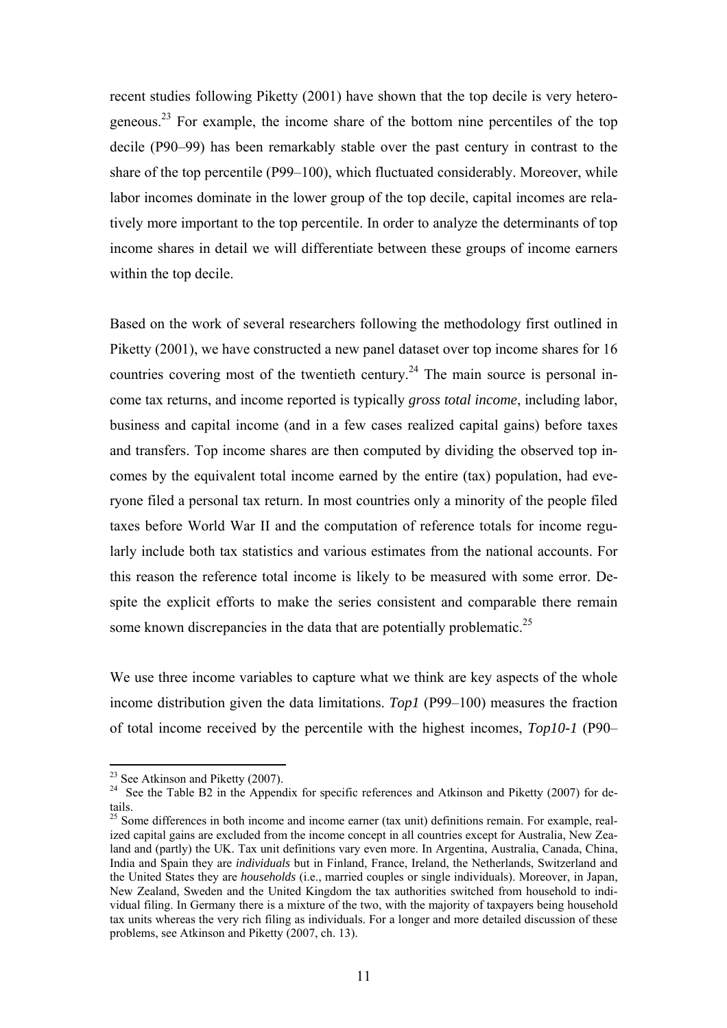recent studies following Piketty (2001) have shown that the top decile is very heterogeneous.23 For example, the income share of the bottom nine percentiles of the top decile (P90–99) has been remarkably stable over the past century in contrast to the share of the top percentile (P99–100), which fluctuated considerably. Moreover, while labor incomes dominate in the lower group of the top decile, capital incomes are relatively more important to the top percentile. In order to analyze the determinants of top income shares in detail we will differentiate between these groups of income earners within the top decile.

Based on the work of several researchers following the methodology first outlined in Piketty (2001), we have constructed a new panel dataset over top income shares for 16 countries covering most of the twentieth century.<sup>24</sup> The main source is personal income tax returns, and income reported is typically *gross total income*, including labor, business and capital income (and in a few cases realized capital gains) before taxes and transfers. Top income shares are then computed by dividing the observed top incomes by the equivalent total income earned by the entire (tax) population, had everyone filed a personal tax return. In most countries only a minority of the people filed taxes before World War II and the computation of reference totals for income regularly include both tax statistics and various estimates from the national accounts. For this reason the reference total income is likely to be measured with some error. Despite the explicit efforts to make the series consistent and comparable there remain some known discrepancies in the data that are potentially problematic.<sup>25</sup>

We use three income variables to capture what we think are key aspects of the whole income distribution given the data limitations. *Top1* (P99–100) measures the fraction of total income received by the percentile with the highest incomes, *Top10-1* (P90–

 $23$  See Atkinson and Piketty (2007).

<sup>&</sup>lt;sup>24</sup> See the Table B2 in the Appendix for specific references and Atkinson and Piketty (2007) for details.

<sup>&</sup>lt;sup>25</sup> Some differences in both income and income earner (tax unit) definitions remain. For example, realized capital gains are excluded from the income concept in all countries except for Australia, New Zealand and (partly) the UK. Tax unit definitions vary even more. In Argentina, Australia, Canada, China, India and Spain they are *individuals* but in Finland, France, Ireland, the Netherlands, Switzerland and the United States they are *households* (i.e., married couples or single individuals). Moreover, in Japan, New Zealand, Sweden and the United Kingdom the tax authorities switched from household to individual filing. In Germany there is a mixture of the two, with the majority of taxpayers being household tax units whereas the very rich filing as individuals. For a longer and more detailed discussion of these problems, see Atkinson and Piketty (2007, ch. 13).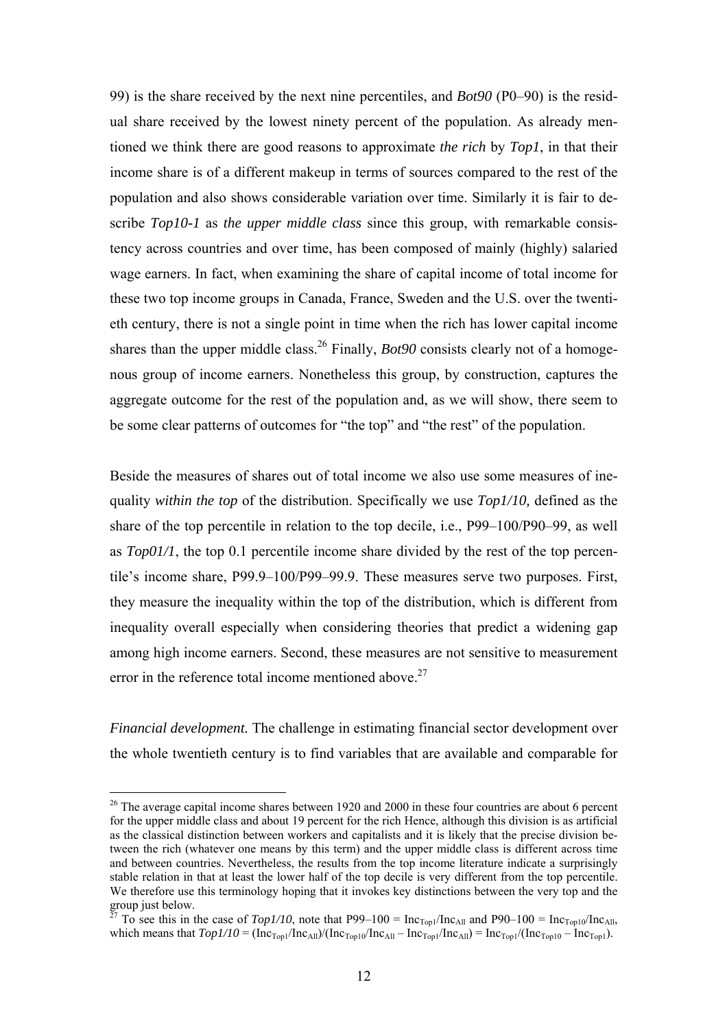99) is the share received by the next nine percentiles, and *Bot90* (P0–90) is the residual share received by the lowest ninety percent of the population. As already mentioned we think there are good reasons to approximate *the rich* by *Top1*, in that their income share is of a different makeup in terms of sources compared to the rest of the population and also shows considerable variation over time. Similarly it is fair to describe *Top10-1* as *the upper middle class* since this group, with remarkable consistency across countries and over time, has been composed of mainly (highly) salaried wage earners. In fact, when examining the share of capital income of total income for these two top income groups in Canada, France, Sweden and the U.S. over the twentieth century, there is not a single point in time when the rich has lower capital income shares than the upper middle class.<sup>26</sup> Finally, *Bot90* consists clearly not of a homogenous group of income earners. Nonetheless this group, by construction, captures the aggregate outcome for the rest of the population and, as we will show, there seem to be some clear patterns of outcomes for "the top" and "the rest" of the population.

Beside the measures of shares out of total income we also use some measures of inequality *within the top* of the distribution. Specifically we use *Top1/10,* defined as the share of the top percentile in relation to the top decile, i.e., P99–100/P90–99, as well as *Top01/1*, the top 0.1 percentile income share divided by the rest of the top percentile's income share, P99.9–100/P99–99.9. These measures serve two purposes. First, they measure the inequality within the top of the distribution, which is different from inequality overall especially when considering theories that predict a widening gap among high income earners. Second, these measures are not sensitive to measurement error in the reference total income mentioned above.<sup>27</sup>

*Financial development.* The challenge in estimating financial sector development over the whole twentieth century is to find variables that are available and comparable for

<sup>&</sup>lt;sup>26</sup> The average capital income shares between 1920 and 2000 in these four countries are about 6 percent for the upper middle class and about 19 percent for the rich Hence, although this division is as artificial as the classical distinction between workers and capitalists and it is likely that the precise division between the rich (whatever one means by this term) and the upper middle class is different across time and between countries. Nevertheless, the results from the top income literature indicate a surprisingly stable relation in that at least the lower half of the top decile is very different from the top percentile. We therefore use this terminology hoping that it invokes key distinctions between the very top and the group just below.

<sup>&</sup>lt;sup>27</sup> To see this in the case of *Top1/10*, note that P99–100 =  $Inc_{Top1}/Inc_{All}$  and P90–100 =  $Inc_{Top10}/Inc_{All}$ , which means that  $Top1/10 = (Inc<sub>Top1</sub>/Inc<sub>Al</sub>)/(Inc<sub>Top10</sub>/Inc<sub>Al</sub> – Inc<sub>Top1</sub>/Inc<sub>Al</sub>) = Inc<sub>Top1</sub>/(Inc<sub>Top10</sub> – Inc<sub>Top1</sub>).$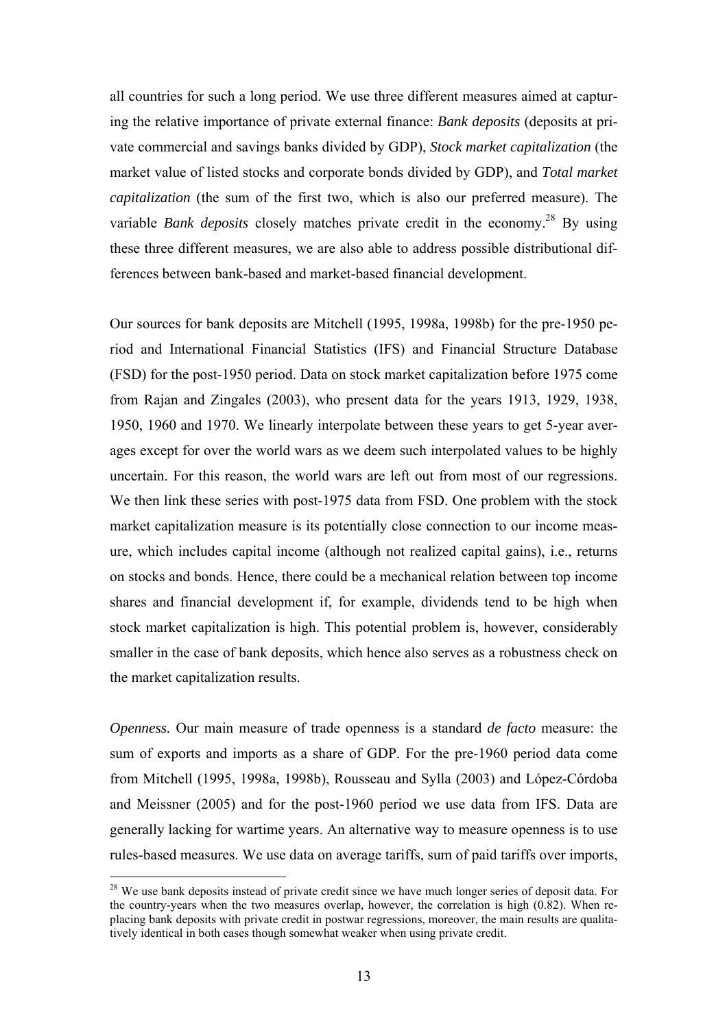all countries for such a long period. We use three different measures aimed at capturing the relative importance of private external finance: *Bank deposits* (deposits at private commercial and savings banks divided by GDP), *Stock market capitalization* (the market value of listed stocks and corporate bonds divided by GDP), and *Total market capitalization* (the sum of the first two, which is also our preferred measure). The variable *Bank deposits* closely matches private credit in the economy.<sup>28</sup> By using these three different measures, we are also able to address possible distributional differences between bank-based and market-based financial development.

Our sources for bank deposits are Mitchell (1995, 1998a, 1998b) for the pre-1950 period and International Financial Statistics (IFS) and Financial Structure Database (FSD) for the post-1950 period. Data on stock market capitalization before 1975 come from Rajan and Zingales (2003), who present data for the years 1913, 1929, 1938, 1950, 1960 and 1970. We linearly interpolate between these years to get 5-year averages except for over the world wars as we deem such interpolated values to be highly uncertain. For this reason, the world wars are left out from most of our regressions. We then link these series with post-1975 data from FSD. One problem with the stock market capitalization measure is its potentially close connection to our income measure, which includes capital income (although not realized capital gains), i.e., returns on stocks and bonds. Hence, there could be a mechanical relation between top income shares and financial development if, for example, dividends tend to be high when stock market capitalization is high. This potential problem is, however, considerably smaller in the case of bank deposits, which hence also serves as a robustness check on the market capitalization results.

*Openness.* Our main measure of trade openness is a standard *de facto* measure: the sum of exports and imports as a share of GDP. For the pre-1960 period data come from Mitchell (1995, 1998a, 1998b), Rousseau and Sylla (2003) and López-Córdoba and Meissner (2005) and for the post-1960 period we use data from IFS. Data are generally lacking for wartime years. An alternative way to measure openness is to use rules-based measures. We use data on average tariffs, sum of paid tariffs over imports,

<sup>&</sup>lt;sup>28</sup> We use bank deposits instead of private credit since we have much longer series of deposit data. For the country-years when the two measures overlap, however, the correlation is high (0.82). When replacing bank deposits with private credit in postwar regressions, moreover, the main results are qualitatively identical in both cases though somewhat weaker when using private credit.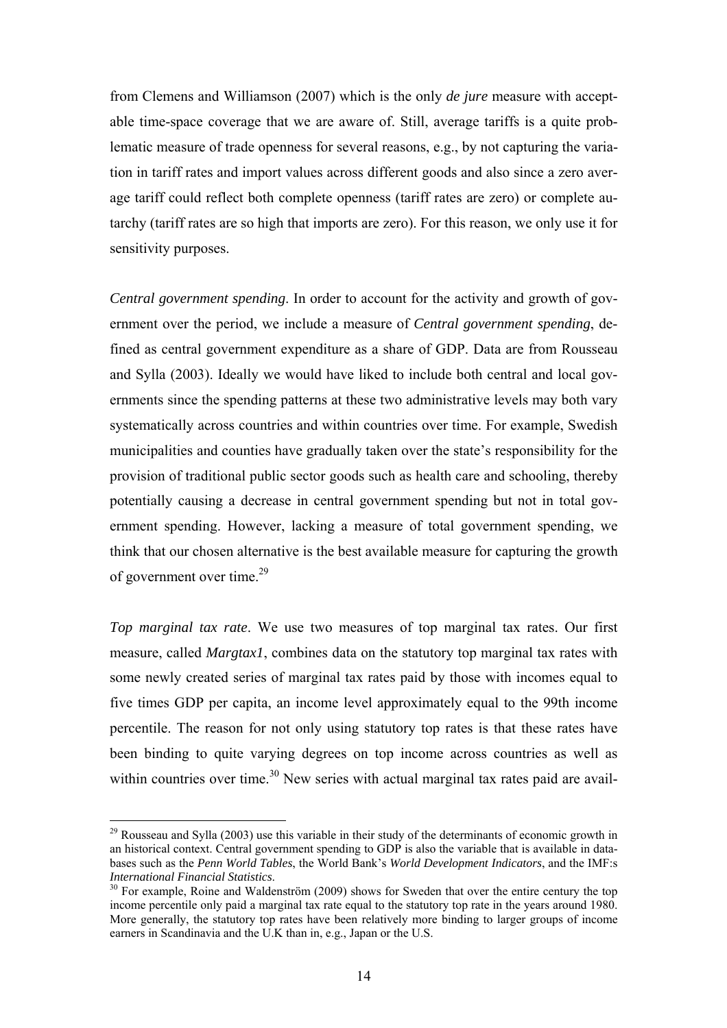from Clemens and Williamson (2007) which is the only *de jure* measure with acceptable time-space coverage that we are aware of. Still, average tariffs is a quite problematic measure of trade openness for several reasons, e.g., by not capturing the variation in tariff rates and import values across different goods and also since a zero average tariff could reflect both complete openness (tariff rates are zero) or complete autarchy (tariff rates are so high that imports are zero). For this reason, we only use it for sensitivity purposes.

*Central government spending*. In order to account for the activity and growth of government over the period, we include a measure of *Central government spending*, defined as central government expenditure as a share of GDP. Data are from Rousseau and Sylla (2003). Ideally we would have liked to include both central and local governments since the spending patterns at these two administrative levels may both vary systematically across countries and within countries over time. For example, Swedish municipalities and counties have gradually taken over the state's responsibility for the provision of traditional public sector goods such as health care and schooling, thereby potentially causing a decrease in central government spending but not in total government spending. However, lacking a measure of total government spending, we think that our chosen alternative is the best available measure for capturing the growth of government over time.29

*Top marginal tax rate*. We use two measures of top marginal tax rates. Our first measure, called *Margtax1*, combines data on the statutory top marginal tax rates with some newly created series of marginal tax rates paid by those with incomes equal to five times GDP per capita, an income level approximately equal to the 99th income percentile. The reason for not only using statutory top rates is that these rates have been binding to quite varying degrees on top income across countries as well as within countries over time.<sup>30</sup> New series with actual marginal tax rates paid are avail-

 $^{29}$  Rousseau and Sylla (2003) use this variable in their study of the determinants of economic growth in an historical context. Central government spending to GDP is also the variable that is available in databases such as the *Penn World Tables*, the World Bank's *World Development Indicators*, and the IMF:s *International Financial Statistics*.<br><sup>30</sup> For example, Roine and Waldenström (2009) shows for Sweden that over the entire century the top

income percentile only paid a marginal tax rate equal to the statutory top rate in the years around 1980. More generally, the statutory top rates have been relatively more binding to larger groups of income earners in Scandinavia and the U.K than in, e.g., Japan or the U.S.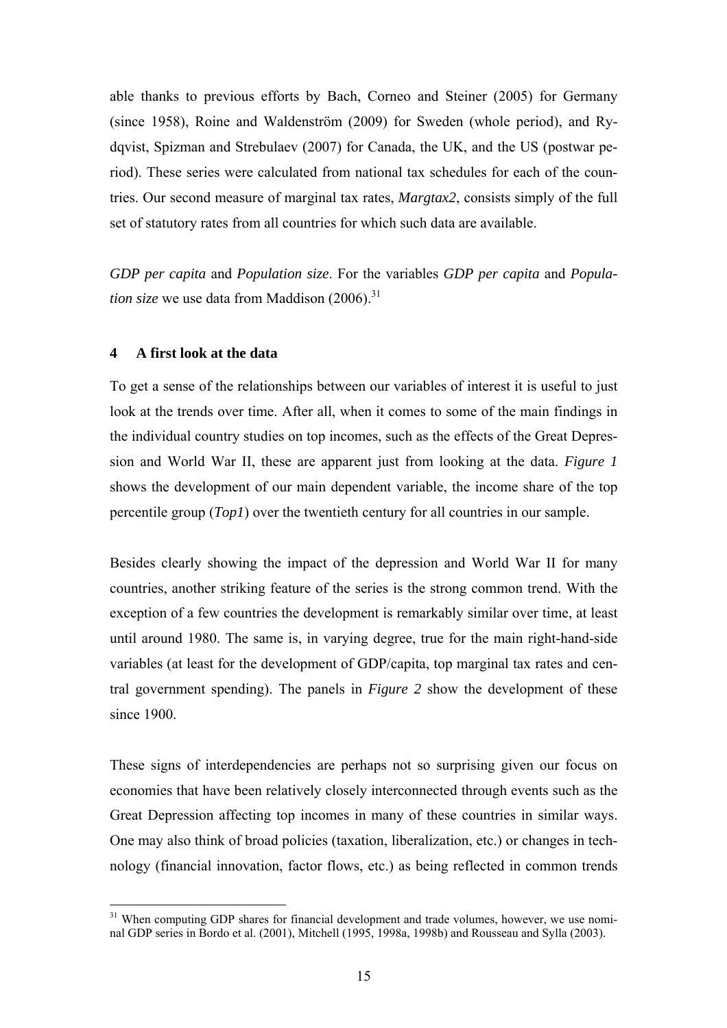able thanks to previous efforts by Bach, Corneo and Steiner (2005) for Germany (since 1958), Roine and Waldenström (2009) for Sweden (whole period), and Rydqvist, Spizman and Strebulaev (2007) for Canada, the UK, and the US (postwar period). These series were calculated from national tax schedules for each of the countries. Our second measure of marginal tax rates, *Margtax2*, consists simply of the full set of statutory rates from all countries for which such data are available.

*GDP per capita* and *Population size*. For the variables *GDP per capita* and *Population size* we use data from Maddison (2006).<sup>31</sup>

#### **4 A first look at the data**

 $\overline{a}$ 

To get a sense of the relationships between our variables of interest it is useful to just look at the trends over time. After all, when it comes to some of the main findings in the individual country studies on top incomes, such as the effects of the Great Depression and World War II, these are apparent just from looking at the data. *Figure 1* shows the development of our main dependent variable, the income share of the top percentile group (*Top1*) over the twentieth century for all countries in our sample.

Besides clearly showing the impact of the depression and World War II for many countries, another striking feature of the series is the strong common trend. With the exception of a few countries the development is remarkably similar over time, at least until around 1980. The same is, in varying degree, true for the main right-hand-side variables (at least for the development of GDP/capita, top marginal tax rates and central government spending). The panels in *Figure 2* show the development of these since 1900.

These signs of interdependencies are perhaps not so surprising given our focus on economies that have been relatively closely interconnected through events such as the Great Depression affecting top incomes in many of these countries in similar ways. One may also think of broad policies (taxation, liberalization, etc.) or changes in technology (financial innovation, factor flows, etc.) as being reflected in common trends

<sup>&</sup>lt;sup>31</sup> When computing GDP shares for financial development and trade volumes, however, we use nominal GDP series in Bordo et al. (2001), Mitchell (1995, 1998a, 1998b) and Rousseau and Sylla (2003).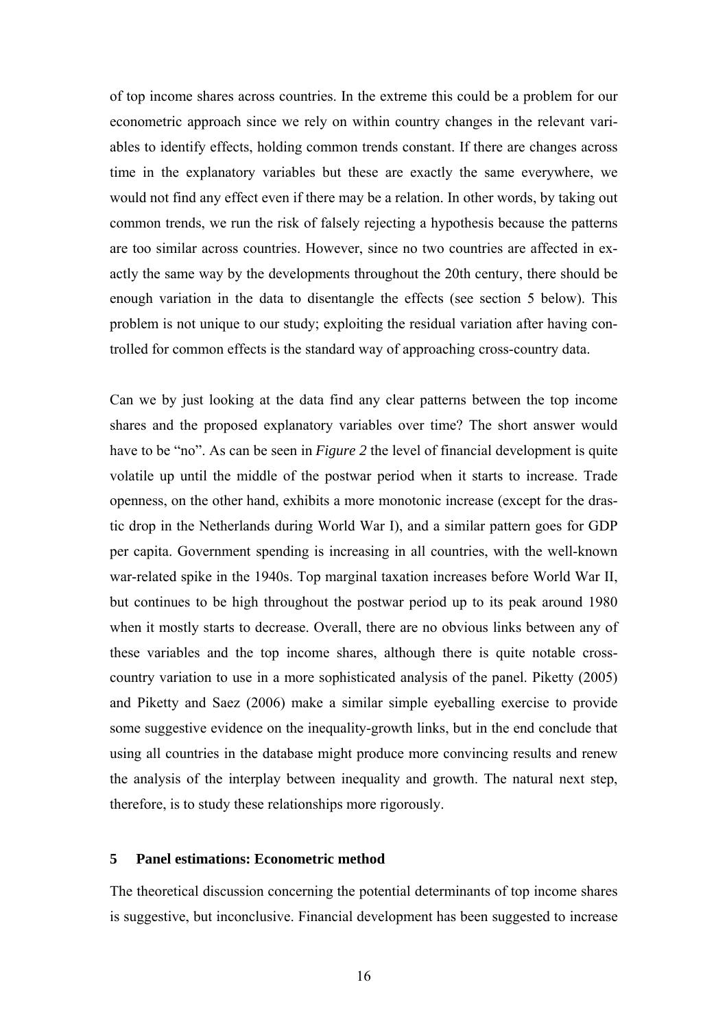of top income shares across countries. In the extreme this could be a problem for our econometric approach since we rely on within country changes in the relevant variables to identify effects, holding common trends constant. If there are changes across time in the explanatory variables but these are exactly the same everywhere, we would not find any effect even if there may be a relation. In other words, by taking out common trends, we run the risk of falsely rejecting a hypothesis because the patterns are too similar across countries. However, since no two countries are affected in exactly the same way by the developments throughout the 20th century, there should be enough variation in the data to disentangle the effects (see section 5 below). This problem is not unique to our study; exploiting the residual variation after having controlled for common effects is the standard way of approaching cross-country data.

Can we by just looking at the data find any clear patterns between the top income shares and the proposed explanatory variables over time? The short answer would have to be "no". As can be seen in *Figure 2* the level of financial development is quite volatile up until the middle of the postwar period when it starts to increase. Trade openness, on the other hand, exhibits a more monotonic increase (except for the drastic drop in the Netherlands during World War I), and a similar pattern goes for GDP per capita. Government spending is increasing in all countries, with the well-known war-related spike in the 1940s. Top marginal taxation increases before World War II, but continues to be high throughout the postwar period up to its peak around 1980 when it mostly starts to decrease. Overall, there are no obvious links between any of these variables and the top income shares, although there is quite notable crosscountry variation to use in a more sophisticated analysis of the panel. Piketty (2005) and Piketty and Saez (2006) make a similar simple eyeballing exercise to provide some suggestive evidence on the inequality-growth links, but in the end conclude that using all countries in the database might produce more convincing results and renew the analysis of the interplay between inequality and growth. The natural next step, therefore, is to study these relationships more rigorously.

#### **5 Panel estimations: Econometric method**

The theoretical discussion concerning the potential determinants of top income shares is suggestive, but inconclusive. Financial development has been suggested to increase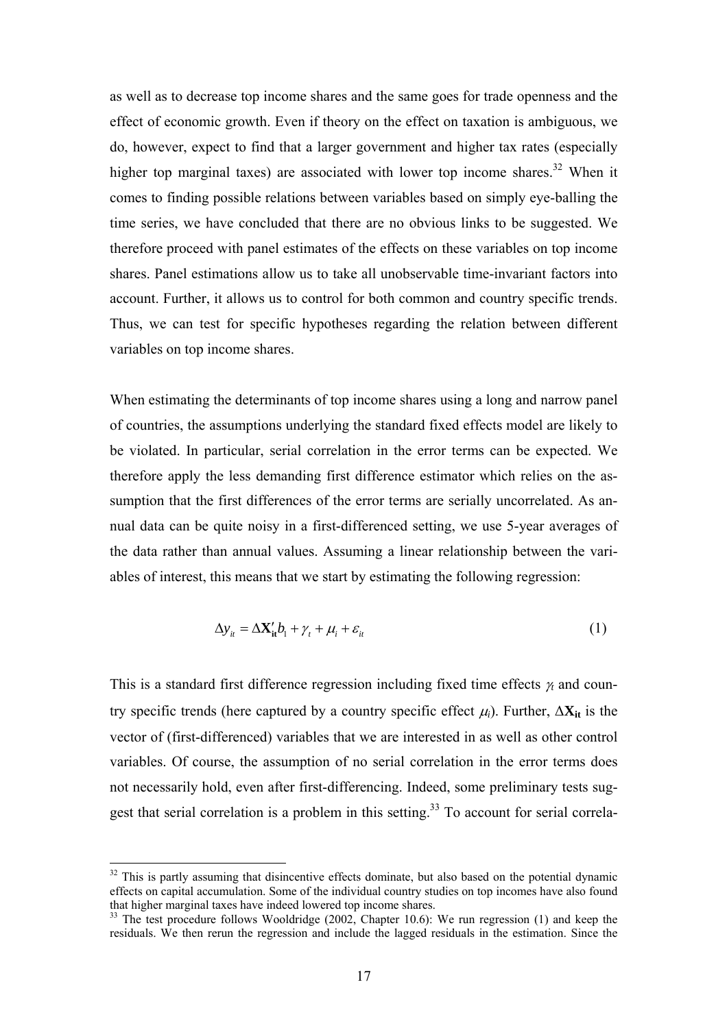as well as to decrease top income shares and the same goes for trade openness and the effect of economic growth. Even if theory on the effect on taxation is ambiguous, we do, however, expect to find that a larger government and higher tax rates (especially higher top marginal taxes) are associated with lower top income shares.<sup>32</sup> When it comes to finding possible relations between variables based on simply eye-balling the time series, we have concluded that there are no obvious links to be suggested. We therefore proceed with panel estimates of the effects on these variables on top income shares. Panel estimations allow us to take all unobservable time-invariant factors into account. Further, it allows us to control for both common and country specific trends. Thus, we can test for specific hypotheses regarding the relation between different variables on top income shares.

When estimating the determinants of top income shares using a long and narrow panel of countries, the assumptions underlying the standard fixed effects model are likely to be violated. In particular, serial correlation in the error terms can be expected. We therefore apply the less demanding first difference estimator which relies on the assumption that the first differences of the error terms are serially uncorrelated. As annual data can be quite noisy in a first-differenced setting, we use 5-year averages of the data rather than annual values. Assuming a linear relationship between the variables of interest, this means that we start by estimating the following regression:

$$
\Delta y_{it} = \Delta \mathbf{X}_{it}' b_1 + \gamma_t + \mu_i + \varepsilon_{it} \tag{1}
$$

This is a standard first difference regression including fixed time effects γ*t* and country specific trends (here captured by a country specific effect  $\mu_i$ ). Further,  $\Delta X_{it}$  is the vector of (first-differenced) variables that we are interested in as well as other control variables. Of course, the assumption of no serial correlation in the error terms does not necessarily hold, even after first-differencing. Indeed, some preliminary tests suggest that serial correlation is a problem in this setting.<sup>33</sup> To account for serial correla-

<sup>&</sup>lt;sup>32</sup> This is partly assuming that disincentive effects dominate, but also based on the potential dynamic effects on capital accumulation. Some of the individual country studies on top incomes have also found that higher marginal taxes have indeed lowered top income shares.

<sup>&</sup>lt;sup>33</sup> The test procedure follows Wooldridge (2002, Chapter 10.6): We run regression (1) and keep the residuals. We then rerun the regression and include the lagged residuals in the estimation. Since the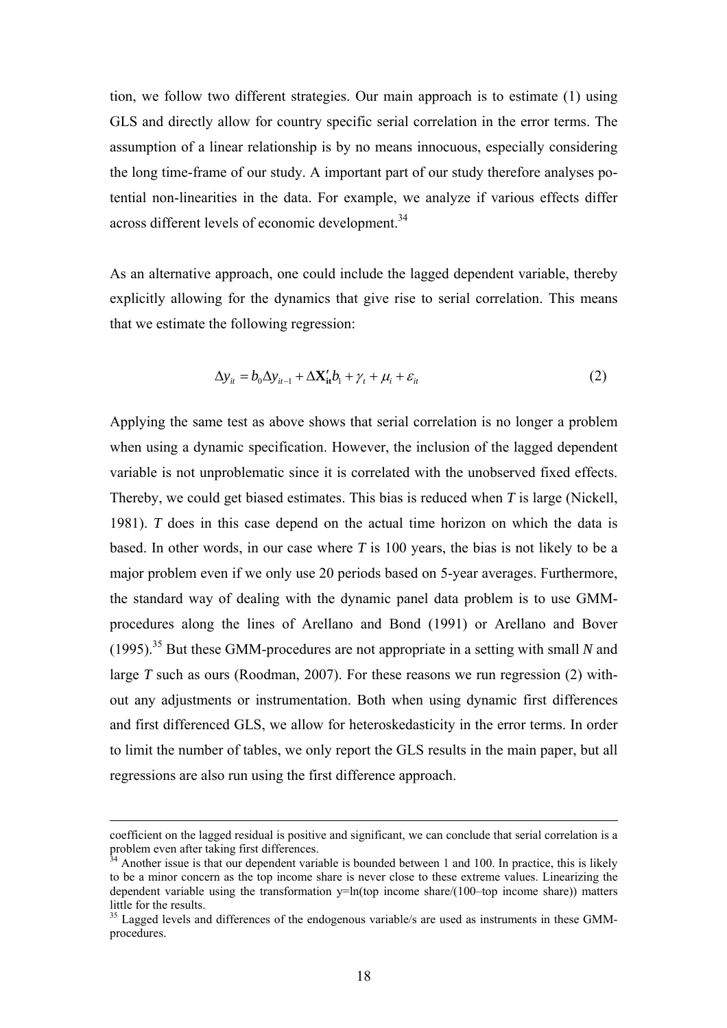tion, we follow two different strategies. Our main approach is to estimate (1) using GLS and directly allow for country specific serial correlation in the error terms. The assumption of a linear relationship is by no means innocuous, especially considering the long time-frame of our study. A important part of our study therefore analyses potential non-linearities in the data. For example, we analyze if various effects differ across different levels of economic development.<sup>34</sup>

As an alternative approach, one could include the lagged dependent variable, thereby explicitly allowing for the dynamics that give rise to serial correlation. This means that we estimate the following regression:

$$
\Delta y_{it} = b_0 \Delta y_{it-1} + \Delta \mathbf{X}'_{it} b_1 + \gamma_t + \mu_i + \varepsilon_{it}
$$
\n<sup>(2)</sup>

Applying the same test as above shows that serial correlation is no longer a problem when using a dynamic specification. However, the inclusion of the lagged dependent variable is not unproblematic since it is correlated with the unobserved fixed effects. Thereby, we could get biased estimates. This bias is reduced when *T* is large (Nickell, 1981). *T* does in this case depend on the actual time horizon on which the data is based. In other words, in our case where *T* is 100 years, the bias is not likely to be a major problem even if we only use 20 periods based on 5-year averages. Furthermore, the standard way of dealing with the dynamic panel data problem is to use GMMprocedures along the lines of Arellano and Bond (1991) or Arellano and Bover  $(1995)$ <sup>35</sup> But these GMM-procedures are not appropriate in a setting with small *N* and large *T* such as ours (Roodman, 2007). For these reasons we run regression (2) without any adjustments or instrumentation. Both when using dynamic first differences and first differenced GLS, we allow for heteroskedasticity in the error terms. In order to limit the number of tables, we only report the GLS results in the main paper, but all regressions are also run using the first difference approach.

coefficient on the lagged residual is positive and significant, we can conclude that serial correlation is a problem even after taking first differences.

 $34$  Another issue is that our dependent variable is bounded between 1 and 100. In practice, this is likely to be a minor concern as the top income share is never close to these extreme values. Linearizing the dependent variable using the transformation  $v=ln(t)$  income share/(100–top income share)) matters little for the results.

<sup>&</sup>lt;sup>35</sup> Lagged levels and differences of the endogenous variable/s are used as instruments in these GMMprocedures.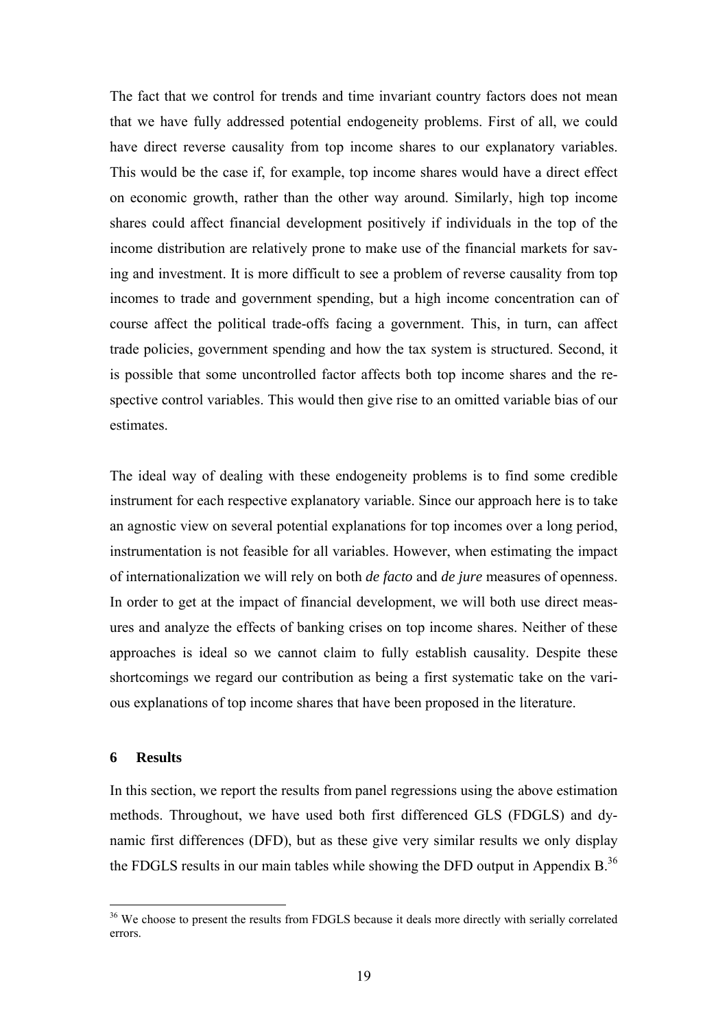The fact that we control for trends and time invariant country factors does not mean that we have fully addressed potential endogeneity problems. First of all, we could have direct reverse causality from top income shares to our explanatory variables. This would be the case if, for example, top income shares would have a direct effect on economic growth, rather than the other way around. Similarly, high top income shares could affect financial development positively if individuals in the top of the income distribution are relatively prone to make use of the financial markets for saving and investment. It is more difficult to see a problem of reverse causality from top incomes to trade and government spending, but a high income concentration can of course affect the political trade-offs facing a government. This, in turn, can affect trade policies, government spending and how the tax system is structured. Second, it is possible that some uncontrolled factor affects both top income shares and the respective control variables. This would then give rise to an omitted variable bias of our estimates.

The ideal way of dealing with these endogeneity problems is to find some credible instrument for each respective explanatory variable. Since our approach here is to take an agnostic view on several potential explanations for top incomes over a long period, instrumentation is not feasible for all variables. However, when estimating the impact of internationalization we will rely on both *de facto* and *de jure* measures of openness. In order to get at the impact of financial development, we will both use direct measures and analyze the effects of banking crises on top income shares. Neither of these approaches is ideal so we cannot claim to fully establish causality. Despite these shortcomings we regard our contribution as being a first systematic take on the various explanations of top income shares that have been proposed in the literature.

#### **6 Results**

 $\overline{a}$ 

In this section, we report the results from panel regressions using the above estimation methods. Throughout, we have used both first differenced GLS (FDGLS) and dynamic first differences (DFD), but as these give very similar results we only display the FDGLS results in our main tables while showing the DFD output in Appendix B.<sup>36</sup>

<sup>&</sup>lt;sup>36</sup> We choose to present the results from FDGLS because it deals more directly with serially correlated errors.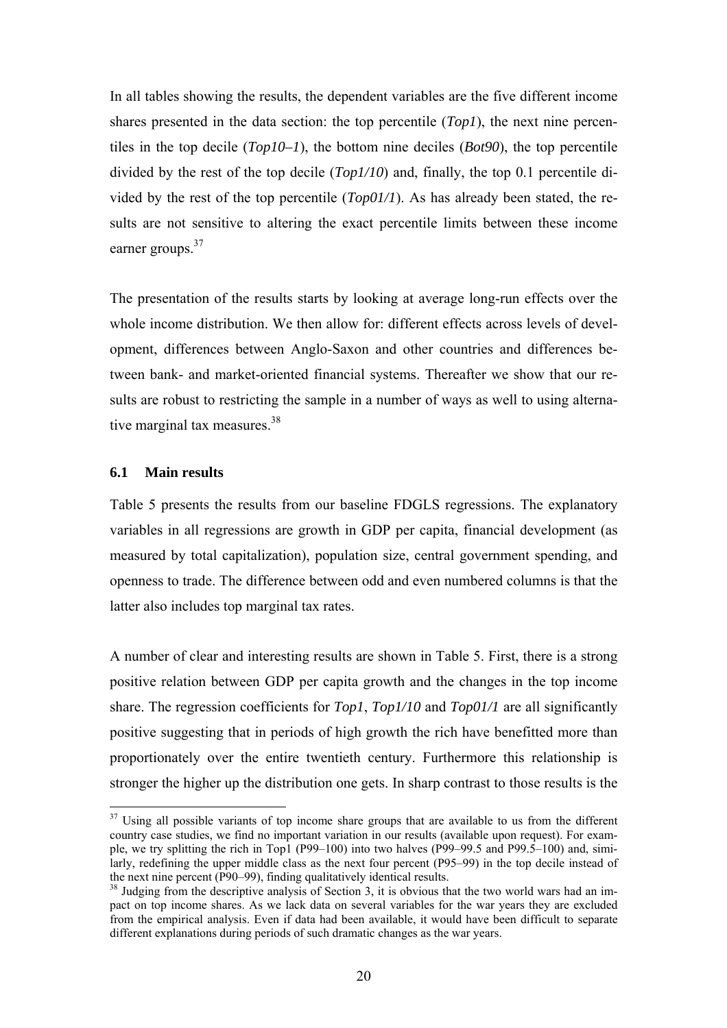In all tables showing the results, the dependent variables are the five different income shares presented in the data section: the top percentile (*Top1*), the next nine percentiles in the top decile (*Top10–1*), the bottom nine deciles (*Bot90*), the top percentile divided by the rest of the top decile (*Top1/10*) and, finally, the top 0.1 percentile divided by the rest of the top percentile (*Top01/1*). As has already been stated, the results are not sensitive to altering the exact percentile limits between these income earner groups.<sup>37</sup>

The presentation of the results starts by looking at average long-run effects over the whole income distribution. We then allow for: different effects across levels of development, differences between Anglo-Saxon and other countries and differences between bank- and market-oriented financial systems. Thereafter we show that our results are robust to restricting the sample in a number of ways as well to using alternative marginal tax measures.<sup>38</sup>

#### **6.1 Main results**

 $\overline{a}$ 

Table 5 presents the results from our baseline FDGLS regressions. The explanatory variables in all regressions are growth in GDP per capita, financial development (as measured by total capitalization), population size, central government spending, and openness to trade. The difference between odd and even numbered columns is that the latter also includes top marginal tax rates.

A number of clear and interesting results are shown in Table 5. First, there is a strong positive relation between GDP per capita growth and the changes in the top income share. The regression coefficients for *Top1*, *Top1/10* and *Top01/1* are all significantly positive suggesting that in periods of high growth the rich have benefitted more than proportionately over the entire twentieth century. Furthermore this relationship is stronger the higher up the distribution one gets. In sharp contrast to those results is the

 $37$  Using all possible variants of top income share groups that are available to us from the different country case studies, we find no important variation in our results (available upon request). For example, we try splitting the rich in Top1 (P99–100) into two halves (P99–99.5 and P99.5–100) and, similarly, redefining the upper middle class as the next four percent (P95–99) in the top decile instead of the next nine percent (P90–99), finding qualitatively identical results.

<sup>&</sup>lt;sup>38</sup> Judging from the descriptive analysis of Section 3, it is obvious that the two world wars had an impact on top income shares. As we lack data on several variables for the war years they are excluded from the empirical analysis. Even if data had been available, it would have been difficult to separate different explanations during periods of such dramatic changes as the war years.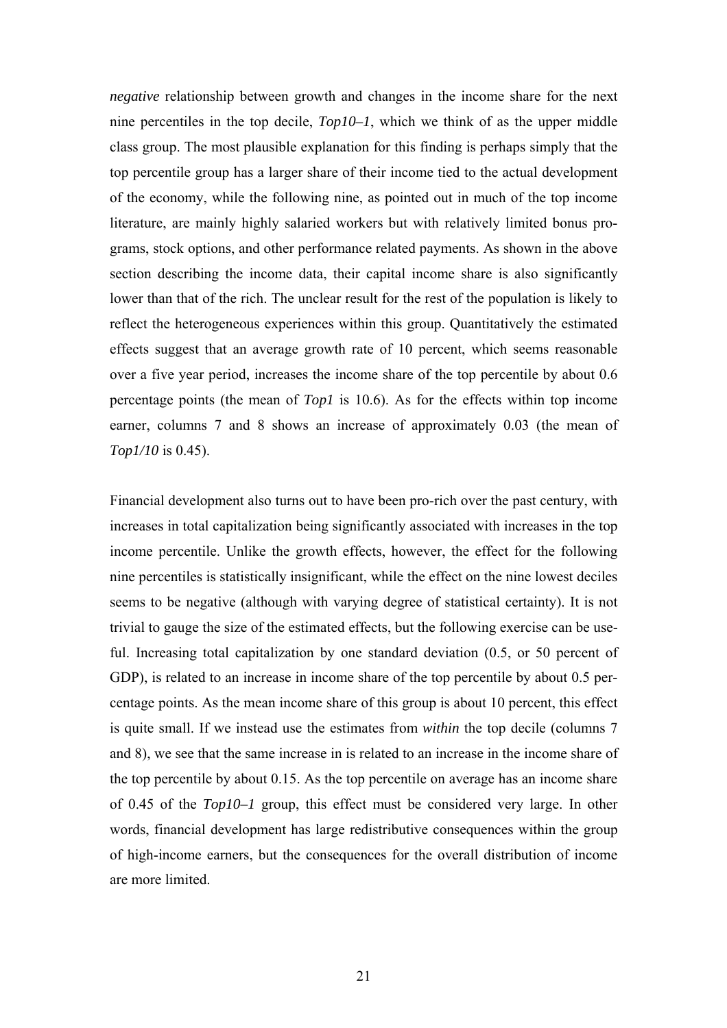*negative* relationship between growth and changes in the income share for the next nine percentiles in the top decile, *Top10–1*, which we think of as the upper middle class group. The most plausible explanation for this finding is perhaps simply that the top percentile group has a larger share of their income tied to the actual development of the economy, while the following nine, as pointed out in much of the top income literature, are mainly highly salaried workers but with relatively limited bonus programs, stock options, and other performance related payments. As shown in the above section describing the income data, their capital income share is also significantly lower than that of the rich. The unclear result for the rest of the population is likely to reflect the heterogeneous experiences within this group. Quantitatively the estimated effects suggest that an average growth rate of 10 percent, which seems reasonable over a five year period, increases the income share of the top percentile by about 0.6 percentage points (the mean of *Top1* is 10.6). As for the effects within top income earner, columns 7 and 8 shows an increase of approximately 0.03 (the mean of *Top1/10* is 0.45).

Financial development also turns out to have been pro-rich over the past century, with increases in total capitalization being significantly associated with increases in the top income percentile. Unlike the growth effects, however, the effect for the following nine percentiles is statistically insignificant, while the effect on the nine lowest deciles seems to be negative (although with varying degree of statistical certainty). It is not trivial to gauge the size of the estimated effects, but the following exercise can be useful. Increasing total capitalization by one standard deviation (0.5, or 50 percent of GDP), is related to an increase in income share of the top percentile by about 0.5 percentage points. As the mean income share of this group is about 10 percent, this effect is quite small. If we instead use the estimates from *within* the top decile (columns 7 and 8), we see that the same increase in is related to an increase in the income share of the top percentile by about 0.15. As the top percentile on average has an income share of 0.45 of the *Top10–1* group, this effect must be considered very large. In other words, financial development has large redistributive consequences within the group of high-income earners, but the consequences for the overall distribution of income are more limited.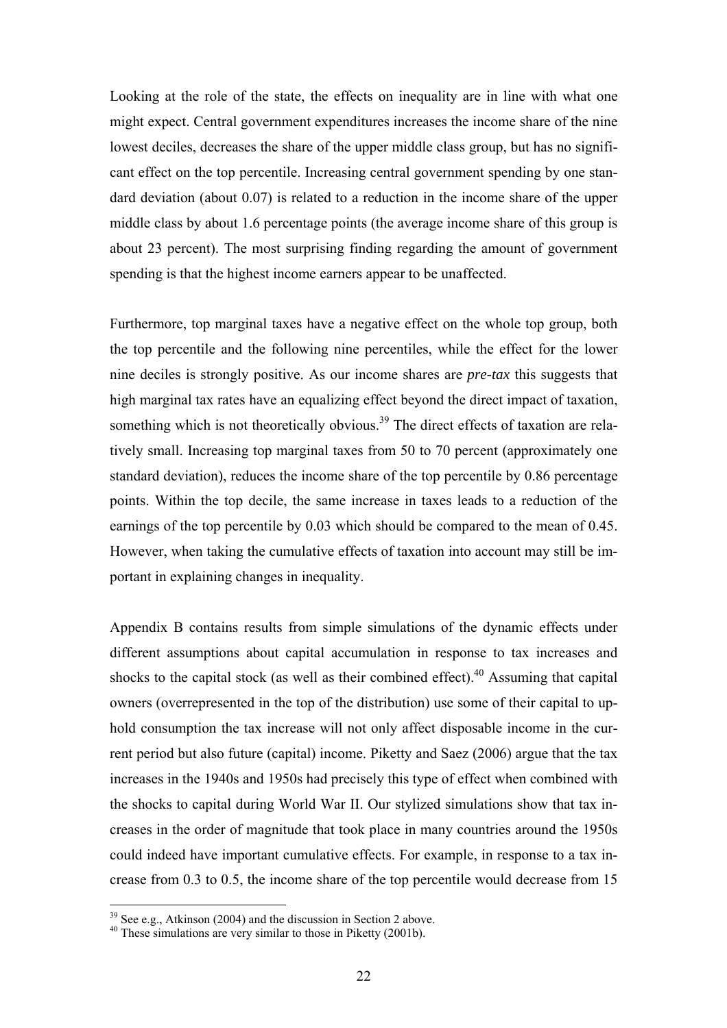Looking at the role of the state, the effects on inequality are in line with what one might expect. Central government expenditures increases the income share of the nine lowest deciles, decreases the share of the upper middle class group, but has no significant effect on the top percentile. Increasing central government spending by one standard deviation (about 0.07) is related to a reduction in the income share of the upper middle class by about 1.6 percentage points (the average income share of this group is about 23 percent). The most surprising finding regarding the amount of government spending is that the highest income earners appear to be unaffected.

Furthermore, top marginal taxes have a negative effect on the whole top group, both the top percentile and the following nine percentiles, while the effect for the lower nine deciles is strongly positive. As our income shares are *pre-tax* this suggests that high marginal tax rates have an equalizing effect beyond the direct impact of taxation, something which is not theoretically obvious.<sup>39</sup> The direct effects of taxation are relatively small. Increasing top marginal taxes from 50 to 70 percent (approximately one standard deviation), reduces the income share of the top percentile by 0.86 percentage points. Within the top decile, the same increase in taxes leads to a reduction of the earnings of the top percentile by 0.03 which should be compared to the mean of 0.45. However, when taking the cumulative effects of taxation into account may still be important in explaining changes in inequality.

Appendix B contains results from simple simulations of the dynamic effects under different assumptions about capital accumulation in response to tax increases and shocks to the capital stock (as well as their combined effect). $40$  Assuming that capital owners (overrepresented in the top of the distribution) use some of their capital to uphold consumption the tax increase will not only affect disposable income in the current period but also future (capital) income. Piketty and Saez (2006) argue that the tax increases in the 1940s and 1950s had precisely this type of effect when combined with the shocks to capital during World War II. Our stylized simulations show that tax increases in the order of magnitude that took place in many countries around the 1950s could indeed have important cumulative effects. For example, in response to a tax increase from 0.3 to 0.5, the income share of the top percentile would decrease from 15

 $39$  See e.g., Atkinson (2004) and the discussion in Section 2 above.

<sup>&</sup>lt;sup>40</sup> These simulations are very similar to those in Piketty (2001b).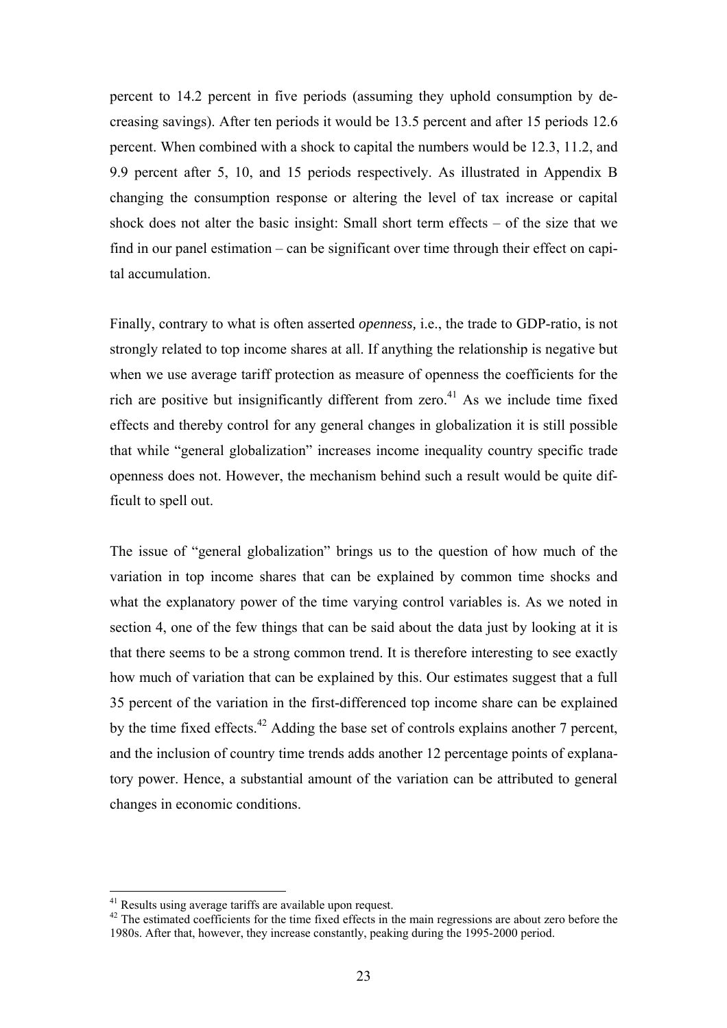percent to 14.2 percent in five periods (assuming they uphold consumption by decreasing savings). After ten periods it would be 13.5 percent and after 15 periods 12.6 percent. When combined with a shock to capital the numbers would be 12.3, 11.2, and 9.9 percent after 5, 10, and 15 periods respectively. As illustrated in Appendix B changing the consumption response or altering the level of tax increase or capital shock does not alter the basic insight: Small short term effects – of the size that we find in our panel estimation – can be significant over time through their effect on capital accumulation.

Finally, contrary to what is often asserted *openness,* i.e., the trade to GDP-ratio, is not strongly related to top income shares at all. If anything the relationship is negative but when we use average tariff protection as measure of openness the coefficients for the rich are positive but insignificantly different from zero.<sup>41</sup> As we include time fixed effects and thereby control for any general changes in globalization it is still possible that while "general globalization" increases income inequality country specific trade openness does not. However, the mechanism behind such a result would be quite difficult to spell out.

The issue of "general globalization" brings us to the question of how much of the variation in top income shares that can be explained by common time shocks and what the explanatory power of the time varying control variables is. As we noted in section 4, one of the few things that can be said about the data just by looking at it is that there seems to be a strong common trend. It is therefore interesting to see exactly how much of variation that can be explained by this. Our estimates suggest that a full 35 percent of the variation in the first-differenced top income share can be explained by the time fixed effects.<sup>42</sup> Adding the base set of controls explains another 7 percent, and the inclusion of country time trends adds another 12 percentage points of explanatory power. Hence, a substantial amount of the variation can be attributed to general changes in economic conditions.

<sup>&</sup>lt;sup>41</sup> Results using average tariffs are available upon request.

<sup>&</sup>lt;sup>42</sup> The estimated coefficients for the time fixed effects in the main regressions are about zero before the 1980s. After that, however, they increase constantly, peaking during the 1995-2000 period.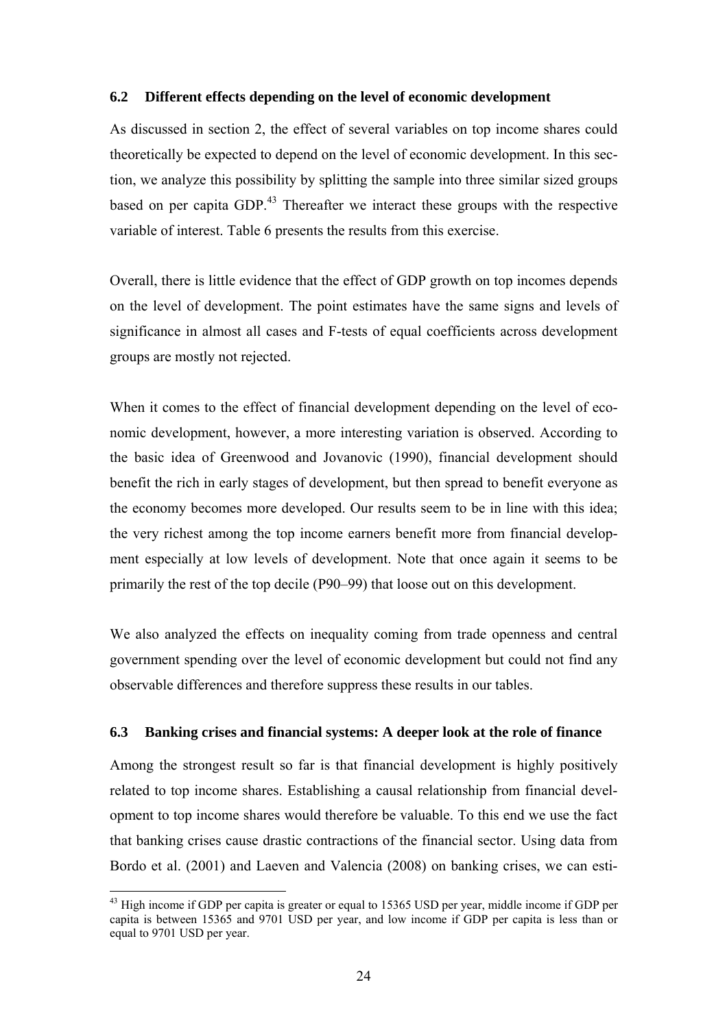#### **6.2 Different effects depending on the level of economic development**

As discussed in section 2, the effect of several variables on top income shares could theoretically be expected to depend on the level of economic development. In this section, we analyze this possibility by splitting the sample into three similar sized groups based on per capita  $GDP<sup>43</sup>$ . Thereafter we interact these groups with the respective variable of interest. Table 6 presents the results from this exercise.

Overall, there is little evidence that the effect of GDP growth on top incomes depends on the level of development. The point estimates have the same signs and levels of significance in almost all cases and F-tests of equal coefficients across development groups are mostly not rejected.

When it comes to the effect of financial development depending on the level of economic development, however, a more interesting variation is observed. According to the basic idea of Greenwood and Jovanovic (1990), financial development should benefit the rich in early stages of development, but then spread to benefit everyone as the economy becomes more developed. Our results seem to be in line with this idea; the very richest among the top income earners benefit more from financial development especially at low levels of development. Note that once again it seems to be primarily the rest of the top decile (P90–99) that loose out on this development.

We also analyzed the effects on inequality coming from trade openness and central government spending over the level of economic development but could not find any observable differences and therefore suppress these results in our tables.

#### **6.3 Banking crises and financial systems: A deeper look at the role of finance**

Among the strongest result so far is that financial development is highly positively related to top income shares. Establishing a causal relationship from financial development to top income shares would therefore be valuable. To this end we use the fact that banking crises cause drastic contractions of the financial sector. Using data from Bordo et al. (2001) and Laeven and Valencia (2008) on banking crises, we can esti-

<sup>&</sup>lt;sup>43</sup> High income if GDP per capita is greater or equal to 15365 USD per year, middle income if GDP per capita is between 15365 and 9701 USD per year, and low income if GDP per capita is less than or equal to 9701 USD per year.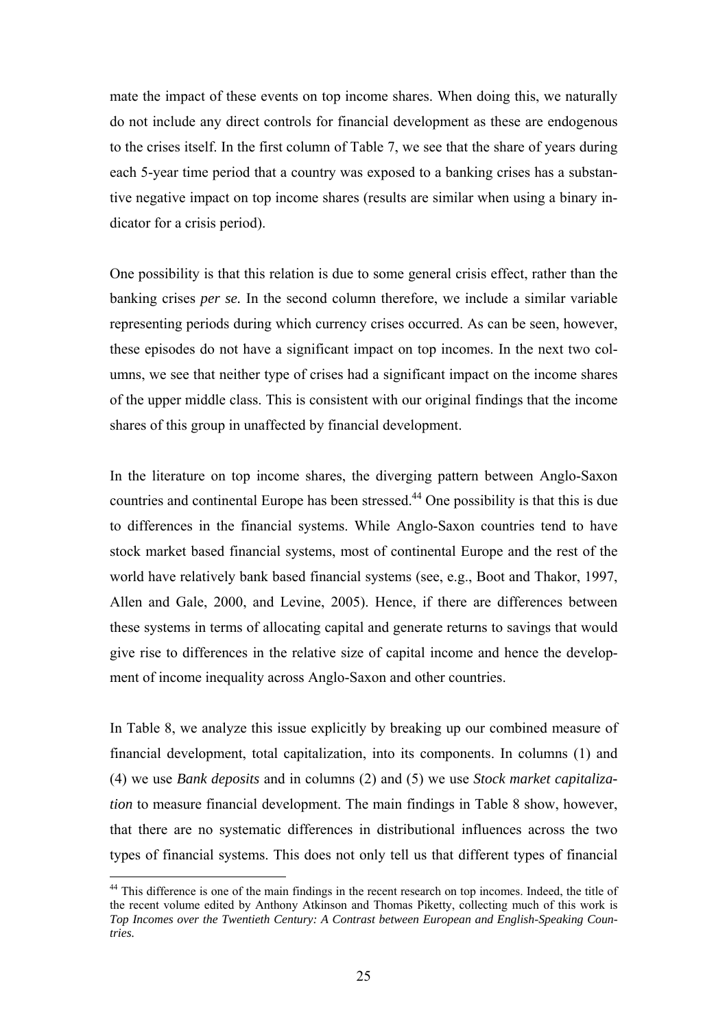mate the impact of these events on top income shares. When doing this, we naturally do not include any direct controls for financial development as these are endogenous to the crises itself. In the first column of Table 7, we see that the share of years during each 5-year time period that a country was exposed to a banking crises has a substantive negative impact on top income shares (results are similar when using a binary indicator for a crisis period).

One possibility is that this relation is due to some general crisis effect, rather than the banking crises *per se.* In the second column therefore, we include a similar variable representing periods during which currency crises occurred. As can be seen, however, these episodes do not have a significant impact on top incomes. In the next two columns, we see that neither type of crises had a significant impact on the income shares of the upper middle class. This is consistent with our original findings that the income shares of this group in unaffected by financial development.

In the literature on top income shares, the diverging pattern between Anglo-Saxon countries and continental Europe has been stressed.<sup>44</sup> One possibility is that this is due to differences in the financial systems. While Anglo-Saxon countries tend to have stock market based financial systems, most of continental Europe and the rest of the world have relatively bank based financial systems (see, e.g., Boot and Thakor, 1997, Allen and Gale, 2000, and Levine, 2005). Hence, if there are differences between these systems in terms of allocating capital and generate returns to savings that would give rise to differences in the relative size of capital income and hence the development of income inequality across Anglo-Saxon and other countries.

In Table 8, we analyze this issue explicitly by breaking up our combined measure of financial development, total capitalization, into its components. In columns (1) and (4) we use *Bank deposits* and in columns (2) and (5) we use *Stock market capitalization* to measure financial development. The main findings in Table 8 show, however, that there are no systematic differences in distributional influences across the two types of financial systems. This does not only tell us that different types of financial

<sup>&</sup>lt;sup>44</sup> This difference is one of the main findings in the recent research on top incomes. Indeed, the title of the recent volume edited by Anthony Atkinson and Thomas Piketty, collecting much of this work is *Top Incomes over the Twentieth Century: A Contrast between European and English-Speaking Countries.*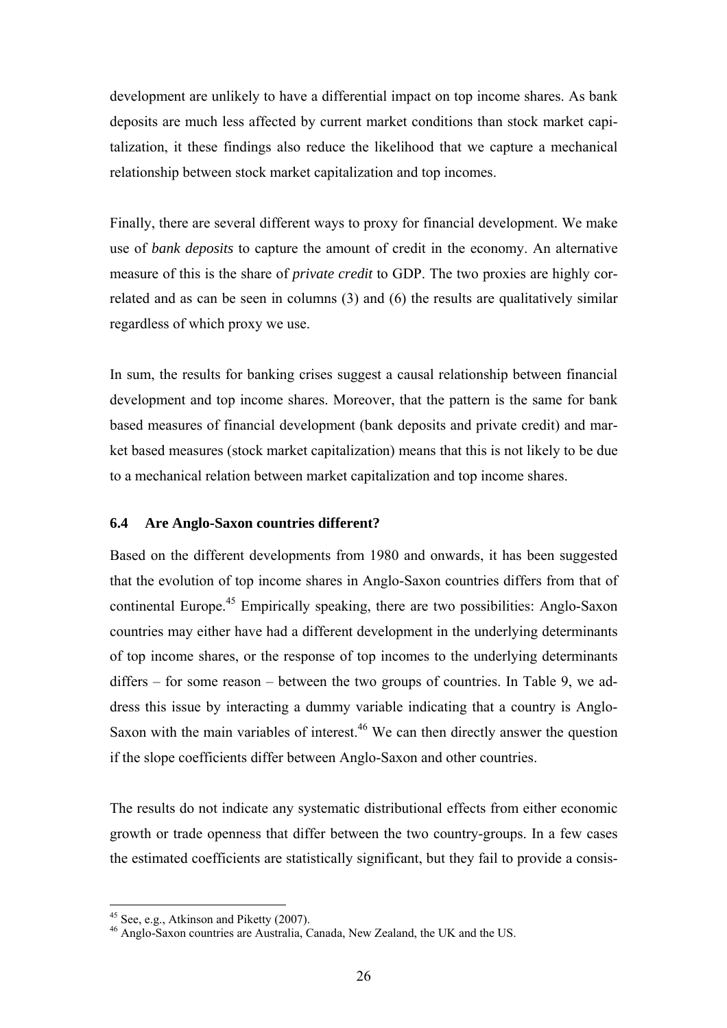development are unlikely to have a differential impact on top income shares. As bank deposits are much less affected by current market conditions than stock market capitalization, it these findings also reduce the likelihood that we capture a mechanical relationship between stock market capitalization and top incomes.

Finally, there are several different ways to proxy for financial development. We make use of *bank deposits* to capture the amount of credit in the economy. An alternative measure of this is the share of *private credit* to GDP. The two proxies are highly correlated and as can be seen in columns (3) and (6) the results are qualitatively similar regardless of which proxy we use.

In sum, the results for banking crises suggest a causal relationship between financial development and top income shares. Moreover, that the pattern is the same for bank based measures of financial development (bank deposits and private credit) and market based measures (stock market capitalization) means that this is not likely to be due to a mechanical relation between market capitalization and top income shares.

#### **6.4 Are Anglo-Saxon countries different?**

Based on the different developments from 1980 and onwards, it has been suggested that the evolution of top income shares in Anglo-Saxon countries differs from that of continental Europe.45 Empirically speaking, there are two possibilities: Anglo-Saxon countries may either have had a different development in the underlying determinants of top income shares, or the response of top incomes to the underlying determinants differs – for some reason – between the two groups of countries. In Table 9, we address this issue by interacting a dummy variable indicating that a country is Anglo-Saxon with the main variables of interest.<sup>46</sup> We can then directly answer the question if the slope coefficients differ between Anglo-Saxon and other countries.

The results do not indicate any systematic distributional effects from either economic growth or trade openness that differ between the two country-groups. In a few cases the estimated coefficients are statistically significant, but they fail to provide a consis-

 $45$  See, e.g., Atkinson and Piketty (2007).

<sup>46</sup> Anglo-Saxon countries are Australia, Canada, New Zealand, the UK and the US.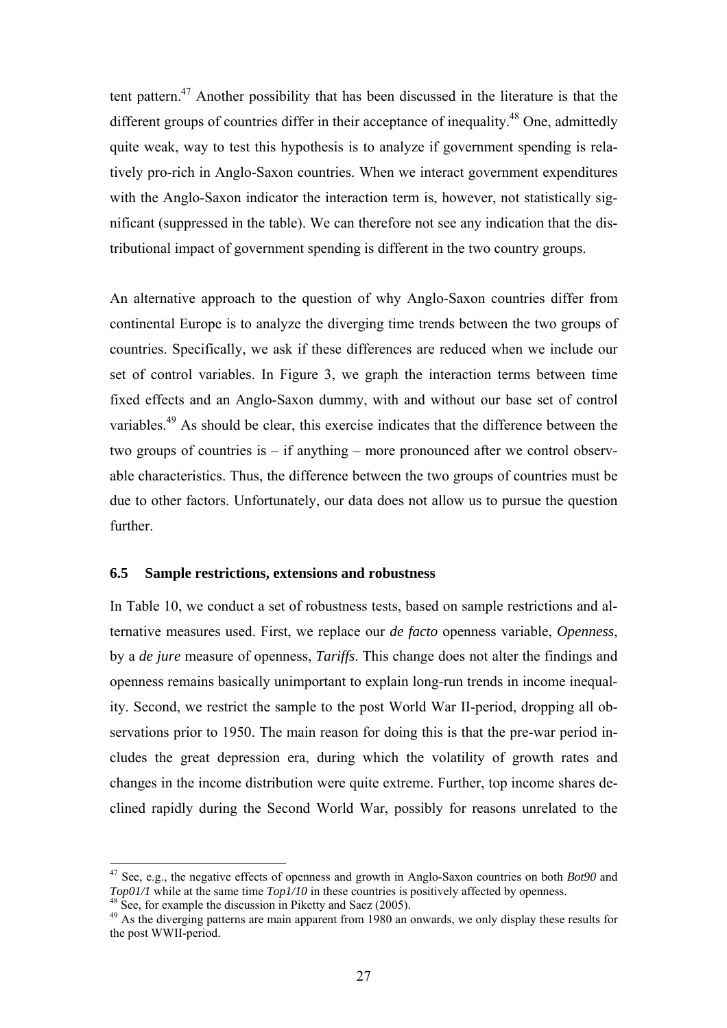tent pattern.<sup>47</sup> Another possibility that has been discussed in the literature is that the different groups of countries differ in their acceptance of inequality.<sup>48</sup> One, admittedly quite weak, way to test this hypothesis is to analyze if government spending is relatively pro-rich in Anglo-Saxon countries. When we interact government expenditures with the Anglo-Saxon indicator the interaction term is, however, not statistically significant (suppressed in the table). We can therefore not see any indication that the distributional impact of government spending is different in the two country groups.

An alternative approach to the question of why Anglo-Saxon countries differ from continental Europe is to analyze the diverging time trends between the two groups of countries. Specifically, we ask if these differences are reduced when we include our set of control variables. In Figure 3, we graph the interaction terms between time fixed effects and an Anglo-Saxon dummy, with and without our base set of control variables.49 As should be clear, this exercise indicates that the difference between the two groups of countries is – if anything – more pronounced after we control observable characteristics. Thus, the difference between the two groups of countries must be due to other factors. Unfortunately, our data does not allow us to pursue the question further.

#### **6.5 Sample restrictions, extensions and robustness**

In Table 10, we conduct a set of robustness tests, based on sample restrictions and alternative measures used. First, we replace our *de facto* openness variable, *Openness*, by a *de jure* measure of openness, *Tariffs*. This change does not alter the findings and openness remains basically unimportant to explain long-run trends in income inequality. Second, we restrict the sample to the post World War II-period, dropping all observations prior to 1950. The main reason for doing this is that the pre-war period includes the great depression era, during which the volatility of growth rates and changes in the income distribution were quite extreme. Further, top income shares declined rapidly during the Second World War, possibly for reasons unrelated to the

<sup>&</sup>lt;sup>47</sup> See, e.g., the negative effects of openness and growth in Anglo-Saxon countries on both *Bot90* and  $Top01/1$  while at the same time  $Top1/10$  in these countries is positively affected by openness.

<sup>&</sup>lt;sup>48</sup> See, for example the discussion in Piketty and Saez (2005).<br><sup>49</sup> As the diverging patterns are main apparent from 1980 an onwards, we only display these results for the post WWII-period.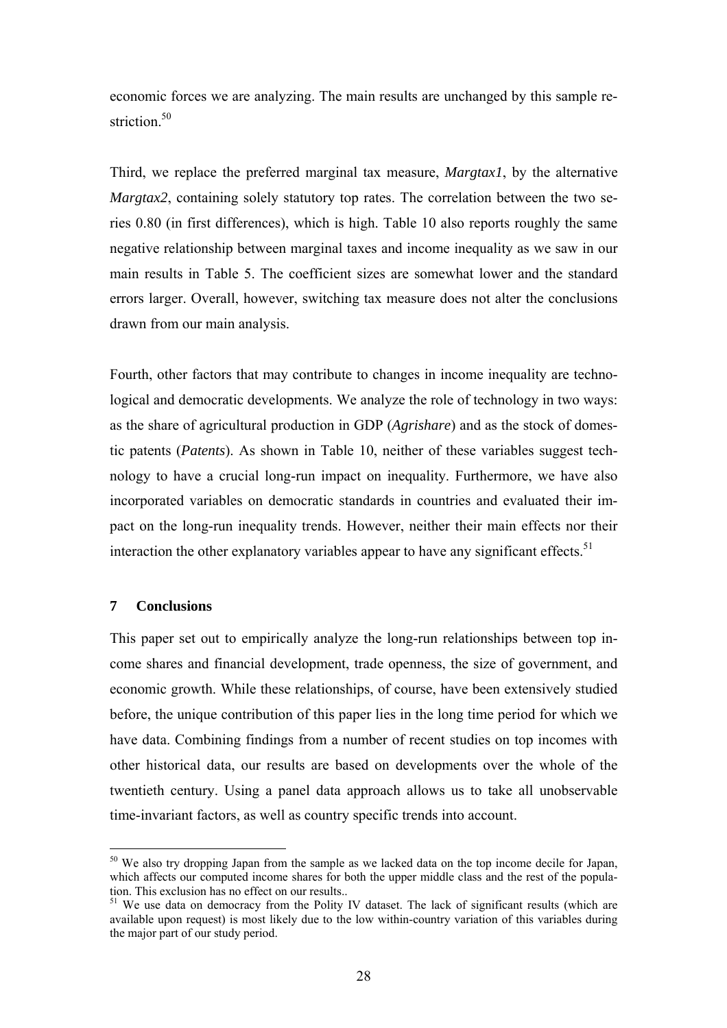economic forces we are analyzing. The main results are unchanged by this sample restriction $50$ 

Third, we replace the preferred marginal tax measure, *Margtax1*, by the alternative *Margtax2*, containing solely statutory top rates. The correlation between the two series 0.80 (in first differences), which is high. Table 10 also reports roughly the same negative relationship between marginal taxes and income inequality as we saw in our main results in Table 5. The coefficient sizes are somewhat lower and the standard errors larger. Overall, however, switching tax measure does not alter the conclusions drawn from our main analysis.

Fourth, other factors that may contribute to changes in income inequality are technological and democratic developments. We analyze the role of technology in two ways: as the share of agricultural production in GDP (*Agrishare*) and as the stock of domestic patents (*Patents*). As shown in Table 10, neither of these variables suggest technology to have a crucial long-run impact on inequality. Furthermore, we have also incorporated variables on democratic standards in countries and evaluated their impact on the long-run inequality trends. However, neither their main effects nor their interaction the other explanatory variables appear to have any significant effects.<sup>51</sup>

#### **7 Conclusions**

 $\overline{a}$ 

This paper set out to empirically analyze the long-run relationships between top income shares and financial development, trade openness, the size of government, and economic growth. While these relationships, of course, have been extensively studied before, the unique contribution of this paper lies in the long time period for which we have data. Combining findings from a number of recent studies on top incomes with other historical data, our results are based on developments over the whole of the twentieth century. Using a panel data approach allows us to take all unobservable time-invariant factors, as well as country specific trends into account.

<sup>&</sup>lt;sup>50</sup> We also try dropping Japan from the sample as we lacked data on the top income decile for Japan, which affects our computed income shares for both the upper middle class and the rest of the population. This exclusion has no effect on our results..

<sup>&</sup>lt;sup>51</sup> We use data on democracy from the Polity IV dataset. The lack of significant results (which are available upon request) is most likely due to the low within-country variation of this variables during the major part of our study period.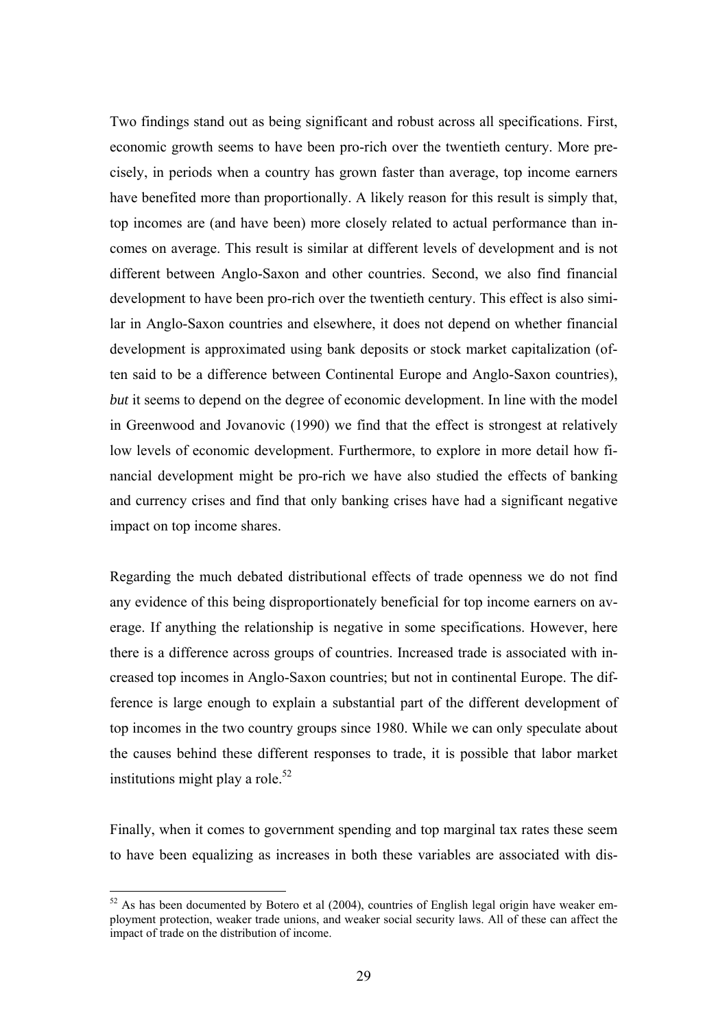Two findings stand out as being significant and robust across all specifications. First, economic growth seems to have been pro-rich over the twentieth century. More precisely, in periods when a country has grown faster than average, top income earners have benefited more than proportionally. A likely reason for this result is simply that, top incomes are (and have been) more closely related to actual performance than incomes on average. This result is similar at different levels of development and is not different between Anglo-Saxon and other countries. Second, we also find financial development to have been pro-rich over the twentieth century. This effect is also similar in Anglo-Saxon countries and elsewhere, it does not depend on whether financial development is approximated using bank deposits or stock market capitalization (often said to be a difference between Continental Europe and Anglo-Saxon countries), *but* it seems to depend on the degree of economic development. In line with the model in Greenwood and Jovanovic (1990) we find that the effect is strongest at relatively low levels of economic development. Furthermore, to explore in more detail how financial development might be pro-rich we have also studied the effects of banking and currency crises and find that only banking crises have had a significant negative impact on top income shares.

Regarding the much debated distributional effects of trade openness we do not find any evidence of this being disproportionately beneficial for top income earners on average. If anything the relationship is negative in some specifications. However, here there is a difference across groups of countries. Increased trade is associated with increased top incomes in Anglo-Saxon countries; but not in continental Europe. The difference is large enough to explain a substantial part of the different development of top incomes in the two country groups since 1980. While we can only speculate about the causes behind these different responses to trade, it is possible that labor market institutions might play a role.<sup>52</sup>

Finally, when it comes to government spending and top marginal tax rates these seem to have been equalizing as increases in both these variables are associated with dis-

 $52$  As has been documented by Botero et al (2004), countries of English legal origin have weaker employment protection, weaker trade unions, and weaker social security laws. All of these can affect the impact of trade on the distribution of income.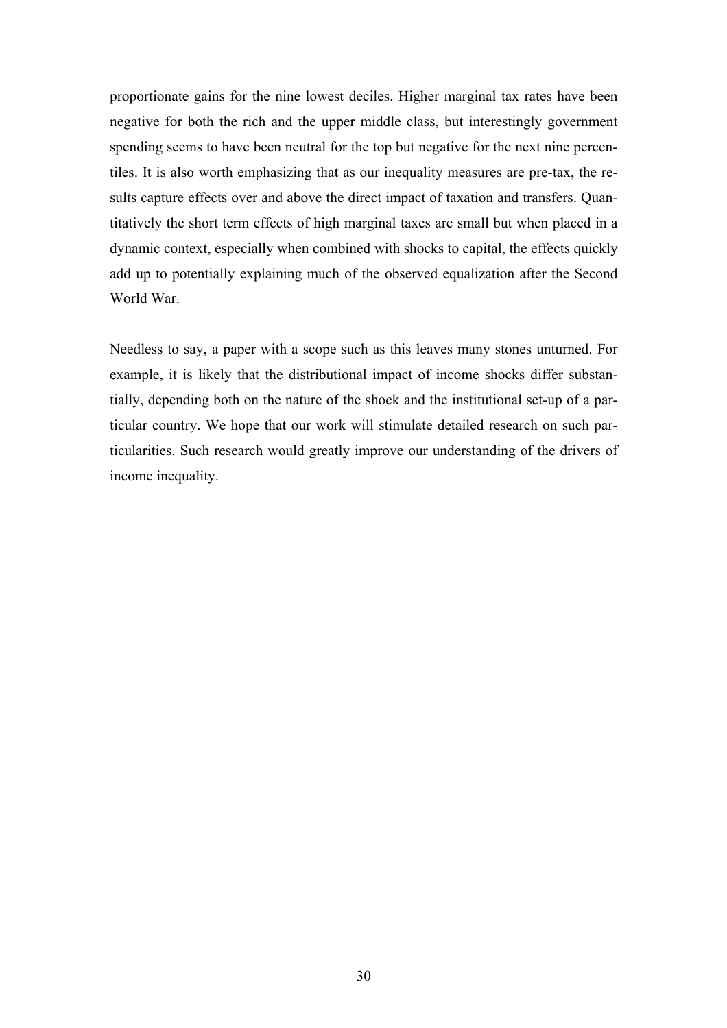proportionate gains for the nine lowest deciles. Higher marginal tax rates have been negative for both the rich and the upper middle class, but interestingly government spending seems to have been neutral for the top but negative for the next nine percentiles. It is also worth emphasizing that as our inequality measures are pre-tax, the results capture effects over and above the direct impact of taxation and transfers. Quantitatively the short term effects of high marginal taxes are small but when placed in a dynamic context, especially when combined with shocks to capital, the effects quickly add up to potentially explaining much of the observed equalization after the Second World War.

Needless to say, a paper with a scope such as this leaves many stones unturned. For example, it is likely that the distributional impact of income shocks differ substantially, depending both on the nature of the shock and the institutional set-up of a particular country. We hope that our work will stimulate detailed research on such particularities. Such research would greatly improve our understanding of the drivers of income inequality.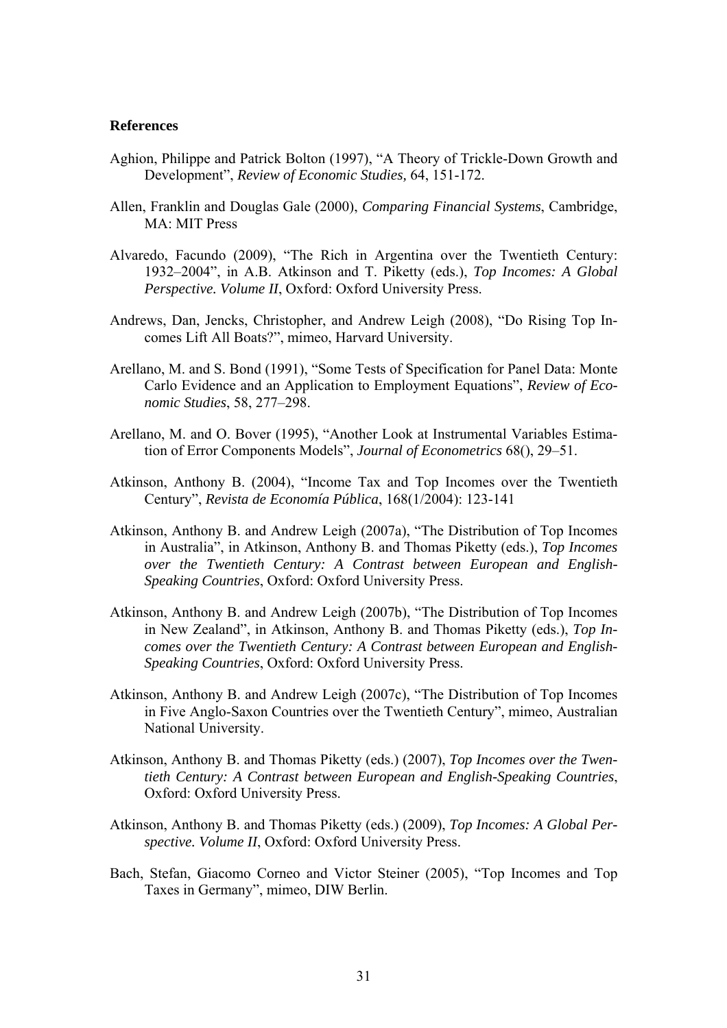#### **References**

- Aghion, Philippe and Patrick Bolton (1997), "A Theory of Trickle-Down Growth and Development", *Review of Economic Studies,* 64, 151-172.
- Allen, Franklin and Douglas Gale (2000), *Comparing Financial Systems*, Cambridge, MA: MIT Press
- Alvaredo, Facundo (2009), "The Rich in Argentina over the Twentieth Century: 1932–2004", in A.B. Atkinson and T. Piketty (eds.), *Top Incomes: A Global Perspective. Volume II*, Oxford: Oxford University Press.
- Andrews, Dan, Jencks, Christopher, and Andrew Leigh (2008), "Do Rising Top Incomes Lift All Boats?", mimeo, Harvard University.
- Arellano, M. and S. Bond (1991), "Some Tests of Specification for Panel Data: Monte Carlo Evidence and an Application to Employment Equations", *Review of Economic Studies*, 58, 277–298.
- Arellano, M. and O. Bover (1995), "Another Look at Instrumental Variables Estimation of Error Components Models", *Journal of Econometrics* 68(), 29–51.
- Atkinson, Anthony B. (2004), "Income Tax and Top Incomes over the Twentieth Century", *Revista de Economía Pública*, 168(1/2004): 123-141
- Atkinson, Anthony B. and Andrew Leigh (2007a), "The Distribution of Top Incomes in Australia", in Atkinson, Anthony B. and Thomas Piketty (eds.), *Top Incomes over the Twentieth Century: A Contrast between European and English-Speaking Countries*, Oxford: Oxford University Press.
- Atkinson, Anthony B. and Andrew Leigh (2007b), "The Distribution of Top Incomes in New Zealand", in Atkinson, Anthony B. and Thomas Piketty (eds.), *Top Incomes over the Twentieth Century: A Contrast between European and English-Speaking Countries*, Oxford: Oxford University Press.
- Atkinson, Anthony B. and Andrew Leigh (2007c), "The Distribution of Top Incomes in Five Anglo-Saxon Countries over the Twentieth Century", mimeo, Australian National University.
- Atkinson, Anthony B. and Thomas Piketty (eds.) (2007), *Top Incomes over the Twentieth Century: A Contrast between European and English-Speaking Countries*, Oxford: Oxford University Press.
- Atkinson, Anthony B. and Thomas Piketty (eds.) (2009), *Top Incomes: A Global Perspective. Volume II*, Oxford: Oxford University Press.
- Bach, Stefan, Giacomo Corneo and Victor Steiner (2005), "Top Incomes and Top Taxes in Germany", mimeo, DIW Berlin.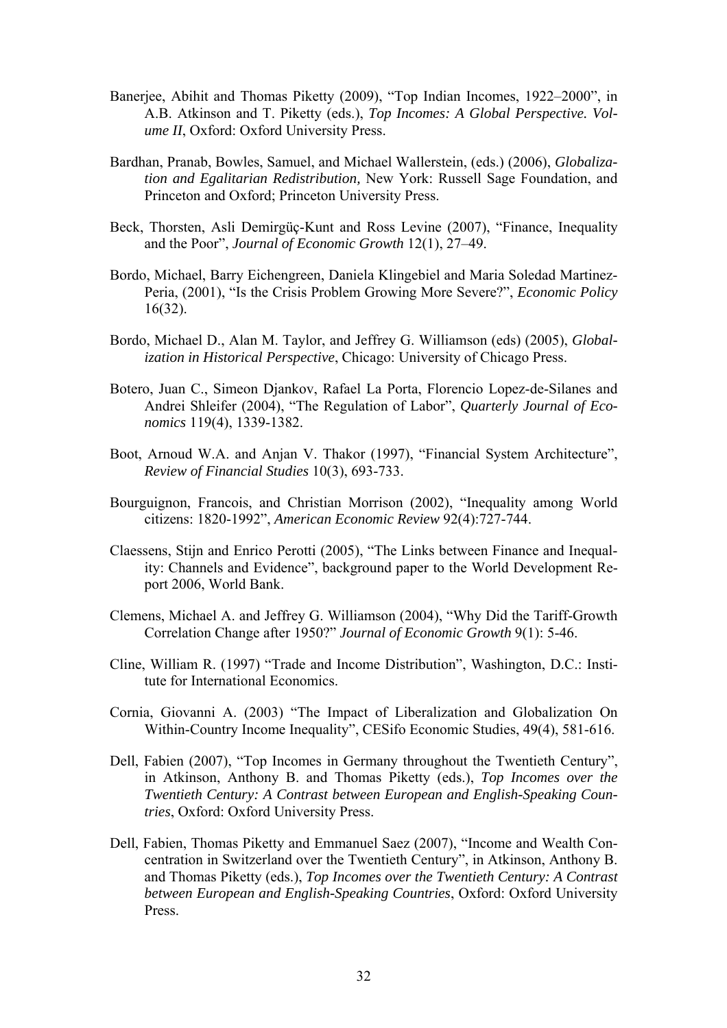- Banerjee, Abihit and Thomas Piketty (2009), "Top Indian Incomes, 1922–2000", in A.B. Atkinson and T. Piketty (eds.), *Top Incomes: A Global Perspective. Volume II*, Oxford: Oxford University Press.
- Bardhan, Pranab, Bowles, Samuel, and Michael Wallerstein, (eds.) (2006), *Globalization and Egalitarian Redistribution,* New York: Russell Sage Foundation, and Princeton and Oxford; Princeton University Press.
- Beck, Thorsten, Asli Demirgüç-Kunt and Ross Levine (2007), "Finance, Inequality and the Poor", *Journal of Economic Growth* 12(1), 27–49.
- Bordo, Michael, Barry Eichengreen, Daniela Klingebiel and Maria Soledad Martinez-Peria, (2001), "Is the Crisis Problem Growing More Severe?", *Economic Policy* 16(32).
- Bordo, Michael D., Alan M. Taylor, and Jeffrey G. Williamson (eds) (2005), *Globalization in Historical Perspective*, Chicago: University of Chicago Press.
- Botero, Juan C., Simeon Djankov, Rafael La Porta, Florencio Lopez-de-Silanes and Andrei Shleifer (2004), "The Regulation of Labor", *Quarterly Journal of Economics* 119(4), 1339-1382.
- Boot, Arnoud W.A. and Anjan V. Thakor (1997), "Financial System Architecture", *Review of Financial Studies* 10(3), 693-733.
- Bourguignon, Francois, and Christian Morrison (2002), "Inequality among World citizens: 1820-1992", *American Economic Review* 92(4):727-744.
- Claessens, Stijn and Enrico Perotti (2005), "The Links between Finance and Inequality: Channels and Evidence", background paper to the World Development Report 2006, World Bank.
- Clemens, Michael A. and Jeffrey G. Williamson (2004), "Why Did the Tariff-Growth Correlation Change after 1950?" *Journal of Economic Growth* 9(1): 5-46.
- Cline, William R. (1997) "Trade and Income Distribution", Washington, D.C.: Institute for International Economics.
- Cornia, Giovanni A. (2003) "The Impact of Liberalization and Globalization On Within-Country Income Inequality", CESifo Economic Studies, 49(4), 581-616.
- Dell, Fabien (2007), "Top Incomes in Germany throughout the Twentieth Century", in Atkinson, Anthony B. and Thomas Piketty (eds.), *Top Incomes over the Twentieth Century: A Contrast between European and English-Speaking Countries*, Oxford: Oxford University Press.
- Dell, Fabien, Thomas Piketty and Emmanuel Saez (2007), "Income and Wealth Concentration in Switzerland over the Twentieth Century", in Atkinson, Anthony B. and Thomas Piketty (eds.), *Top Incomes over the Twentieth Century: A Contrast between European and English-Speaking Countries*, Oxford: Oxford University Press.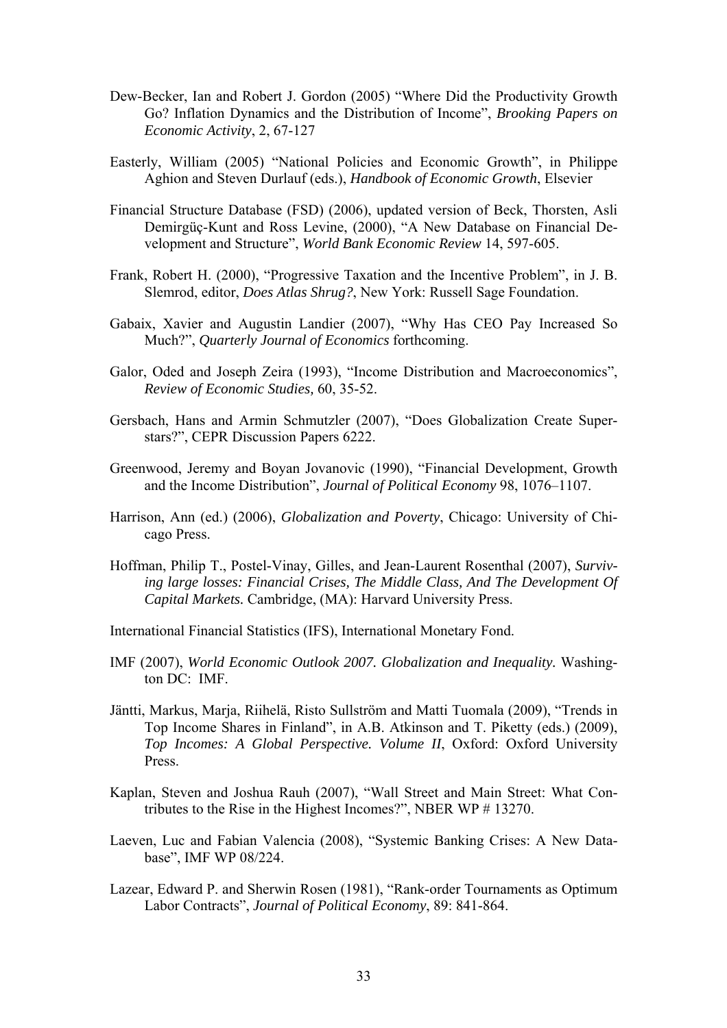- Dew-Becker, Ian and Robert J. Gordon (2005) "Where Did the Productivity Growth Go? Inflation Dynamics and the Distribution of Income", *Brooking Papers on Economic Activity*, 2, 67-127
- Easterly, William (2005) "National Policies and Economic Growth", in Philippe Aghion and Steven Durlauf (eds.), *Handbook of Economic Growth*, Elsevier
- Financial Structure Database (FSD) (2006), updated version of Beck, Thorsten, Asli Demirgüç-Kunt and Ross Levine, (2000), "A New Database on Financial Development and Structure", *World Bank Economic Review* 14, 597-605.
- Frank, Robert H. (2000), "Progressive Taxation and the Incentive Problem", in J. B. Slemrod, editor, *Does Atlas Shrug?*, New York: Russell Sage Foundation.
- Gabaix, Xavier and Augustin Landier (2007), "Why Has CEO Pay Increased So Much?", *Quarterly Journal of Economics* forthcoming.
- Galor, Oded and Joseph Zeira (1993), "Income Distribution and Macroeconomics", *Review of Economic Studies,* 60, 35-52.
- Gersbach, Hans and Armin Schmutzler (2007), "Does Globalization Create Superstars?", CEPR Discussion Papers 6222.
- Greenwood, Jeremy and Boyan Jovanovic (1990), "Financial Development, Growth and the Income Distribution", *Journal of Political Economy* 98, 1076–1107.
- Harrison, Ann (ed.) (2006), *Globalization and Poverty*, Chicago: University of Chicago Press.
- Hoffman, Philip T., Postel-Vinay, Gilles, and Jean-Laurent Rosenthal (2007), *Surviving large losses: Financial Crises, The Middle Class, And The Development Of Capital Markets.* Cambridge, (MA): Harvard University Press.
- International Financial Statistics (IFS), International Monetary Fond.
- IMF (2007), *World Economic Outlook 2007. Globalization and Inequality.* Washington DC: IMF.
- Jäntti, Markus, Marja, Riihelä, Risto Sullström and Matti Tuomala (2009), "Trends in Top Income Shares in Finland", in A.B. Atkinson and T. Piketty (eds.) (2009), *Top Incomes: A Global Perspective. Volume II*, Oxford: Oxford University Press.
- Kaplan, Steven and Joshua Rauh (2007), "Wall Street and Main Street: What Contributes to the Rise in the Highest Incomes?", NBER WP # 13270.
- Laeven, Luc and Fabian Valencia (2008), "Systemic Banking Crises: A New Database", IMF WP 08/224.
- Lazear, Edward P. and Sherwin Rosen (1981), "Rank-order Tournaments as Optimum Labor Contracts", *Journal of Political Economy*, 89: 841-864.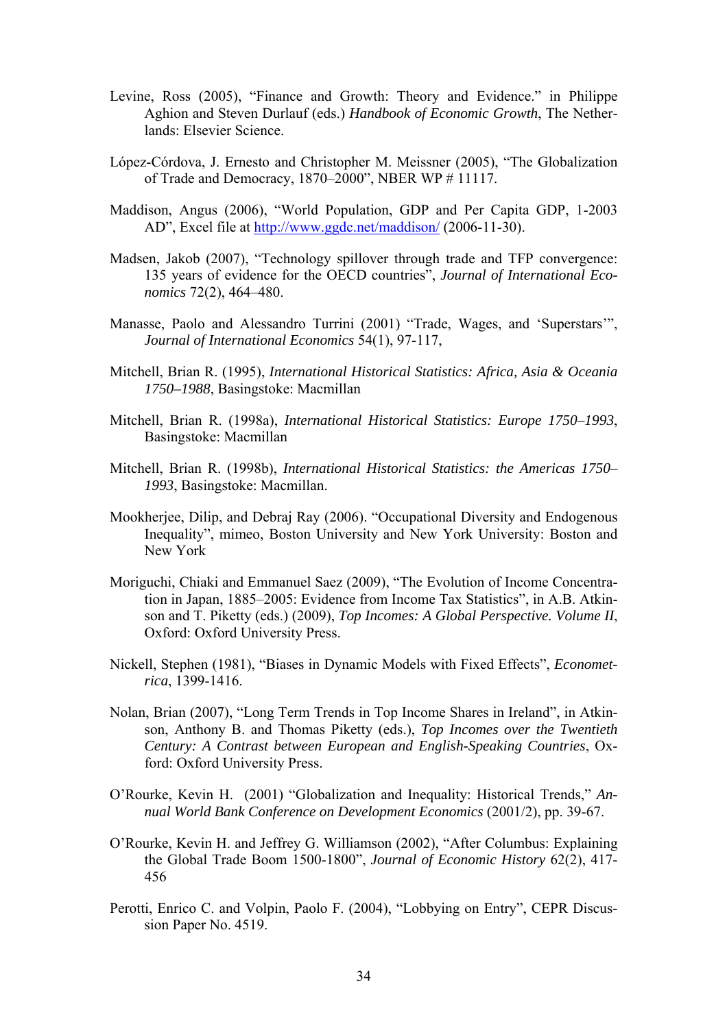- Levine, Ross (2005), "Finance and Growth: Theory and Evidence." in Philippe Aghion and Steven Durlauf (eds.) *Handbook of Economic Growth*, The Netherlands: Elsevier Science.
- López-Córdova, J. Ernesto and Christopher M. Meissner (2005), "The Globalization of Trade and Democracy, 1870–2000", NBER WP # 11117.
- Maddison, Angus (2006), "World Population, GDP and Per Capita GDP, 1-2003 AD", Excel file at http://www.ggdc.net/maddison/ (2006-11-30).
- Madsen, Jakob (2007), "Technology spillover through trade and TFP convergence: 135 years of evidence for the OECD countries", *Journal of International Economics* 72(2), 464–480.
- Manasse, Paolo and Alessandro Turrini (2001) "Trade, Wages, and 'Superstars'", *Journal of International Economics* 54(1), 97-117,
- Mitchell, Brian R. (1995), *International Historical Statistics: Africa, Asia & Oceania 1750–1988*, Basingstoke: Macmillan
- Mitchell, Brian R. (1998a), *International Historical Statistics: Europe 1750–1993*, Basingstoke: Macmillan
- Mitchell, Brian R. (1998b), *International Historical Statistics: the Americas 1750– 1993*, Basingstoke: Macmillan.
- Mookherjee, Dilip, and Debraj Ray (2006). "Occupational Diversity and Endogenous Inequality", mimeo, Boston University and New York University: Boston and New York
- Moriguchi, Chiaki and Emmanuel Saez (2009), "The Evolution of Income Concentration in Japan, 1885–2005: Evidence from Income Tax Statistics", in A.B. Atkinson and T. Piketty (eds.) (2009), *Top Incomes: A Global Perspective. Volume II*, Oxford: Oxford University Press.
- Nickell, Stephen (1981), "Biases in Dynamic Models with Fixed Effects", *Econometrica*, 1399-1416.
- Nolan, Brian (2007), "Long Term Trends in Top Income Shares in Ireland", in Atkinson, Anthony B. and Thomas Piketty (eds.), *Top Incomes over the Twentieth Century: A Contrast between European and English-Speaking Countries*, Oxford: Oxford University Press.
- O'Rourke, Kevin H. (2001) "Globalization and Inequality: Historical Trends," *Annual World Bank Conference on Development Economics* (2001/2), pp. 39-67.
- O'Rourke, Kevin H. and Jeffrey G. Williamson (2002), "After Columbus: Explaining the Global Trade Boom 1500-1800", *Journal of Economic History* 62(2), 417- 456
- Perotti, Enrico C. and Volpin, Paolo F. (2004), "Lobbying on Entry", CEPR Discussion Paper No. 4519.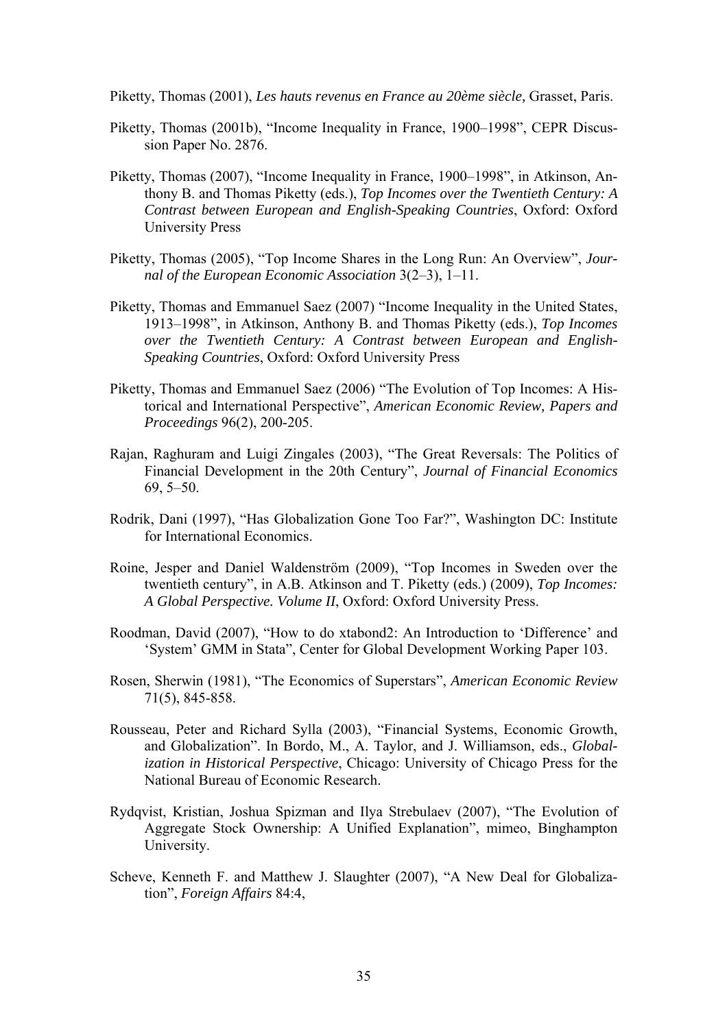Piketty, Thomas (2001), *Les hauts revenus en France au 20ème siècle,* Grasset, Paris.

- Piketty, Thomas (2001b), "Income Inequality in France, 1900–1998", CEPR Discussion Paper No. 2876.
- Piketty, Thomas (2007), "Income Inequality in France, 1900–1998", in Atkinson, Anthony B. and Thomas Piketty (eds.), *Top Incomes over the Twentieth Century: A Contrast between European and English-Speaking Countries*, Oxford: Oxford University Press
- Piketty, Thomas (2005), "Top Income Shares in the Long Run: An Overview", *Journal of the European Economic Association* 3(2–3), 1–11.
- Piketty, Thomas and Emmanuel Saez (2007) "Income Inequality in the United States, 1913–1998", in Atkinson, Anthony B. and Thomas Piketty (eds.), *Top Incomes over the Twentieth Century: A Contrast between European and English-Speaking Countries*, Oxford: Oxford University Press
- Piketty, Thomas and Emmanuel Saez (2006) "The Evolution of Top Incomes: A Historical and International Perspective", *American Economic Review, Papers and Proceedings* 96(2), 200-205.
- Rajan, Raghuram and Luigi Zingales (2003), "The Great Reversals: The Politics of Financial Development in the 20th Century", *Journal of Financial Economics* 69, 5–50.
- Rodrik, Dani (1997), "Has Globalization Gone Too Far?", Washington DC: Institute for International Economics.
- Roine, Jesper and Daniel Waldenström (2009), "Top Incomes in Sweden over the twentieth century", in A.B. Atkinson and T. Piketty (eds.) (2009), *Top Incomes: A Global Perspective. Volume II*, Oxford: Oxford University Press.
- Roodman, David (2007), "How to do xtabond2: An Introduction to 'Difference' and 'System' GMM in Stata", Center for Global Development Working Paper 103.
- Rosen, Sherwin (1981), "The Economics of Superstars", *American Economic Review* 71(5), 845-858.
- Rousseau, Peter and Richard Sylla (2003), "Financial Systems, Economic Growth, and Globalization". In Bordo, M., A. Taylor, and J. Williamson, eds., *Globalization in Historical Perspective*, Chicago: University of Chicago Press for the National Bureau of Economic Research.
- Rydqvist, Kristian, Joshua Spizman and Ilya Strebulaev (2007), "The Evolution of Aggregate Stock Ownership: A Unified Explanation", mimeo, Binghampton University.
- Scheve, Kenneth F. and Matthew J. Slaughter (2007), "A New Deal for Globalization", *Foreign Affairs* 84:4,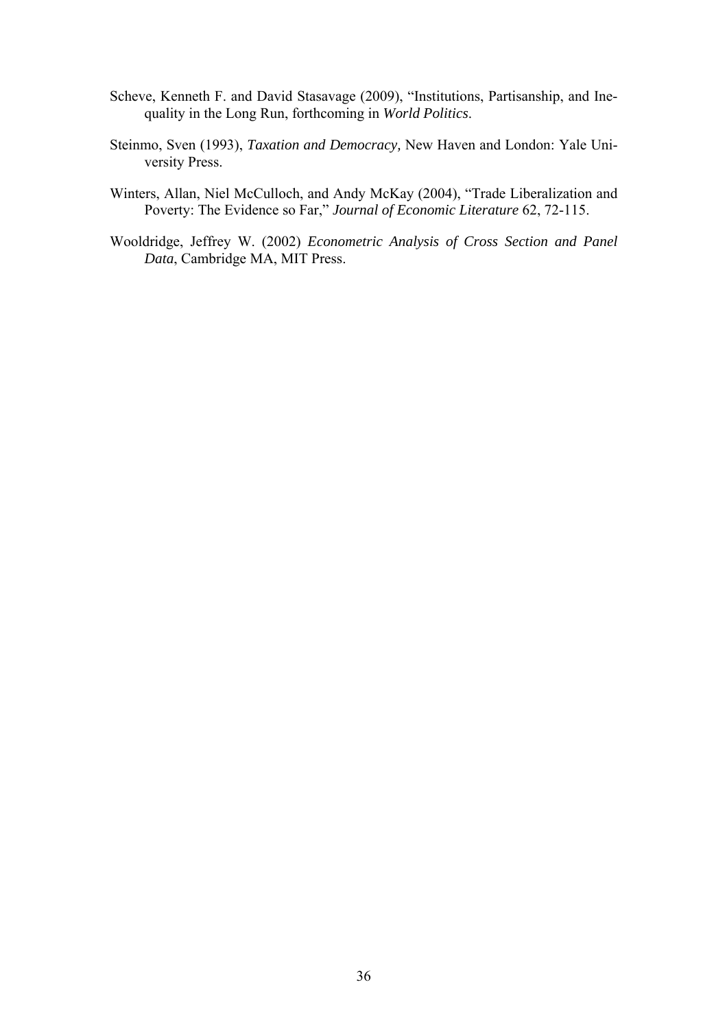- Scheve, Kenneth F. and David Stasavage (2009), "Institutions, Partisanship, and Inequality in the Long Run, forthcoming in *World Politics*.
- Steinmo, Sven (1993), *Taxation and Democracy,* New Haven and London: Yale University Press.
- Winters, Allan, Niel McCulloch, and Andy McKay (2004), "Trade Liberalization and Poverty: The Evidence so Far," *Journal of Economic Literature* 62, 72-115.
- Wooldridge, Jeffrey W. (2002) *Econometric Analysis of Cross Section and Panel Data*, Cambridge MA, MIT Press.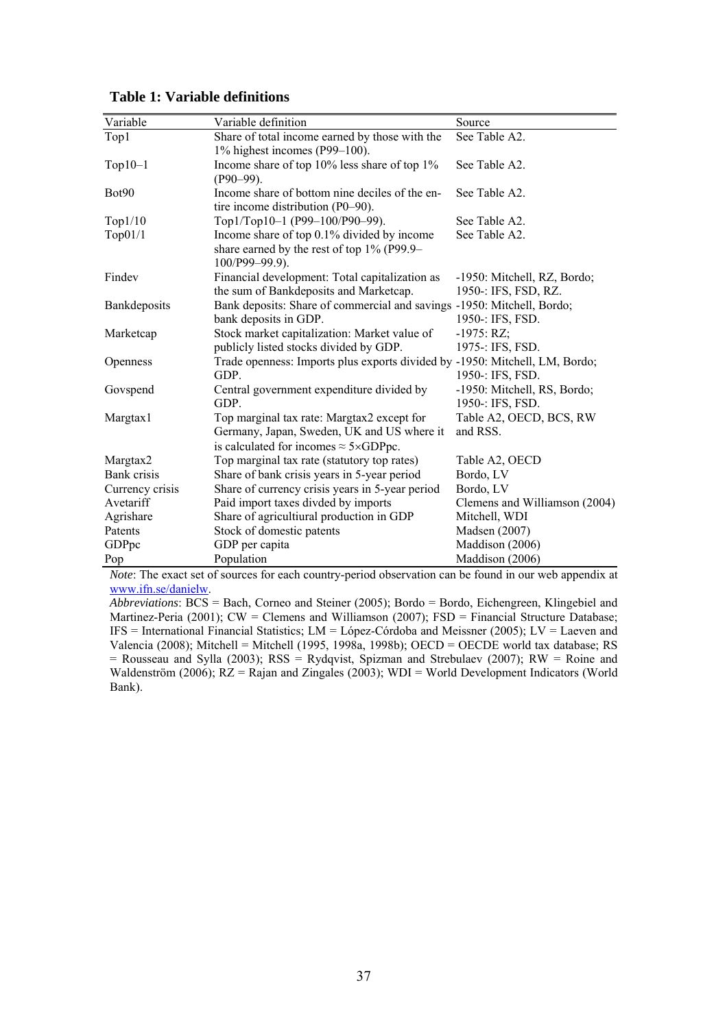| Variable        | Variable definition                                                                                                                      | Source                                              |
|-----------------|------------------------------------------------------------------------------------------------------------------------------------------|-----------------------------------------------------|
| Top1            | Share of total income earned by those with the<br>1% highest incomes (P99-100).                                                          | See Table A2.                                       |
| $Top10-1$       | Income share of top 10% less share of top 1%<br>$(P90-99)$ .                                                                             | See Table A2.                                       |
| Bot90           | Income share of bottom nine deciles of the en-<br>tire income distribution (P0–90).                                                      | See Table A2.                                       |
| Top1/10         | Top1/Top10-1 (P99-100/P90-99).                                                                                                           | See Table A2.                                       |
| Top01/1         | Income share of top 0.1% divided by income<br>share earned by the rest of top 1% (P99.9–<br>100/P99-99.9).                               | See Table A2.                                       |
| Findev          | Financial development: Total capitalization as<br>the sum of Bankdeposits and Marketcap.                                                 | -1950: Mitchell, RZ, Bordo;<br>1950-: IFS, FSD, RZ. |
| Bankdeposits    | Bank deposits: Share of commercial and savings -1950: Mitchell, Bordo;<br>bank deposits in GDP.                                          | 1950-: IFS, FSD.                                    |
| Marketcap       | Stock market capitalization: Market value of<br>publicly listed stocks divided by GDP.                                                   | $-1975$ : RZ;<br>1975 -: IFS, FSD.                  |
| <b>Openness</b> | Trade openness: Imports plus exports divided by -1950: Mitchell, LM, Bordo;<br>GDP.                                                      | 1950-: IFS, FSD.                                    |
| Govspend        | Central government expenditure divided by<br>GDP.                                                                                        | -1950: Mitchell, RS, Bordo;<br>1950-: IFS, FSD.     |
| Margtax1        | Top marginal tax rate: Margtax2 except for<br>Germany, Japan, Sweden, UK and US where it<br>is calculated for incomes $\approx$ 5×GDPpc. | Table A2, OECD, BCS, RW<br>and RSS.                 |
| Margtax2        | Top marginal tax rate (statutory top rates)                                                                                              | Table A2, OECD                                      |
| Bank crisis     | Share of bank crisis years in 5-year period                                                                                              | Bordo, LV                                           |
| Currency crisis | Share of currency crisis years in 5-year period                                                                                          | Bordo, LV                                           |
| Avetariff       | Paid import taxes divded by imports                                                                                                      | Clemens and Williamson (2004)                       |
| Agrishare       | Share of agricultiural production in GDP                                                                                                 | Mitchell, WDI                                       |
| Patents         | Stock of domestic patents                                                                                                                | Madsen (2007)                                       |
| GDPpc           | GDP per capita                                                                                                                           | Maddison (2006)                                     |
| Pop             | Population                                                                                                                               | Maddison (2006)                                     |

**Table 1: Variable definitions** 

*Note*: The exact set of sources for each country-period observation can be found in our web appendix at www.ifn.se/danielw.

*Abbreviations*: BCS = Bach, Corneo and Steiner (2005); Bordo = Bordo, Eichengreen, Klingebiel and Martinez-Peria (2001);  $CW =$  Clemens and Williamson (2007);  $FSD =$  Financial Structure Database; IFS = International Financial Statistics; LM = López-Córdoba and Meissner (2005); LV = Laeven and Valencia (2008); Mitchell = Mitchell (1995, 1998a, 1998b); OECD = OECDE world tax database; RS = Rousseau and Sylla (2003); RSS = Rydqvist, Spizman and Strebulaev (2007); RW = Roine and Waldenström (2006); RZ = Rajan and Zingales (2003); WDI = World Development Indicators (World Bank).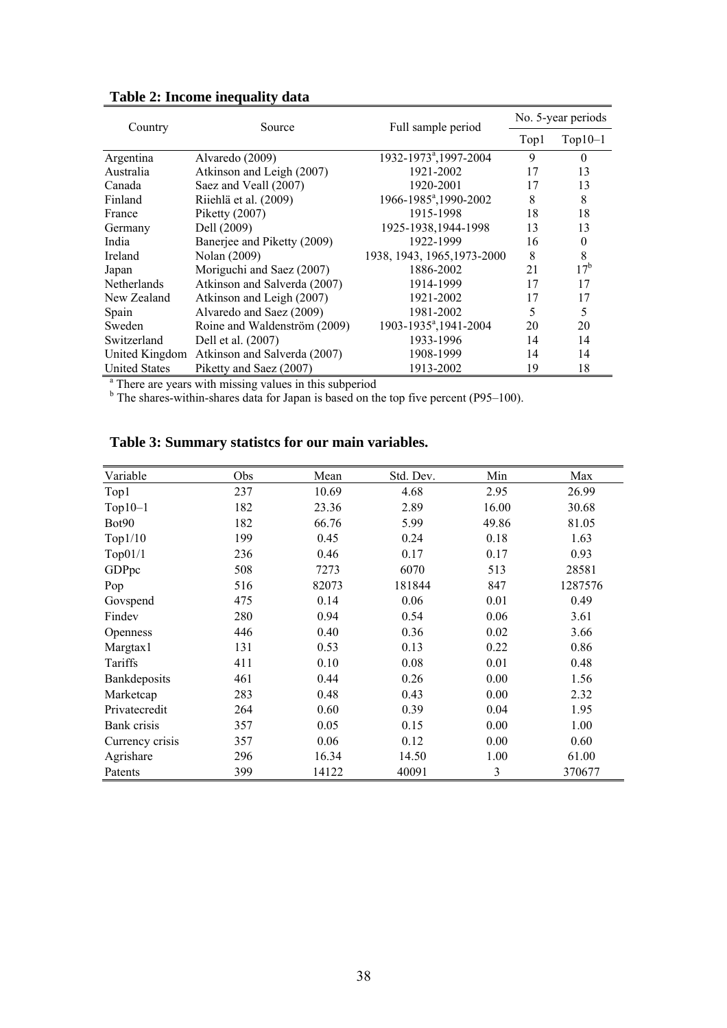|                      | Source                                                                                  | Full sample period                 | No. 5-year periods |                 |  |
|----------------------|-----------------------------------------------------------------------------------------|------------------------------------|--------------------|-----------------|--|
| Country              |                                                                                         |                                    | Top1               | $Top10-1$       |  |
| Argentina            | Alvaredo (2009)                                                                         | 1932-1973 <sup>a</sup> , 1997-2004 | 9                  | $\theta$        |  |
| Australia            | Atkinson and Leigh (2007)                                                               | 1921-2002                          | 17                 | 13              |  |
| Canada               | Saez and Veall (2007)                                                                   | 1920-2001                          | 17                 | 13              |  |
| Finland              | Riiehlä et al. (2009)                                                                   | 1966-1985 <sup>a</sup> , 1990-2002 | 8                  | 8               |  |
| France               | Piketty (2007)                                                                          | 1915-1998                          | 18                 | 18              |  |
| Germany              | Dell (2009)                                                                             | 1925-1938, 1944-1998               | 13                 | 13              |  |
| India                | Banerjee and Piketty (2009)                                                             | 1922-1999                          | 16                 | $\theta$        |  |
| Ireland              | Nolan (2009)                                                                            | 1938, 1943, 1965, 1973-2000        | 8                  | 8               |  |
| Japan                | Moriguchi and Saez (2007)                                                               | 1886-2002                          | 21                 | 17 <sup>b</sup> |  |
| <b>Netherlands</b>   | Atkinson and Salverda (2007)                                                            | 1914-1999                          | 17                 | 17              |  |
| New Zealand          | Atkinson and Leigh (2007)                                                               | 1921-2002                          | 17                 | 17              |  |
| Spain                | Alvaredo and Saez (2009)                                                                | 1981-2002                          | 5                  | 5               |  |
| Sweden               | Roine and Waldenström (2009)                                                            | 1903-1935 <sup>a</sup> , 1941-2004 | 20                 | 20              |  |
| Switzerland          | Dell et al. (2007)                                                                      | 1933-1996                          | 14                 | 14              |  |
|                      | United Kingdom Atkinson and Salverda (2007)                                             | 1908-1999                          | 14                 | 14              |  |
| <b>United States</b> | Piketty and Saez (2007)                                                                 | 1913-2002                          | 19                 | 18              |  |
|                      | <sup>a</sup> There are years with missing values in this subperiod                      |                                    |                    |                 |  |
|                      | $b$ The shares-within-shares data for Japan is based on the top five percent (P95–100). |                                    |                    |                 |  |

# **Table 2: Income inequality data**

| Variable          | Obs | Mean  | Std. Dev. | Min   | Max     |
|-------------------|-----|-------|-----------|-------|---------|
| Top1              | 237 | 10.69 | 4.68      | 2.95  | 26.99   |
| $Top10-1$         | 182 | 23.36 | 2.89      | 16.00 | 30.68   |
| Bot <sub>90</sub> | 182 | 66.76 | 5.99      | 49.86 | 81.05   |
| Top1/10           | 199 | 0.45  | 0.24      | 0.18  | 1.63    |
| Top01/1           | 236 | 0.46  | 0.17      | 0.17  | 0.93    |
| GDPpc             | 508 | 7273  | 6070      | 513   | 28581   |
| Pop               | 516 | 82073 | 181844    | 847   | 1287576 |
| Govspend          | 475 | 0.14  | 0.06      | 0.01  | 0.49    |
| Findev            | 280 | 0.94  | 0.54      | 0.06  | 3.61    |
| <b>Openness</b>   | 446 | 0.40  | 0.36      | 0.02  | 3.66    |
| Margtax1          | 131 | 0.53  | 0.13      | 0.22  | 0.86    |
| Tariffs           | 411 | 0.10  | 0.08      | 0.01  | 0.48    |
| Bankdeposits      | 461 | 0.44  | 0.26      | 0.00  | 1.56    |
| Marketcap         | 283 | 0.48  | 0.43      | 0.00  | 2.32    |
| Privatecredit     | 264 | 0.60  | 0.39      | 0.04  | 1.95    |
| Bank crisis       | 357 | 0.05  | 0.15      | 0.00  | 1.00    |
| Currency crisis   | 357 | 0.06  | 0.12      | 0.00  | 0.60    |
| Agrishare         | 296 | 16.34 | 14.50     | 1.00  | 61.00   |
| Patents           | 399 | 14122 | 40091     | 3     | 370677  |

# **Table 3: Summary statistcs for our main variables.**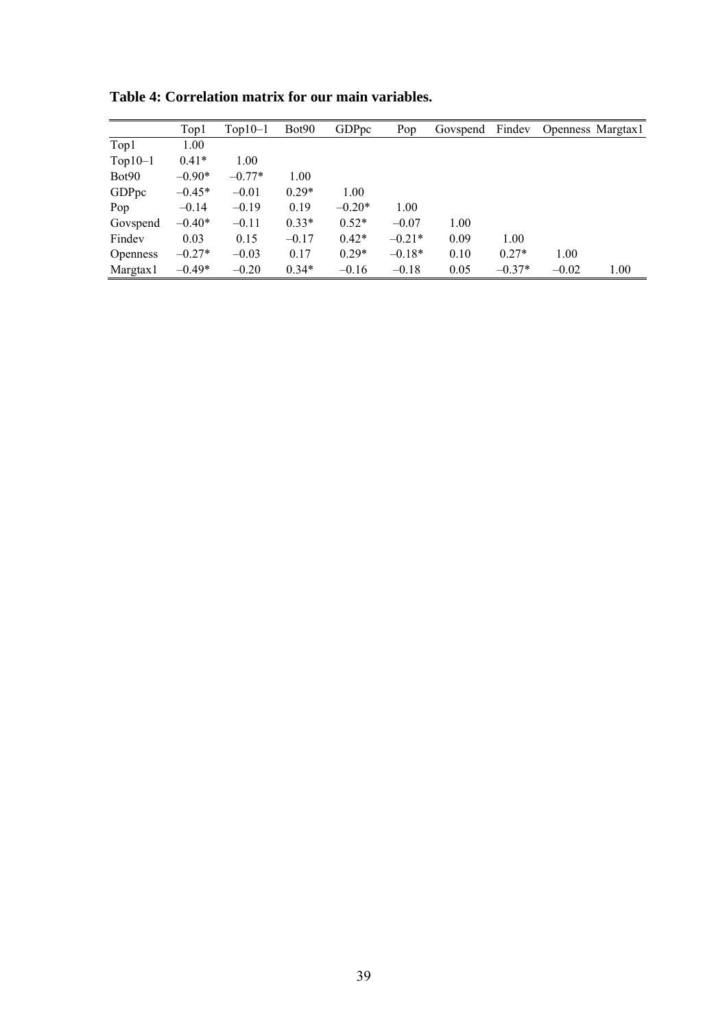|                   | Top1     | $Top10-1$ | Bot <sub>90</sub> | GDPpc    | Pop      | Govspend | Findev   | Openness Margtax1 |      |
|-------------------|----------|-----------|-------------------|----------|----------|----------|----------|-------------------|------|
| Top1              | 1.00     |           |                   |          |          |          |          |                   |      |
| $Top10-1$         | $0.41*$  | 1.00      |                   |          |          |          |          |                   |      |
| Bot <sub>90</sub> | $-0.90*$ | $-0.77*$  | 1.00              |          |          |          |          |                   |      |
| GDPpc             | $-0.45*$ | $-0.01$   | $0.29*$           | 1.00     |          |          |          |                   |      |
| Pop               | $-0.14$  | $-0.19$   | 0.19              | $-0.20*$ | 1.00     |          |          |                   |      |
| Govspend          | $-0.40*$ | $-0.11$   | $0.33*$           | $0.52*$  | $-0.07$  | 1.00     |          |                   |      |
| Findev            | 0.03     | 0.15      | $-0.17$           | $0.42*$  | $-0.21*$ | 0.09     | 1.00     |                   |      |
| <b>Openness</b>   | $-0.27*$ | $-0.03$   | 0.17              | $0.29*$  | $-0.18*$ | 0.10     | $0.27*$  | 1.00              |      |
| Margtax1          | $-0.49*$ | $-0.20$   | $0.34*$           | $-0.16$  | $-0.18$  | 0.05     | $-0.37*$ | $-0.02$           | 1.00 |

**Table 4: Correlation matrix for our main variables.**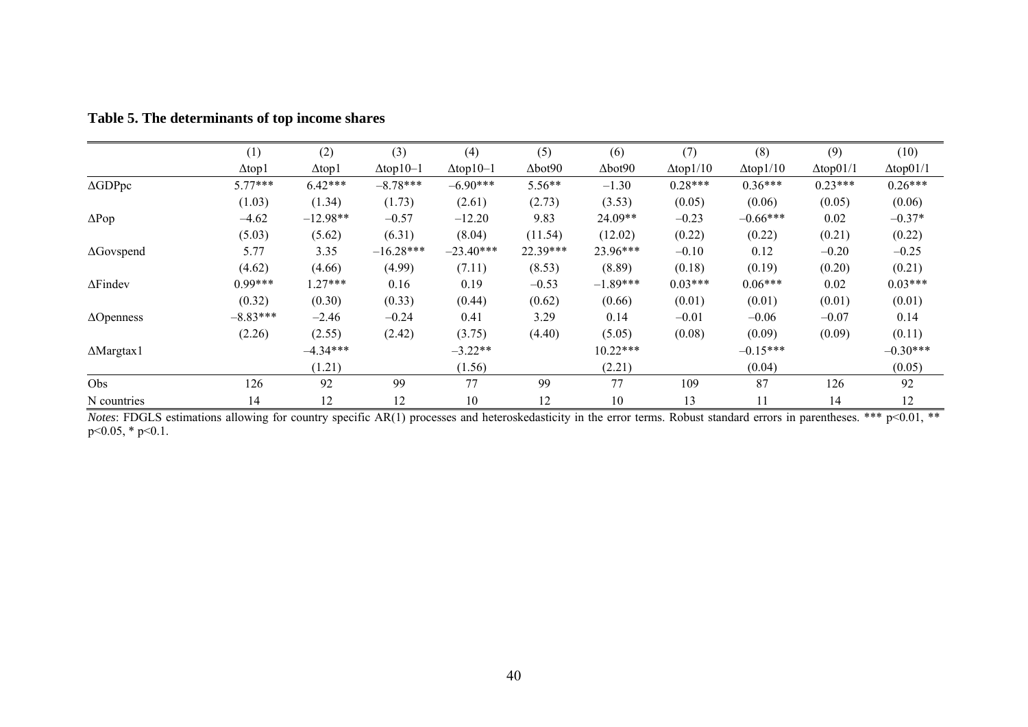|                   | (1)           | (2)           | (3)              | (4)              | (5)            | (6)            | (7)                 | (8)                 | (9)                 | (10)                |
|-------------------|---------------|---------------|------------------|------------------|----------------|----------------|---------------------|---------------------|---------------------|---------------------|
|                   | $\Delta$ top1 | $\Delta$ top1 | $\Delta$ top10-1 | $\Delta$ top10-1 | $\Delta bot90$ | $\Delta bot90$ | $\Delta$ top $1/10$ | $\Delta$ top $1/10$ | $\Delta$ top $01/1$ | $\Delta$ top $01/1$ |
| $\triangle$ GDPpc | $5.77***$     | $6.42***$     | $-8.78***$       | $-6.90***$       | 5.56**         | $-1.30$        | $0.28***$           | $0.36***$           | $0.23***$           | $0.26***$           |
|                   | (1.03)        | (1.34)        | (1.73)           | (2.61)           | (2.73)         | (3.53)         | (0.05)              | (0.06)              | (0.05)              | (0.06)              |
| $\Delta$ Pop      | $-4.62$       | $-12.98**$    | $-0.57$          | $-12.20$         | 9.83           | 24.09**        | $-0.23$             | $-0.66***$          | 0.02                | $-0.37*$            |
|                   | (5.03)        | (5.62)        | (6.31)           | (8.04)           | (11.54)        | (12.02)        | (0.22)              | (0.22)              | (0.21)              | (0.22)              |
| $\Delta$ Govspend | 5.77          | 3.35          | $-16.28***$      | $-23.40***$      | 22.39***       | 23.96***       | $-0.10$             | 0.12                | $-0.20$             | $-0.25$             |
|                   | (4.62)        | (4.66)        | (4.99)           | (7.11)           | (8.53)         | (8.89)         | (0.18)              | (0.19)              | (0.20)              | (0.21)              |
| $\Delta$ Findev   | $0.99***$     | $1.27***$     | 0.16             | 0.19             | $-0.53$        | $-1.89***$     | $0.03***$           | $0.06***$           | 0.02                | $0.03***$           |
|                   | (0.32)        | (0.30)        | (0.33)           | (0.44)           | (0.62)         | (0.66)         | (0.01)              | (0.01)              | (0.01)              | (0.01)              |
| $\Delta$ Openness | $-8.83***$    | $-2.46$       | $-0.24$          | 0.41             | 3.29           | 0.14           | $-0.01$             | $-0.06$             | $-0.07$             | 0.14                |
|                   | (2.26)        | (2.55)        | (2.42)           | (3.75)           | (4.40)         | (5.05)         | (0.08)              | (0.09)              | (0.09)              | (0.11)              |
| $\Delta$ Margtax1 |               | $-4.34***$    |                  | $-3.22**$        |                | $10.22***$     |                     | $-0.15***$          |                     | $-0.30***$          |
|                   |               | (1.21)        |                  | (1.56)           |                | (2.21)         |                     | (0.04)              |                     | (0.05)              |
| Obs               | 126           | 92            | 99               | 77               | 99             | 77             | 109                 | 87                  | 126                 | 92                  |
| N countries       | 14            | 12            | 12               | 10               | 12             | 10             | 13                  | 11                  | 14                  | 12                  |

### **Table 5. The determinants of top income shares**

N countries 14 12 12 10 12 10 12 10 13 11 14 12<br>*Notes*: FDGLS estimations allowing for country specific AR(1) processes and heteroskedasticity in the error terms. Robust standard errors in parentheses. \*\*\* p<0.01, \*\* p<0.05, \* p<0.1.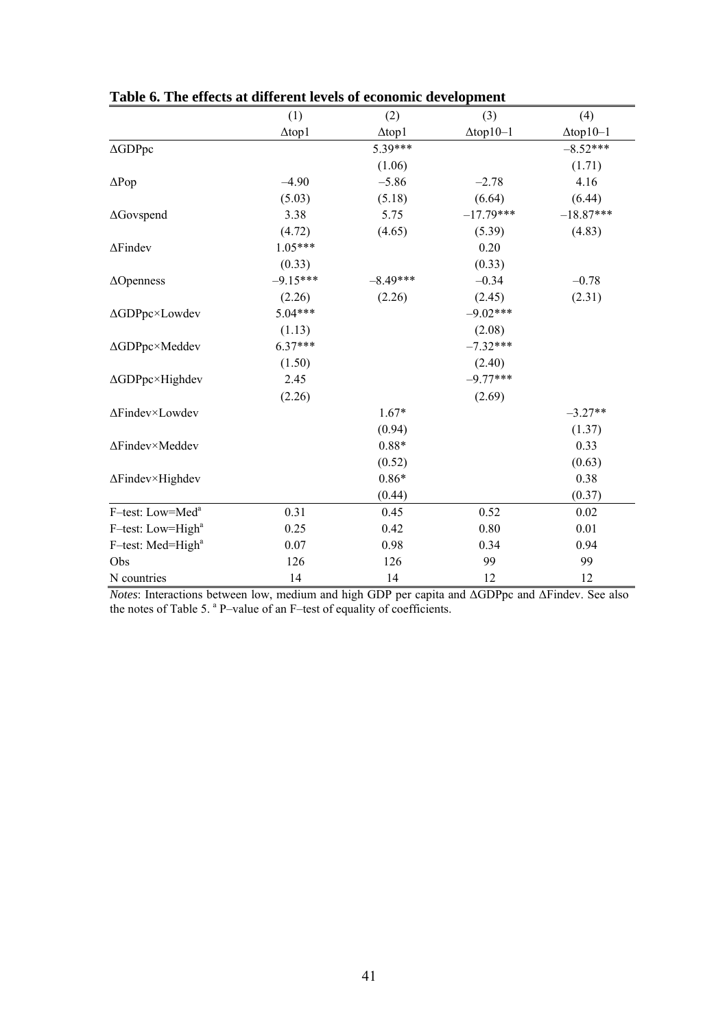|                               | (1)           | (2)           | (3)              | (4)              |
|-------------------------------|---------------|---------------|------------------|------------------|
|                               | $\Delta$ top1 | $\Delta$ top1 | $\Delta$ top10-1 | $\Delta$ top10-1 |
| $\Delta$ GDPpc                |               | 5.39***       |                  | $-8.52***$       |
|                               |               | (1.06)        |                  | (1.71)           |
| $\Delta$ Pop                  | $-4.90$       | $-5.86$       | $-2.78$          | 4.16             |
|                               | (5.03)        | (5.18)        | (6.64)           | (6.44)           |
| $\Delta$ Govspend             | 3.38          | 5.75          | $-17.79***$      | $-18.87***$      |
|                               | (4.72)        | (4.65)        | (5.39)           | (4.83)           |
| $\Delta$ Findev               | $1.05***$     |               | 0.20             |                  |
|                               | (0.33)        |               | (0.33)           |                  |
| $\triangle$ Openness          | $-9.15***$    | $-8.49***$    | $-0.34$          | $-0.78$          |
|                               | (2.26)        | (2.26)        | (2.45)           | (2.31)           |
| ∆GDPpc×Lowdev                 | $5.04***$     |               | $-9.02***$       |                  |
|                               | (1.13)        |               | (2.08)           |                  |
| ∆GDPpc×Meddev                 | $6.37***$     |               | $-7.32***$       |                  |
|                               | (1.50)        |               | (2.40)           |                  |
| $\Delta$ GDPpc×Highdev        | 2.45          |               | $-9.77***$       |                  |
|                               | (2.26)        |               | (2.69)           |                  |
| ∆Findev×Lowdev                |               | $1.67*$       |                  | $-3.27**$        |
|                               |               | (0.94)        |                  | (1.37)           |
| ∆Findev×Meddev                |               | $0.88*$       |                  | 0.33             |
|                               |               | (0.52)        |                  | (0.63)           |
| ∆Findev×Highdev               |               | $0.86*$       |                  | 0.38             |
|                               |               | (0.44)        |                  | (0.37)           |
| F-test: Low=Med <sup>a</sup>  | 0.31          | 0.45          | 0.52             | 0.02             |
| F-test: Low=High <sup>a</sup> | 0.25          | 0.42          | 0.80             | 0.01             |
| F-test: Med=High <sup>a</sup> | 0.07          | 0.98          | 0.34             | 0.94             |
| Obs                           | 126           | 126           | 99               | 99               |
| N countries                   | 14            | 14            | 12               | 12               |

**Table 6. The effects at different levels of economic development** 

*Notes*: Interactions between low, medium and high GDP per capita and ΔGDPpc and ΔFindev. See also the notes of Table 5.<sup>ª</sup> P-value of an F-test of equality of coefficients.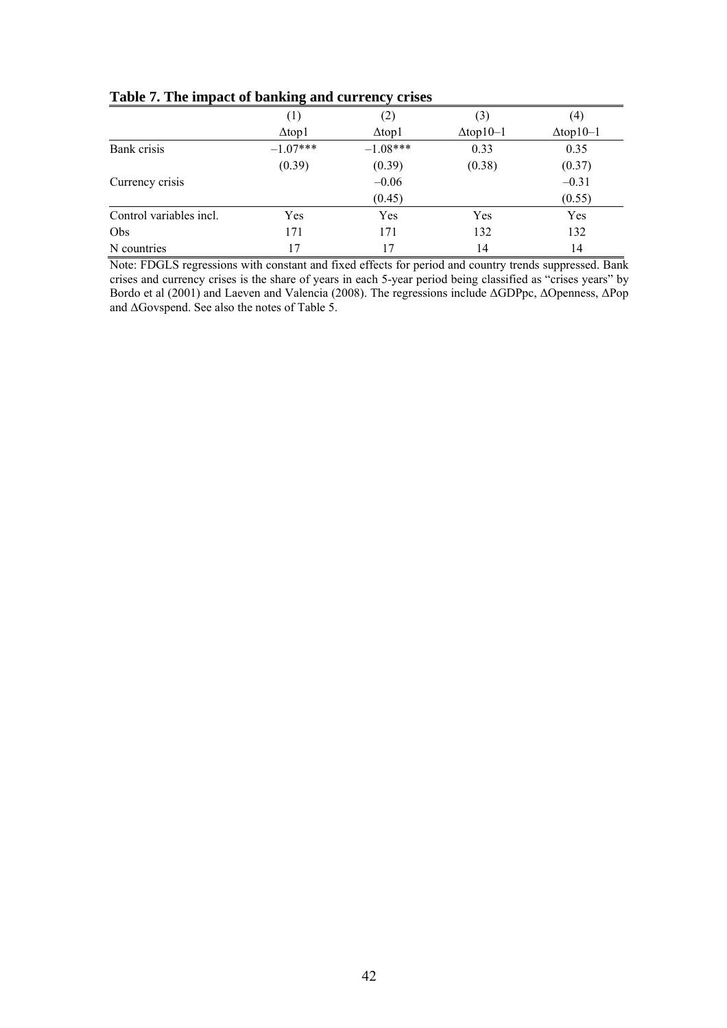| Table 7. The impact of banking and currency crises |               |                   |                   |                  |
|----------------------------------------------------|---------------|-------------------|-------------------|------------------|
|                                                    | (1)           | $\left( 2\right)$ | (3)               | (4)              |
|                                                    | $\Delta$ top1 | $\Delta$ top1     | $\Delta$ top 10-1 | $\Delta$ top10-1 |
| Bank crisis                                        | $-1.07***$    | $-1.08***$        | 0.33              | 0.35             |
|                                                    | (0.39)        | (0.39)            | (0.38)            | (0.37)           |
| Currency crisis                                    |               | $-0.06$           |                   | $-0.31$          |
|                                                    |               | (0.45)            |                   | (0.55)           |
| Control variables incl.                            | Yes           | Yes               | Yes               | Yes              |
| Obs                                                | 171           | 171               | 132               | 132              |
| N countries                                        | 17            | 17                | 14                | 14               |

### **Table 7. The impact of banking and currency crises**

Note: FDGLS regressions with constant and fixed effects for period and country trends suppressed. Bank crises and currency crises is the share of years in each 5-year period being classified as "crises years" by Bordo et al (2001) and Laeven and Valencia (2008). The regressions include ΔGDPpc, ΔOpenness, ΔPop and ΔGovspend. See also the notes of Table 5.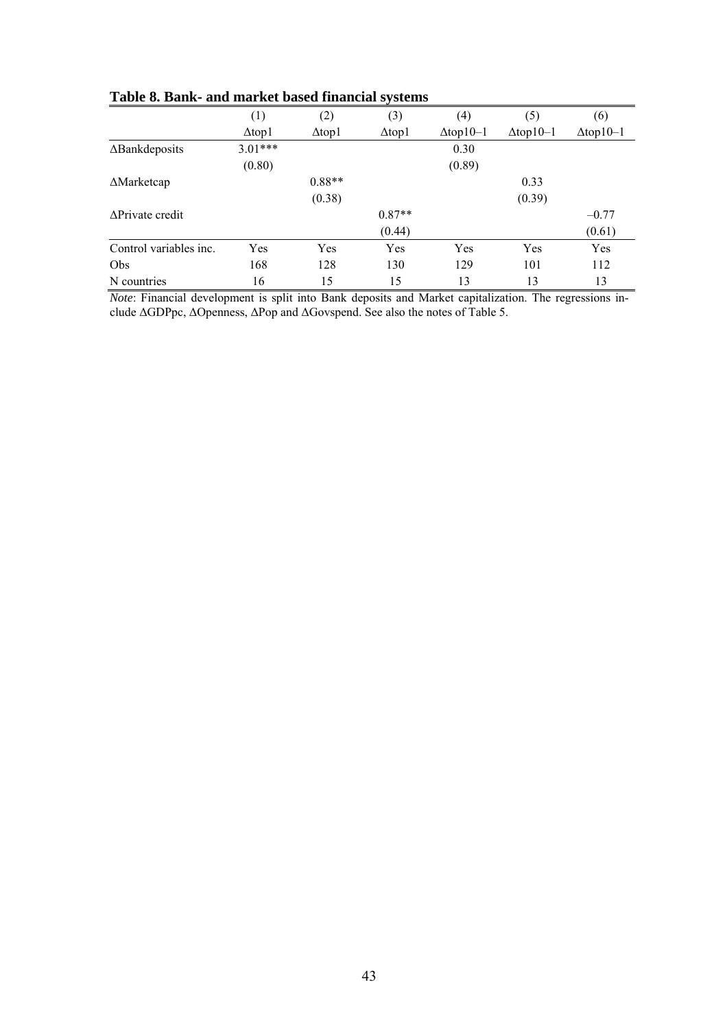|                        |                  |               | $\bullet$     |                   |                  |                  |
|------------------------|------------------|---------------|---------------|-------------------|------------------|------------------|
|                        | $\left(1\right)$ | (2)           | (3)           | (4)               | (5)              | (6)              |
|                        | $\Delta$ top1    | $\Delta$ top1 | $\Delta$ top1 | $\Delta$ top 10-1 | $\Delta$ top10-1 | $\Delta$ top10-1 |
| $\Delta$ Bankdeposits  | $3.01***$        |               |               | 0.30              |                  |                  |
|                        | (0.80)           |               |               | (0.89)            |                  |                  |
| $\Delta$ Marketcap     |                  | $0.88**$      |               |                   | 0.33             |                  |
|                        |                  | (0.38)        |               |                   | (0.39)           |                  |
| <b>APrivate credit</b> |                  |               | $0.87**$      |                   |                  | $-0.77$          |
|                        |                  |               | (0.44)        |                   |                  | (0.61)           |
| Control variables inc. | Yes              | Yes           | Yes           | Yes               | Yes              | Yes              |
| <b>Obs</b>             | 168              | 128           | 130           | 129               | 101              | 112              |
| N countries            | 16               | 15            | 15            | 13                | 13               | 13               |

# **Table 8. Bank- and market based financial systems**

*Note*: Financial development is split into Bank deposits and Market capitalization. The regressions include ΔGDPpc, ΔOpenness, ΔPop and ΔGovspend. See also the notes of Table 5.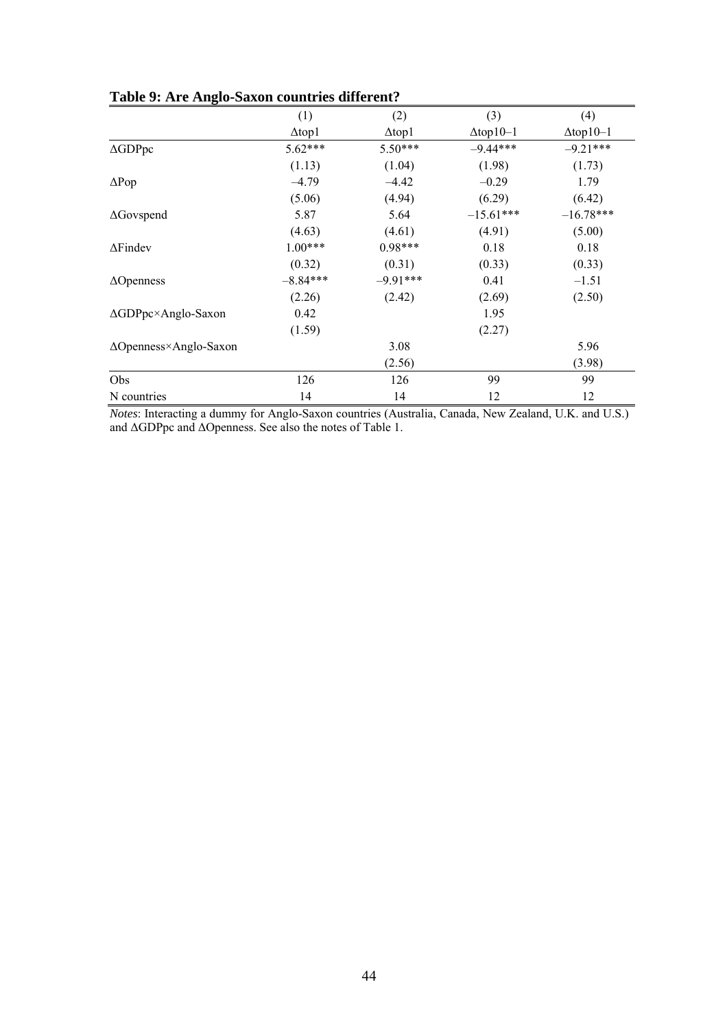| Tuble 2011 Charge Buron countries university | (1)           | (2)           | (3)              | (4)              |
|----------------------------------------------|---------------|---------------|------------------|------------------|
|                                              | $\Delta$ top1 | $\Delta$ top1 | $\Delta$ top10-1 | $\Delta$ top10-1 |
| $\triangle$ GDPpc                            | 5.62***       | $5.50***$     | $-9.44***$       | $-9.21***$       |
|                                              | (1.13)        | (1.04)        | (1.98)           | (1.73)           |
| $\Delta$ Pop                                 | $-4.79$       | $-4.42$       | $-0.29$          | 1.79             |
|                                              | (5.06)        | (4.94)        | (6.29)           | (6.42)           |
| $\Delta$ Govspend                            | 5.87          | 5.64          | $-15.61***$      | $-16.78***$      |
|                                              | (4.63)        | (4.61)        | (4.91)           | (5.00)           |
| $\Delta$ Findev                              | $1.00***$     | $0.98***$     | 0.18             | 0.18             |
|                                              | (0.32)        | (0.31)        | (0.33)           | (0.33)           |
| $\Delta$ Openness                            | $-8.84***$    | $-9.91***$    | 0.41             | $-1.51$          |
|                                              | (2.26)        | (2.42)        | (2.69)           | (2.50)           |
| $\Delta$ GDPpc×Anglo-Saxon                   | 0.42          |               | 1.95             |                  |
|                                              | (1.59)        |               | (2.27)           |                  |
| $\Delta$ Openness×Anglo-Saxon                |               | 3.08          |                  | 5.96             |
|                                              |               | (2.56)        |                  | (3.98)           |
| Obs                                          | 126           | 126           | 99               | 99               |
| N countries                                  | 14            | 14            | 12               | 12               |

## **Table 9: Are Anglo-Saxon countries different?**

*Notes*: Interacting a dummy for Anglo-Saxon countries (Australia, Canada, New Zealand, U.K. and U.S.) and ΔGDPpc and ΔOpenness. See also the notes of Table 1.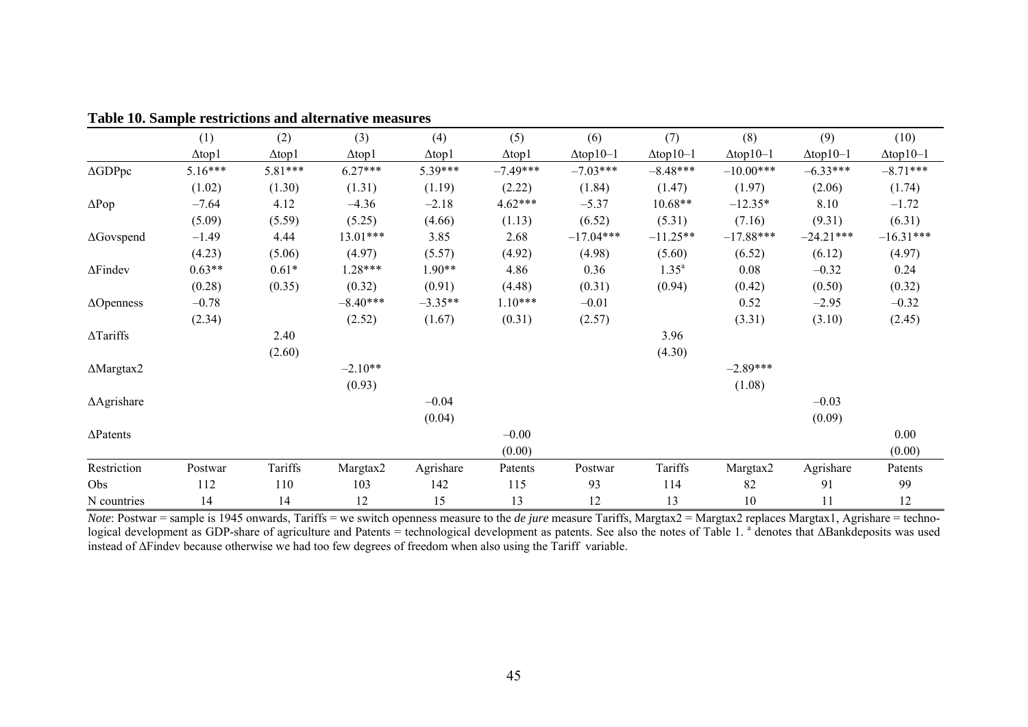|                       | (1)           | (2)           | (3)           | (4)           | (5)           | (6)              | (7)              | (8)                 | (9)              | (10)             |
|-----------------------|---------------|---------------|---------------|---------------|---------------|------------------|------------------|---------------------|------------------|------------------|
|                       | $\Delta$ top1 | $\Delta$ top1 | $\Delta$ top1 | $\Delta$ top1 | $\Delta$ top1 | $\Delta$ top10-1 | $\Delta$ top10-1 | $\Delta$ top $10-1$ | $\Delta$ top10-1 | $\Delta$ top10-1 |
| $\Delta$ GDPpc        | $5.16***$     | 5.81***       | $6.27***$     | 5.39***       | $-7.49***$    | $-7.03***$       | $-8.48***$       | $-10.00***$         | $-6.33***$       | $-8.71***$       |
|                       | (1.02)        | (1.30)        | (1.31)        | (1.19)        | (2.22)        | (1.84)           | (1.47)           | (1.97)              | (2.06)           | (1.74)           |
| $\Delta$ Pop          | $-7.64$       | 4.12          | $-4.36$       | $-2.18$       | $4.62***$     | $-5.37$          | $10.68**$        | $-12.35*$           | 8.10             | $-1.72$          |
|                       | (5.09)        | (5.59)        | (5.25)        | (4.66)        | (1.13)        | (6.52)           | (5.31)           | (7.16)              | (9.31)           | (6.31)           |
| $\Delta$ Govspend     | $-1.49$       | 4.44          | 13.01***      | 3.85          | 2.68          | $-17.04***$      | $-11.25**$       | $-17.88***$         | $-24.21***$      | $-16.31***$      |
|                       | (4.23)        | (5.06)        | (4.97)        | (5.57)        | (4.92)        | (4.98)           | (5.60)           | (6.52)              | (6.12)           | (4.97)           |
| $\Delta$ Findev       | $0.63**$      | $0.61*$       | 1.28***       | $1.90**$      | 4.86          | 0.36             | $1.35^{\rm a}$   | 0.08                | $-0.32$          | 0.24             |
|                       | (0.28)        | (0.35)        | (0.32)        | (0.91)        | (4.48)        | (0.31)           | (0.94)           | (0.42)              | (0.50)           | (0.32)           |
| $\Delta$ Openness     | $-0.78$       |               | $-8.40***$    | $-3.35**$     | $1.10***$     | $-0.01$          |                  | 0.52                | $-2.95$          | $-0.32$          |
|                       | (2.34)        |               | (2.52)        | (1.67)        | (0.31)        | (2.57)           |                  | (3.31)              | (3.10)           | (2.45)           |
| $\Delta$ Tariffs      |               | 2.40          |               |               |               |                  | 3.96             |                     |                  |                  |
|                       |               | (2.60)        |               |               |               |                  | (4.30)           |                     |                  |                  |
| $\triangle$ Margtax2  |               |               | $-2.10**$     |               |               |                  |                  | $-2.89***$          |                  |                  |
|                       |               |               | (0.93)        |               |               |                  |                  | (1.08)              |                  |                  |
| $\triangle$ Agrishare |               |               |               | $-0.04$       |               |                  |                  |                     | $-0.03$          |                  |
|                       |               |               |               | (0.04)        |               |                  |                  |                     | (0.09)           |                  |
| $\Delta$ Patents      |               |               |               |               | $-0.00$       |                  |                  |                     |                  | 0.00             |
|                       |               |               |               |               | (0.00)        |                  |                  |                     |                  | (0.00)           |
| Restriction           | Postwar       | Tariffs       | Margtax2      | Agrishare     | Patents       | Postwar          | Tariffs          | Margtax2            | Agrishare        | Patents          |
| Obs                   | 112           | 110           | 103           | 142           | 115           | 93               | 114              | 82                  | 91               | 99               |
| N countries           | 14            | 14            | 12            | 15            | 13            | 12               | 13               | 10                  | 11               | 12               |

**Table 10. Sample restrictions and alternative measures** 

*Note*: Postwar = sample is 1945 onwards, Tariffs = we switch openness measure to the *de jure* measure Tariffs, Margtax2 = Margtax2 replaces Margtax1, Agrishare = technological development as GDP-share of agriculture and Patents = technological development as patents. See also the notes of Table 1. <sup>a</sup> denotes that ΔBankdeposits was used instead of ΔFindev because otherwise we had too few degrees of freedom when also using the Tariff variable.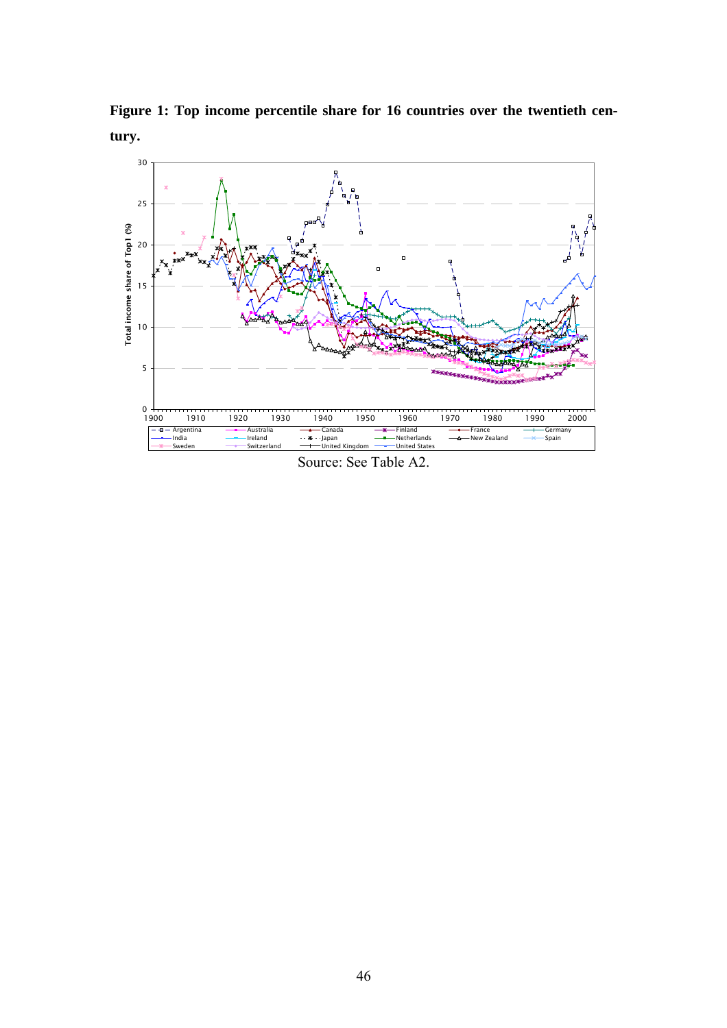**Figure 1: Top income percentile share for 16 countries over the twentieth century.** 



Source: See Table A2.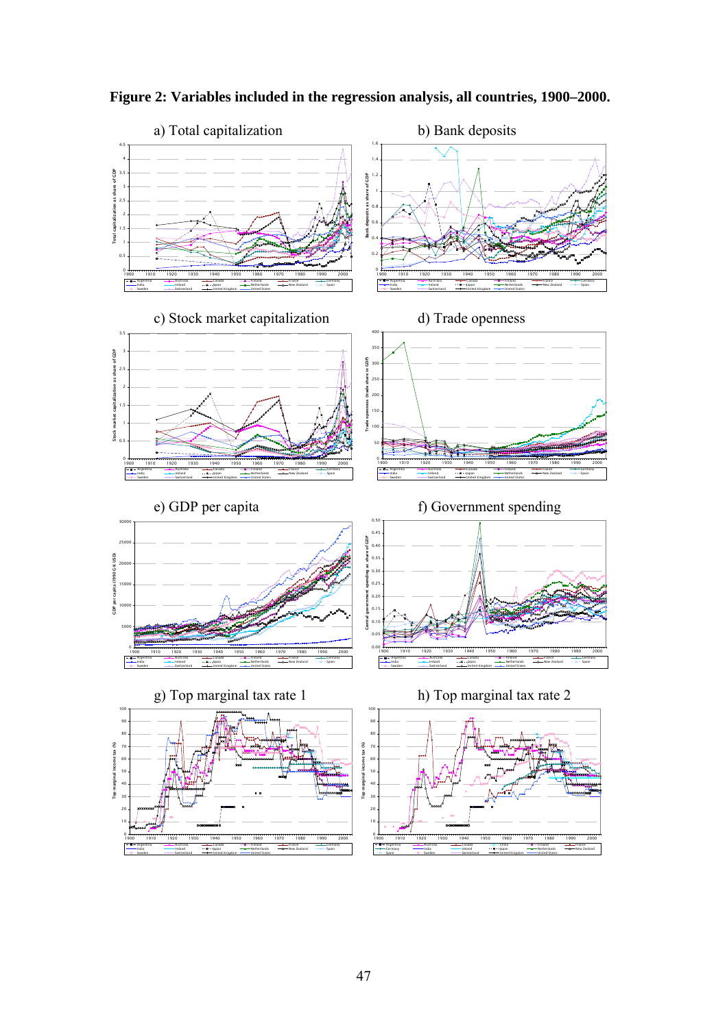

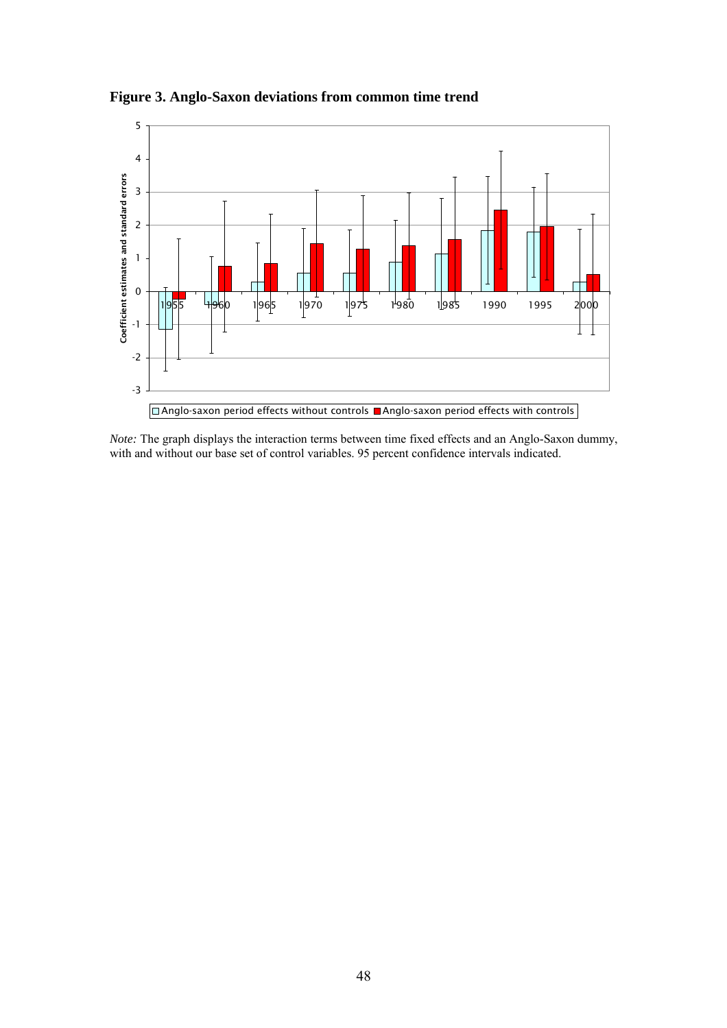

**Figure 3. Anglo-Saxon deviations from common time trend** 

*Note:* The graph displays the interaction terms between time fixed effects and an Anglo-Saxon dummy, with and without our base set of control variables. 95 percent confidence intervals indicated.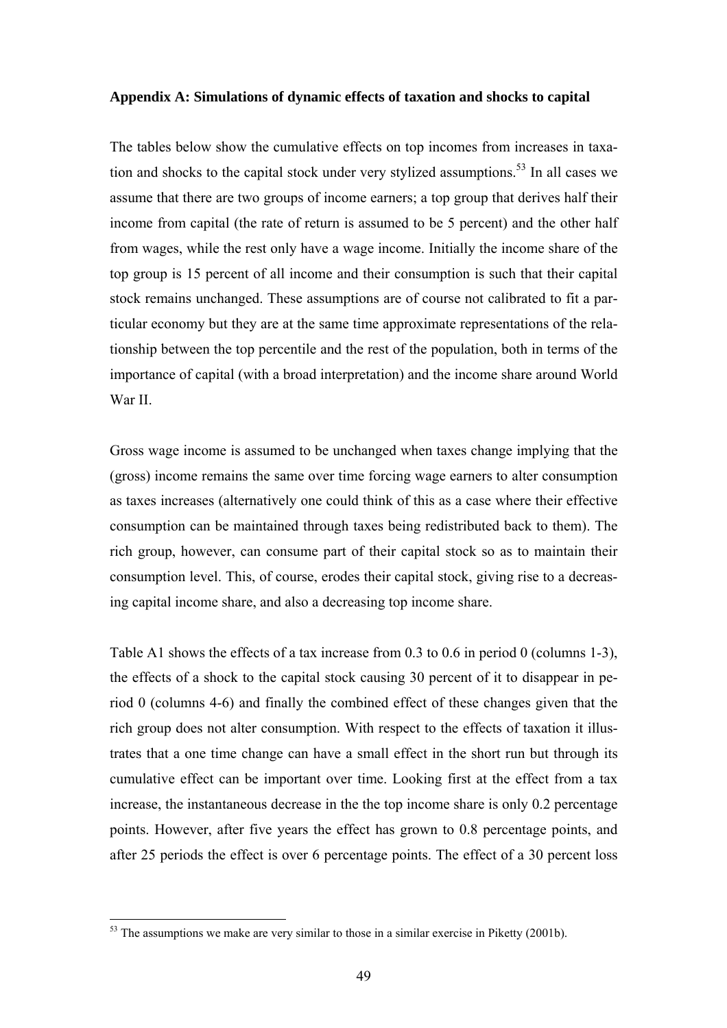#### **Appendix A: Simulations of dynamic effects of taxation and shocks to capital**

The tables below show the cumulative effects on top incomes from increases in taxation and shocks to the capital stock under very stylized assumptions. $53$  In all cases we assume that there are two groups of income earners; a top group that derives half their income from capital (the rate of return is assumed to be 5 percent) and the other half from wages, while the rest only have a wage income. Initially the income share of the top group is 15 percent of all income and their consumption is such that their capital stock remains unchanged. These assumptions are of course not calibrated to fit a particular economy but they are at the same time approximate representations of the relationship between the top percentile and the rest of the population, both in terms of the importance of capital (with a broad interpretation) and the income share around World War II.

Gross wage income is assumed to be unchanged when taxes change implying that the (gross) income remains the same over time forcing wage earners to alter consumption as taxes increases (alternatively one could think of this as a case where their effective consumption can be maintained through taxes being redistributed back to them). The rich group, however, can consume part of their capital stock so as to maintain their consumption level. This, of course, erodes their capital stock, giving rise to a decreasing capital income share, and also a decreasing top income share.

Table A1 shows the effects of a tax increase from 0.3 to 0.6 in period 0 (columns 1-3), the effects of a shock to the capital stock causing 30 percent of it to disappear in period 0 (columns 4-6) and finally the combined effect of these changes given that the rich group does not alter consumption. With respect to the effects of taxation it illustrates that a one time change can have a small effect in the short run but through its cumulative effect can be important over time. Looking first at the effect from a tax increase, the instantaneous decrease in the the top income share is only 0.2 percentage points. However, after five years the effect has grown to 0.8 percentage points, and after 25 periods the effect is over 6 percentage points. The effect of a 30 percent loss

 $53$  The assumptions we make are very similar to those in a similar exercise in Piketty (2001b).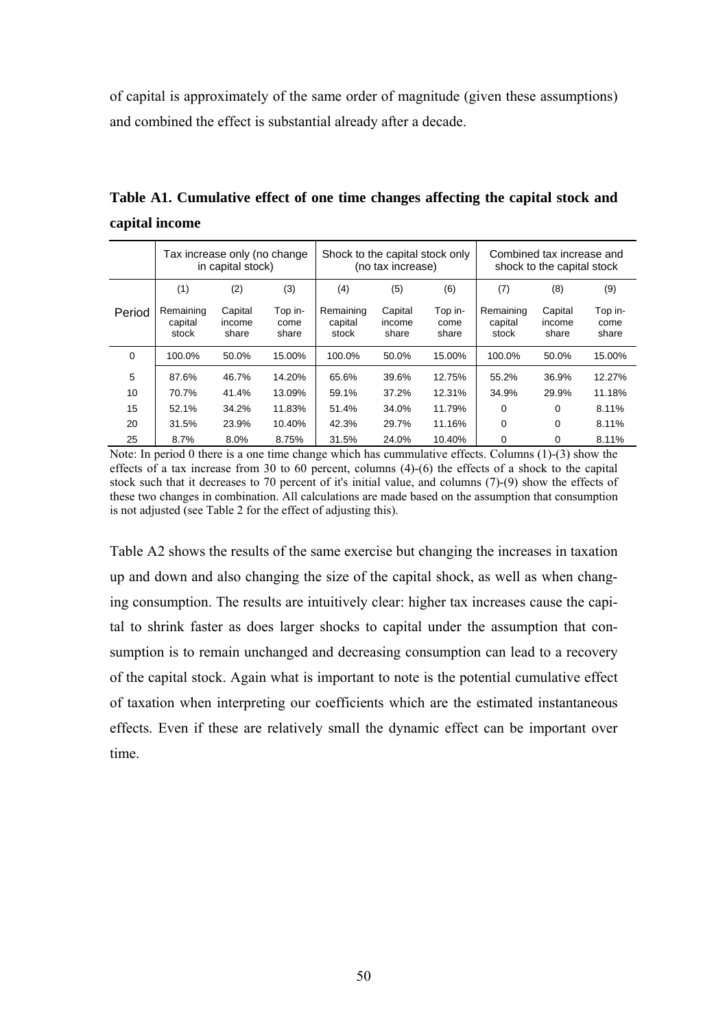of capital is approximately of the same order of magnitude (given these assumptions) and combined the effect is substantial already after a decade.

**Table A1. Cumulative effect of one time changes affecting the capital stock and capital income** 

|             | Tax increase only (no change  | in capital stock)          |                          | Shock to the capital stock only<br>(no tax increase) |                            |                          |                               | Combined tax increase and<br>shock to the capital stock |                          |  |
|-------------|-------------------------------|----------------------------|--------------------------|------------------------------------------------------|----------------------------|--------------------------|-------------------------------|---------------------------------------------------------|--------------------------|--|
|             | (1)                           | (2)                        | (3)                      | (4)                                                  | (5)                        | (6)                      | (7)                           | (8)                                                     | (9)                      |  |
| Period      | Remaining<br>capital<br>stock | Capital<br>income<br>share | Top in-<br>come<br>share | Remaining<br>capital<br>stock                        | Capital<br>income<br>share | Top in-<br>come<br>share | Remaining<br>capital<br>stock | Capital<br>income<br>share                              | Top in-<br>come<br>share |  |
| $\mathbf 0$ | 100.0%                        | 50.0%                      | 15.00%                   | 100.0%                                               | 50.0%                      | 15.00%                   | 100.0%                        | 50.0%                                                   | 15.00%                   |  |
| 5           | 87.6%                         | 46.7%                      | 14.20%                   | 65.6%                                                | 39.6%                      | 12.75%                   | 55.2%                         | 36.9%                                                   | 12.27%                   |  |
| 10          | 70.7%                         | 41.4%                      | 13.09%                   | 59.1%                                                | 37.2%                      | 12.31%                   | 34.9%                         | 29.9%                                                   | 11.18%                   |  |
| 15          | 52.1%                         | 34.2%                      | 11.83%                   | 51.4%                                                | 34.0%                      | 11.79%                   | 0                             | 0                                                       | 8.11%                    |  |
| 20          | 31.5%                         | 23.9%                      | 10.40%                   | 42.3%                                                | 29.7%                      | 11.16%                   | 0                             | 0                                                       | 8.11%                    |  |
| 25          | 8.7%                          | 8.0%                       | 8.75%                    | 31.5%                                                | 24.0%                      | 10.40%                   | 0                             | 0                                                       | 8.11%                    |  |

Note: In period 0 there is a one time change which has cummulative effects. Columns (1)-(3) show the effects of a tax increase from 30 to 60 percent, columns (4)-(6) the effects of a shock to the capital stock such that it decreases to 70 percent of it's initial value, and columns (7)-(9) show the effects of these two changes in combination. All calculations are made based on the assumption that consumption is not adjusted (see Table 2 for the effect of adjusting this).

Table A2 shows the results of the same exercise but changing the increases in taxation up and down and also changing the size of the capital shock, as well as when changing consumption. The results are intuitively clear: higher tax increases cause the capital to shrink faster as does larger shocks to capital under the assumption that consumption is to remain unchanged and decreasing consumption can lead to a recovery of the capital stock. Again what is important to note is the potential cumulative effect of taxation when interpreting our coefficients which are the estimated instantaneous effects. Even if these are relatively small the dynamic effect can be important over time.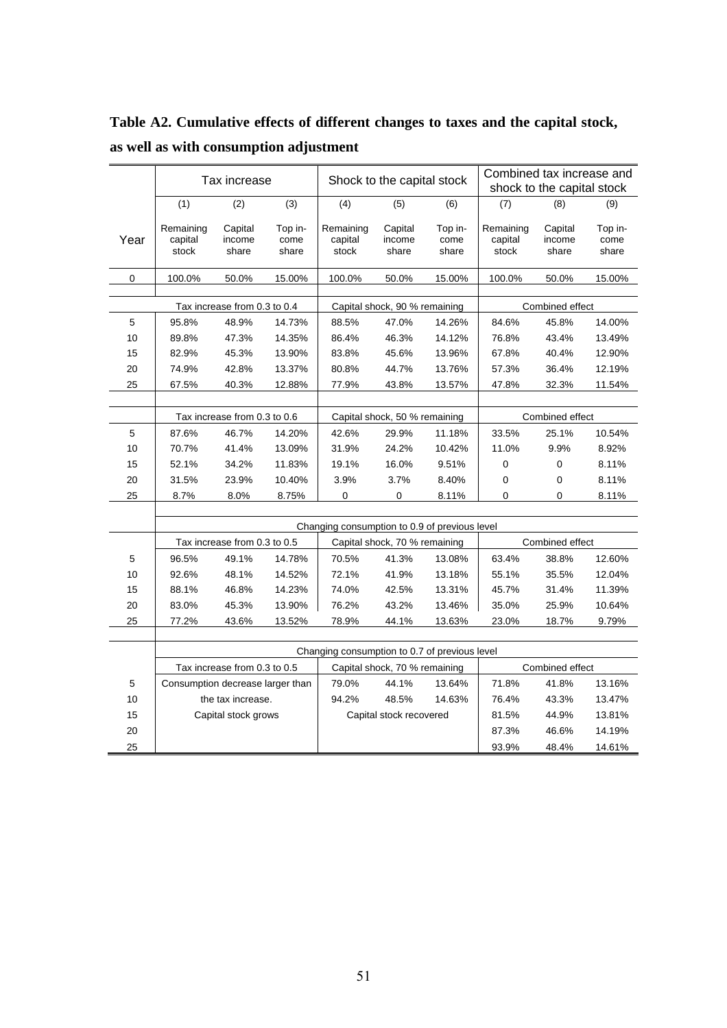**Table A2. Cumulative effects of different changes to taxes and the capital stock, as well as with consumption adjustment**

|      |                                  | Tax increase                 |                          |                                                  | Shock to the capital stock    |                          | Combined tax increase and     | shock to the capital stock |                          |
|------|----------------------------------|------------------------------|--------------------------|--------------------------------------------------|-------------------------------|--------------------------|-------------------------------|----------------------------|--------------------------|
|      | (1)                              | (2)                          | (3)                      | (4)                                              | (5)                           | (6)                      | (7)                           | (8)                        | (9)                      |
| Year | Remaining<br>capital<br>stock    | Capital<br>income<br>share   | Top in-<br>come<br>share | Remaining<br>capital<br>stock                    | Capital<br>income<br>share    | Top in-<br>come<br>share | Remaining<br>capital<br>stock | Capital<br>income<br>share | Top in-<br>come<br>share |
| 0    | 100.0%                           | 50.0%                        | 15.00%                   | 100.0%                                           | 50.0%                         | 15.00%                   | 100.0%                        | 50.0%                      | 15.00%                   |
|      |                                  | Tax increase from 0.3 to 0.4 |                          | Capital shock, 90 % remaining                    |                               |                          |                               | Combined effect            |                          |
| 5    | 95.8%                            | 48.9%                        | 14.73%                   | 88.5%                                            | 47.0%                         | 14.26%                   | 84.6%                         | 45.8%                      | 14.00%                   |
| 10   | 89.8%                            | 47.3%                        | 14.35%                   | 86.4%                                            | 46.3%                         | 14.12%                   | 76.8%                         | 43.4%                      | 13.49%                   |
| 15   | 82.9%                            | 45.3%                        | 13.90%                   | 83.8%                                            | 45.6%                         | 13.96%                   | 67.8%                         | 40.4%                      | 12.90%                   |
| 20   | 74.9%                            | 42.8%                        | 13.37%                   | 80.8%                                            | 44.7%                         | 13.76%                   | 57.3%                         | 36.4%                      | 12.19%                   |
| 25   | 67.5%                            | 40.3%                        | 12.88%                   | 77.9%                                            | 43.8%                         | 13.57%                   | 47.8%                         | 32.3%                      | 11.54%                   |
|      |                                  |                              |                          |                                                  |                               |                          |                               |                            |                          |
|      |                                  | Tax increase from 0.3 to 0.6 |                          | Capital shock, 50 % remaining<br>Combined effect |                               |                          |                               |                            |                          |
| 5    | 87.6%                            | 46.7%                        | 14.20%                   | 42.6%                                            | 29.9%                         | 11.18%                   | 33.5%                         | 25.1%                      | 10.54%                   |
| 10   | 70.7%                            | 41.4%                        | 13.09%                   | 31.9%                                            | 24.2%                         | 10.42%                   | 11.0%                         | 9.9%                       | 8.92%                    |
| 15   | 52.1%                            | 34.2%                        | 11.83%                   | 19.1%                                            | 16.0%                         | 9.51%                    | 0                             | 0                          | 8.11%                    |
| 20   | 31.5%                            | 23.9%                        | 10.40%                   | 3.9%                                             | 3.7%                          | 8.40%                    | 0                             | 0                          | 8.11%                    |
| 25   | 8.7%                             | 8.0%                         | 8.75%                    | 0                                                | 0                             | 8.11%                    | 0                             | 0                          | 8.11%                    |
|      |                                  |                              |                          |                                                  |                               |                          |                               |                            |                          |
|      |                                  |                              |                          | Changing consumption to 0.9 of previous level    |                               |                          |                               |                            |                          |
|      |                                  | Tax increase from 0.3 to 0.5 |                          |                                                  | Capital shock, 70 % remaining |                          |                               | Combined effect            |                          |
| 5    | 96.5%                            | 49.1%                        | 14.78%                   | 70.5%                                            | 41.3%                         | 13.08%                   | 63.4%                         | 38.8%                      | 12.60%                   |
| 10   | 92.6%                            | 48.1%                        | 14.52%                   | 72.1%                                            | 41.9%                         | 13.18%                   | 55.1%                         | 35.5%                      | 12.04%                   |
| 15   | 88.1%                            | 46.8%                        | 14.23%                   | 74.0%                                            | 42.5%                         | 13.31%                   | 45.7%                         | 31.4%                      | 11.39%                   |
| 20   | 83.0%                            | 45.3%                        | 13.90%                   | 76.2%                                            | 43.2%                         | 13.46%                   | 35.0%                         | 25.9%                      | 10.64%                   |
| 25   | 77.2%                            | 43.6%                        | 13.52%                   | 78.9%                                            | 44.1%                         | 13.63%                   | 23.0%                         | 18.7%                      | 9.79%                    |
|      |                                  |                              |                          | Changing consumption to 0.7 of previous level    |                               |                          |                               |                            |                          |
|      |                                  | Tax increase from 0.3 to 0.5 |                          |                                                  | Capital shock, 70 % remaining |                          |                               | Combined effect            |                          |
| 5    | Consumption decrease larger than |                              |                          | 79.0%                                            | 44.1%                         | 13.64%                   | 71.8%                         | 41.8%                      | 13.16%                   |
| 10   |                                  | the tax increase.            |                          | 94.2%                                            | 48.5%                         | 14.63%                   | 76.4%                         | 43.3%                      | 13.47%                   |
| 15   |                                  | Capital stock grows          |                          |                                                  | Capital stock recovered       |                          |                               | 44.9%                      | 13.81%                   |
| 20   |                                  |                              |                          |                                                  |                               |                          | 81.5%<br>87.3%                | 46.6%                      | 14.19%                   |
| 25   |                                  |                              |                          |                                                  |                               |                          | 93.9%                         | 48.4%                      | 14.61%                   |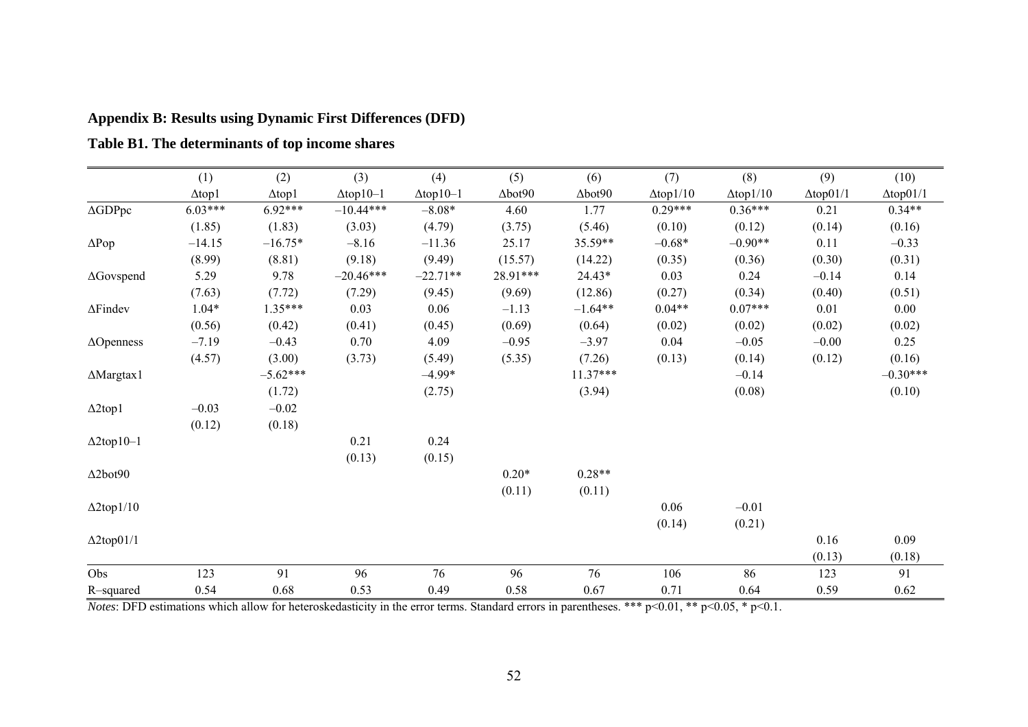| <b>Appendix B: Results using Dynamic First Differences (DFD)</b> |  |  |  |  |  |  |
|------------------------------------------------------------------|--|--|--|--|--|--|
|------------------------------------------------------------------|--|--|--|--|--|--|

|  |  | Table B1. The determinants of top income shares |  |
|--|--|-------------------------------------------------|--|
|  |  |                                                 |  |

|                       | (1)           | (2)           | (3)              | (4)              | (5)            | (6)            | (7)                 | (8)                 | (9)                 | (10)                |
|-----------------------|---------------|---------------|------------------|------------------|----------------|----------------|---------------------|---------------------|---------------------|---------------------|
|                       | $\Delta$ top1 | $\Delta$ top1 | $\Delta$ top10-1 | $\Delta$ top10-1 | $\Delta bot90$ | $\Delta bot90$ | $\Delta$ top $1/10$ | $\Delta$ top $1/10$ | $\Delta$ top $01/1$ | $\Delta$ top $01/1$ |
| $\Delta$ GDPpc        | $6.03***$     | $6.92***$     | $-10.44***$      | $-8.08*$         | 4.60           | 1.77           | $0.29***$           | $0.36***$           | 0.21                | $0.34**$            |
|                       | (1.85)        | (1.83)        | (3.03)           | (4.79)           | (3.75)         | (5.46)         | (0.10)              | (0.12)              | (0.14)              | (0.16)              |
| $\Delta$ Pop          | $-14.15$      | $-16.75*$     | $-8.16$          | $-11.36$         | 25.17          | $35.59**$      | $-0.68*$            | $-0.90**$           | 0.11                | $-0.33$             |
|                       | (8.99)        | (8.81)        | (9.18)           | (9.49)           | (15.57)        | (14.22)        | (0.35)              | (0.36)              | (0.30)              | (0.31)              |
| $\Delta$ Govspend     | 5.29          | 9.78          | $-20.46***$      | $-22.71**$       | 28.91***       | 24.43*         | 0.03                | 0.24                | $-0.14$             | 0.14                |
|                       | (7.63)        | (7.72)        | (7.29)           | (9.45)           | (9.69)         | (12.86)        | (0.27)              | (0.34)              | (0.40)              | (0.51)              |
| $\Delta$ Findev       | $1.04*$       | $1.35***$     | 0.03             | 0.06             | $-1.13$        | $-1.64**$      | $0.04**$            | $0.07***$           | 0.01                | 0.00                |
|                       | (0.56)        | (0.42)        | (0.41)           | (0.45)           | (0.69)         | (0.64)         | (0.02)              | (0.02)              | (0.02)              | (0.02)              |
| $\Delta$ Openness     | $-7.19$       | $-0.43$       | 0.70             | 4.09             | $-0.95$        | $-3.97$        | 0.04                | $-0.05$             | $-0.00$             | 0.25                |
|                       | (4.57)        | (3.00)        | (3.73)           | (5.49)           | (5.35)         | (7.26)         | (0.13)              | (0.14)              | (0.12)              | (0.16)              |
| $\Delta$ Margtax1     |               | $-5.62***$    |                  | $-4.99*$         |                | $11.37***$     |                     | $-0.14$             |                     | $-0.30***$          |
|                       |               | (1.72)        |                  | (2.75)           |                | (3.94)         |                     | (0.08)              |                     | (0.10)              |
| $\Delta 2$ top1       | $-0.03$       | $-0.02$       |                  |                  |                |                |                     |                     |                     |                     |
|                       | (0.12)        | (0.18)        |                  |                  |                |                |                     |                     |                     |                     |
| $\Delta 2$ top 10-1   |               |               | 0.21             | 0.24             |                |                |                     |                     |                     |                     |
|                       |               |               | (0.13)           | (0.15)           |                |                |                     |                     |                     |                     |
| $\Delta 2$ bot $90$   |               |               |                  |                  | $0.20*$        | $0.28**$       |                     |                     |                     |                     |
|                       |               |               |                  |                  | (0.11)         | (0.11)         |                     |                     |                     |                     |
| $\Delta 2$ top $1/10$ |               |               |                  |                  |                |                | 0.06                | $-0.01$             |                     |                     |
|                       |               |               |                  |                  |                |                | (0.14)              | (0.21)              |                     |                     |
| $\Delta 2$ top $01/1$ |               |               |                  |                  |                |                |                     |                     | 0.16                | 0.09                |
|                       |               |               |                  |                  |                |                |                     |                     | (0.13)              | (0.18)              |
| Obs                   | 123           | 91            | 96               | 76               | 96             | 76             | 106                 | 86                  | 123                 | 91                  |
| R-squared             | 0.54          | 0.68          | 0.53             | 0.49             | 0.58           | 0.67           | 0.71                | 0.64                | 0.59                | 0.62                |

*Notes*: DFD estimations which allow for heteroskedasticity in the error terms. Standard errors in parentheses. \*\*\* p<0.01, \*\* p<0.05, \* p<0.1.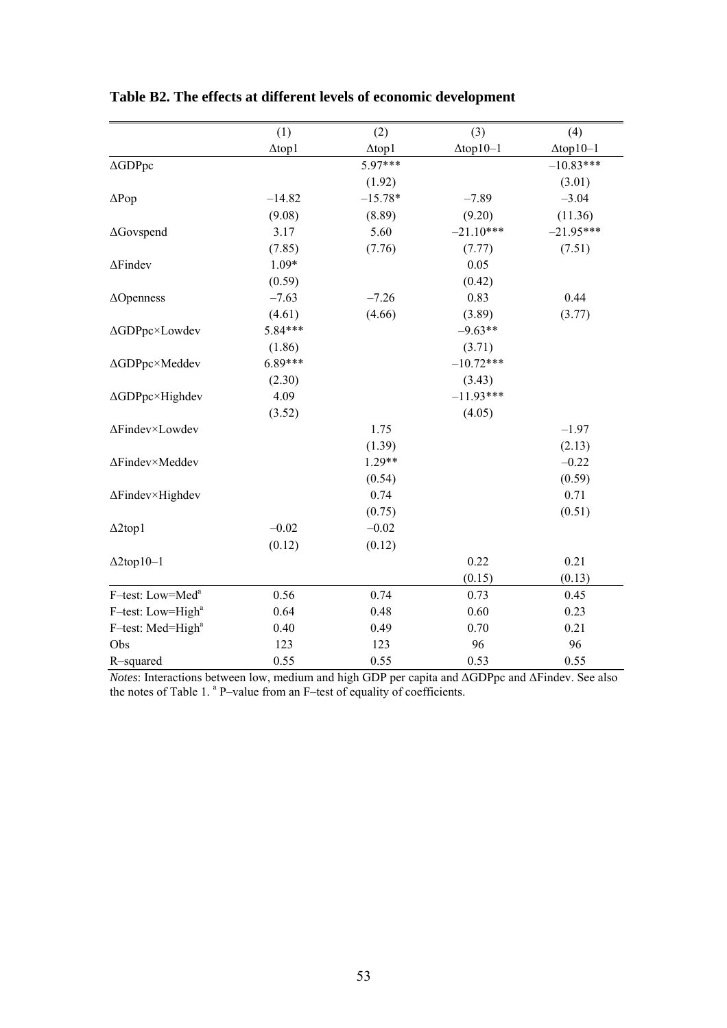|                               | (1)           | (2)           | (3)              | (4)              |
|-------------------------------|---------------|---------------|------------------|------------------|
|                               | $\Delta$ top1 | $\Delta$ top1 | $\Delta$ top10-1 | $\Delta$ top10-1 |
| $\Delta \text{GDPpc}$         |               | 5.97***       |                  | $-10.83***$      |
|                               |               | (1.92)        |                  | (3.01)           |
| $\Delta$ Pop                  | $-14.82$      | $-15.78*$     | $-7.89$          | $-3.04$          |
|                               | (9.08)        | (8.89)        | (9.20)           | (11.36)          |
| $\Delta$ Govspend             | 3.17          | 5.60          | $-21.10***$      | $-21.95***$      |
|                               | (7.85)        | (7.76)        | (7.77)           | (7.51)           |
| $\Delta$ Findev               | 1.09*         |               | 0.05             |                  |
|                               | (0.59)        |               | (0.42)           |                  |
| $\Delta$ Openness             | $-7.63$       | $-7.26$       | 0.83             | 0.44             |
|                               | (4.61)        | (4.66)        | (3.89)           | (3.77)           |
| ∆GDPpc×Lowdev                 | 5.84***       |               | $-9.63**$        |                  |
|                               | (1.86)        |               | (3.71)           |                  |
| ∆GDPpc×Meddev                 | $6.89***$     |               | $-10.72***$      |                  |
|                               | (2.30)        |               | (3.43)           |                  |
| ∆GDPpc×Highdev                | 4.09          |               | $-11.93***$      |                  |
|                               | (3.52)        |               | (4.05)           |                  |
| ΔFindev×Lowdev                |               | 1.75          |                  | $-1.97$          |
|                               |               | (1.39)        |                  | (2.13)           |
| ∆Findev×Meddev                |               | $1.29**$      |                  | $-0.22$          |
|                               |               | (0.54)        |                  | (0.59)           |
| ∆Findev×Highdev               |               | 0.74          |                  | 0.71             |
|                               |               | (0.75)        |                  | (0.51)           |
| $\Delta 2$ top1               | $-0.02$       | $-0.02$       |                  |                  |
|                               | (0.12)        | (0.12)        |                  |                  |
| $\Delta 2$ top10-1            |               |               | 0.22             | 0.21             |
|                               |               |               | (0.15)           | (0.13)           |
| F-test: Low=Med <sup>a</sup>  | 0.56          | 0.74          | 0.73             | 0.45             |
| F-test: Low=High <sup>a</sup> | 0.64          | 0.48          | 0.60             | 0.23             |
| F-test: Med=High <sup>a</sup> | 0.40          | 0.49          | 0.70             | 0.21             |
| Obs                           | 123           | 123           | 96               | 96               |
| R-squared                     | 0.55          | 0.55          | 0.53             | 0.55             |

**Table B2. The effects at different levels of economic development** 

*Notes*: Interactions between low, medium and high GDP per capita and ΔGDPpc and ΔFindev. See also the notes of Table 1. <sup>a</sup> P-value from an F-test of equality of coefficients.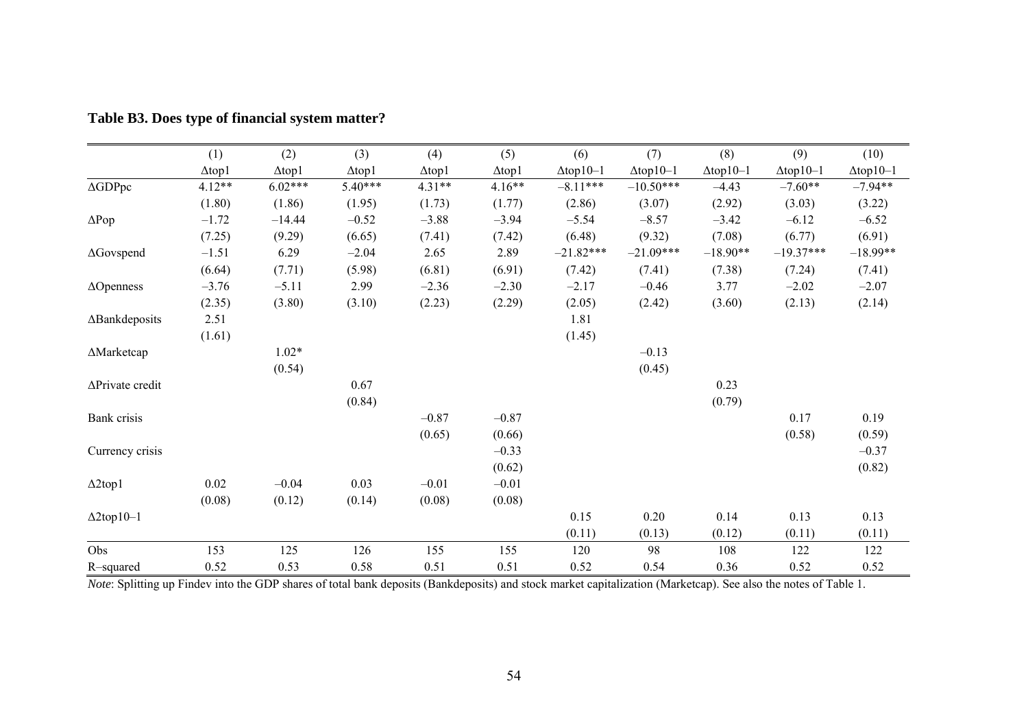|                         | (1)           | (2)           | (3)           | (4)           | (5)           | (6)              | (7)              | (8)              | (9)              | (10)             |
|-------------------------|---------------|---------------|---------------|---------------|---------------|------------------|------------------|------------------|------------------|------------------|
|                         | $\Delta$ top1 | $\Delta$ top1 | $\Delta$ top1 | $\Delta$ top1 | $\Delta$ top1 | $\Delta$ top10-1 | $\Delta$ top10-1 | $\Delta$ top10-1 | $\Delta$ top10-1 | $\Delta$ top10-1 |
| $\Delta$ GDPpc          | $4.12**$      | $6.02***$     | 5.40***       | $4.31**$      | $4.16**$      | $-8.11***$       | $-10.50***$      | $-4.43$          | $-7.60**$        | $-7.94**$        |
|                         | (1.80)        | (1.86)        | (1.95)        | (1.73)        | (1.77)        | (2.86)           | (3.07)           | (2.92)           | (3.03)           | (3.22)           |
| $\Delta$ Pop            | $-1.72$       | $-14.44$      | $-0.52$       | $-3.88$       | $-3.94$       | $-5.54$          | $-8.57$          | $-3.42$          | $-6.12$          | $-6.52$          |
|                         | (7.25)        | (9.29)        | (6.65)        | (7.41)        | (7.42)        | (6.48)           | (9.32)           | (7.08)           | (6.77)           | (6.91)           |
| $\Delta$ Govspend       | $-1.51$       | 6.29          | $-2.04$       | 2.65          | 2.89          | $-21.82***$      | $-21.09***$      | $-18.90**$       | $-19.37***$      | $-18.99**$       |
|                         | (6.64)        | (7.71)        | (5.98)        | (6.81)        | (6.91)        | (7.42)           | (7.41)           | (7.38)           | (7.24)           | (7.41)           |
| $\Delta$ Openness       | $-3.76$       | $-5.11$       | 2.99          | $-2.36$       | $-2.30$       | $-2.17$          | $-0.46$          | 3.77             | $-2.02$          | $-2.07$          |
|                         | (2.35)        | (3.80)        | (3.10)        | (2.23)        | (2.29)        | (2.05)           | (2.42)           | (3.60)           | (2.13)           | (2.14)           |
| $\Delta$ Bankdeposits   | 2.51          |               |               |               |               | 1.81             |                  |                  |                  |                  |
|                         | (1.61)        |               |               |               |               | (1.45)           |                  |                  |                  |                  |
| ∆Marketcap              |               | $1.02*$       |               |               |               |                  | $-0.13$          |                  |                  |                  |
|                         |               | (0.54)        |               |               |               |                  | (0.45)           |                  |                  |                  |
| $\Delta$ Private credit |               |               | 0.67          |               |               |                  |                  | 0.23             |                  |                  |
|                         |               |               | (0.84)        |               |               |                  |                  | (0.79)           |                  |                  |
| Bank crisis             |               |               |               | $-0.87$       | $-0.87$       |                  |                  |                  | 0.17             | 0.19             |
|                         |               |               |               | (0.65)        | (0.66)        |                  |                  |                  | (0.58)           | (0.59)           |
| Currency crisis         |               |               |               |               | $-0.33$       |                  |                  |                  |                  | $-0.37$          |
|                         |               |               |               |               | (0.62)        |                  |                  |                  |                  | (0.82)           |
| $\Delta 2$ top1         | 0.02          | $-0.04$       | 0.03          | $-0.01$       | $-0.01$       |                  |                  |                  |                  |                  |
|                         | (0.08)        | (0.12)        | (0.14)        | (0.08)        | (0.08)        |                  |                  |                  |                  |                  |
| $\Delta 2$ top 10-1     |               |               |               |               |               | 0.15             | 0.20             | 0.14             | 0.13             | 0.13             |
|                         |               |               |               |               |               | (0.11)           | (0.13)           | (0.12)           | (0.11)           | (0.11)           |
| Obs                     | 153           | 125           | 126           | 155           | 155           | 120              | 98               | 108              | 122              | 122              |
| R-squared               | 0.52          | 0.53          | 0.58          | 0.51          | 0.51          | 0.52             | 0.54             | 0.36             | 0.52             | 0.52             |

**Table B3. Does type of financial system matter?** 

*Note*: Splitting up Findev into the GDP shares of total bank deposits (Bankdeposits) and stock market capitalization (Marketcap). See also the notes of Table 1.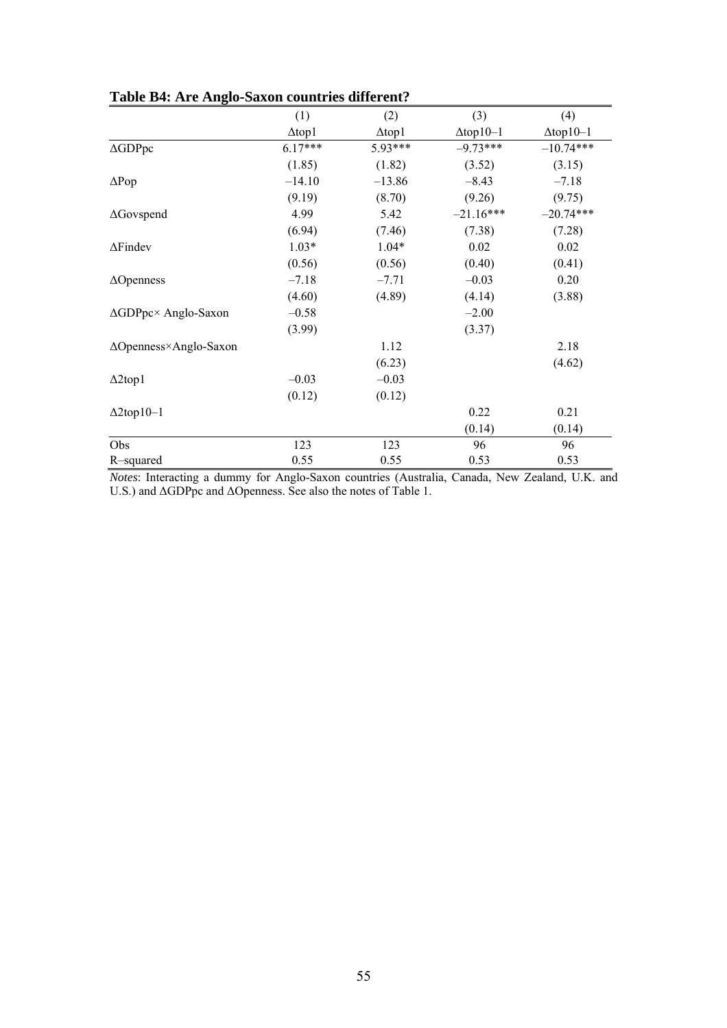|                       | (1)           | (2)           | (3)              | (4)              |
|-----------------------|---------------|---------------|------------------|------------------|
|                       | $\Delta$ top1 | $\Delta$ top1 | $\Delta$ top10-1 | $\Delta$ top10-1 |
| $\triangle$ GDPpc     | $6.17***$     | 5.93***       | $-9.73***$       | $-10.74***$      |
|                       | (1.85)        | (1.82)        | (3.52)           | (3.15)           |
| $\Delta$ Pop          | $-14.10$      | $-13.86$      | $-8.43$          | $-7.18$          |
|                       | (9.19)        | (8.70)        | (9.26)           | (9.75)           |
| $\Delta$ Govspend     | 4.99          | 5.42          | $-21.16***$      | $-20.74***$      |
|                       | (6.94)        | (7.46)        | (7.38)           | (7.28)           |
| $\Delta$ Findev       | $1.03*$       | $1.04*$       | 0.02             | 0.02             |
|                       | (0.56)        | (0.56)        | (0.40)           | (0.41)           |
| $\Delta$ Openness     | $-7.18$       | $-7.71$       | $-0.03$          | 0.20             |
|                       | (4.60)        | (4.89)        | (4.14)           | (3.88)           |
| ∆GDPpc× Anglo-Saxon   | $-0.58$       |               | $-2.00$          |                  |
|                       | (3.99)        |               | (3.37)           |                  |
| ∆Openness×Anglo-Saxon |               | 1.12          |                  | 2.18             |
|                       |               | (6.23)        |                  | (4.62)           |
| $\Delta 2$ top1       | $-0.03$       | $-0.03$       |                  |                  |
|                       | (0.12)        | (0.12)        |                  |                  |
| $\Delta 2$ top 10-1   |               |               | 0.22             | 0.21             |
|                       |               |               | (0.14)           | (0.14)           |
| Obs                   | 123           | 123           | 96               | 96               |
| R-squared             | 0.55          | 0.55          | 0.53             | 0.53             |

## **Table B4: Are Anglo-Saxon countries different?**

*Notes*: Interacting a dummy for Anglo-Saxon countries (Australia, Canada, New Zealand, U.K. and U.S.) and ΔGDPpc and ΔOpenness. See also the notes of Table 1.